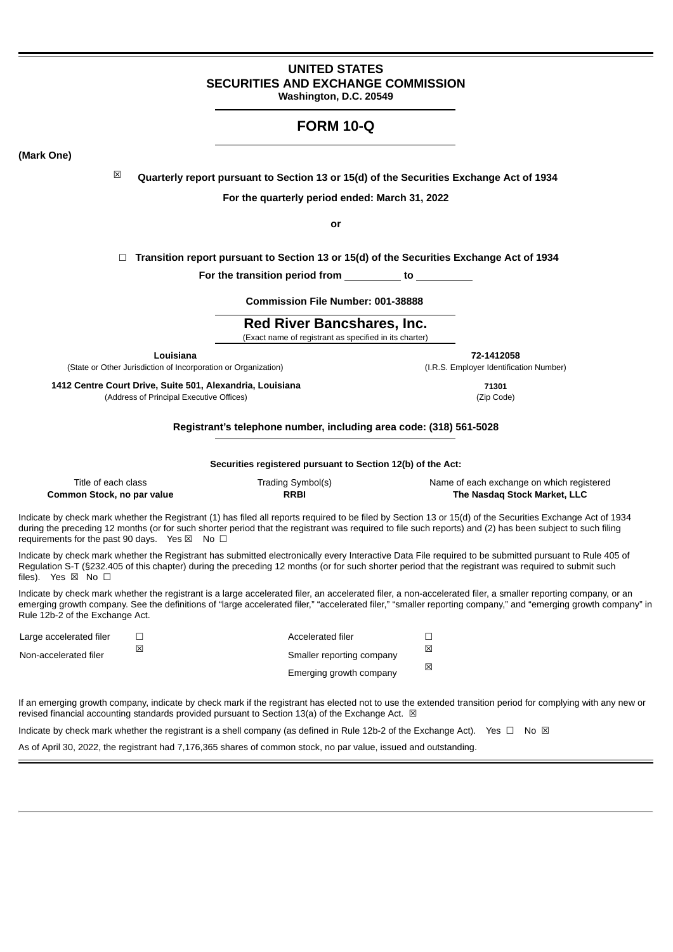# **UNITED STATES SECURITIES AND EXCHANGE COMMISSION**

**Washington, D.C. 20549**

# **FORM 10-Q**

| (Mark One)                                                   |                                                                                                       |                                                                                                                                   |                                                                                                                                                                                                                                                                                                                                |
|--------------------------------------------------------------|-------------------------------------------------------------------------------------------------------|-----------------------------------------------------------------------------------------------------------------------------------|--------------------------------------------------------------------------------------------------------------------------------------------------------------------------------------------------------------------------------------------------------------------------------------------------------------------------------|
| ⊠                                                            |                                                                                                       | Quarterly report pursuant to Section 13 or 15(d) of the Securities Exchange Act of 1934                                           |                                                                                                                                                                                                                                                                                                                                |
|                                                              |                                                                                                       | For the quarterly period ended: March 31, 2022                                                                                    |                                                                                                                                                                                                                                                                                                                                |
|                                                              |                                                                                                       | or                                                                                                                                |                                                                                                                                                                                                                                                                                                                                |
|                                                              |                                                                                                       | $\Box$ Transition report pursuant to Section 13 or 15(d) of the Securities Exchange Act of 1934                                   |                                                                                                                                                                                                                                                                                                                                |
|                                                              |                                                                                                       |                                                                                                                                   |                                                                                                                                                                                                                                                                                                                                |
|                                                              |                                                                                                       | <b>Commission File Number: 001-38888</b>                                                                                          |                                                                                                                                                                                                                                                                                                                                |
|                                                              |                                                                                                       | <b>Red River Bancshares, Inc.</b><br>(Exact name of registrant as specified in its charter)                                       |                                                                                                                                                                                                                                                                                                                                |
|                                                              | Louisiana<br>(State or Other Jurisdiction of Incorporation or Organization)                           |                                                                                                                                   | 72-1412058<br>(I.R.S. Employer Identification Number)                                                                                                                                                                                                                                                                          |
|                                                              | 1412 Centre Court Drive, Suite 501, Alexandria, Louisiana<br>(Address of Principal Executive Offices) |                                                                                                                                   | 71301<br>(Zip Code)                                                                                                                                                                                                                                                                                                            |
|                                                              |                                                                                                       | Registrant's telephone number, including area code: (318) 561-5028<br>Securities registered pursuant to Section 12(b) of the Act: |                                                                                                                                                                                                                                                                                                                                |
| Title of each class<br>Common Stock, no par value            |                                                                                                       | Trading Symbol(s)<br><b>RRBI</b>                                                                                                  | Name of each exchange on which registered<br>The Nasdag Stock Market, LLC                                                                                                                                                                                                                                                      |
| requirements for the past 90 days. Yes $\boxtimes$ No $\Box$ |                                                                                                       |                                                                                                                                   | Indicate by check mark whether the Registrant (1) has filed all reports required to be filed by Section 13 or 15(d) of the Securities Exchange Act of 1934<br>during the preceding 12 months (or for such shorter period that the registrant was required to file such reports) and (2) has been subject to such filing        |
| files). Yes $\boxtimes$ No $\square$                         |                                                                                                       |                                                                                                                                   | Indicate by check mark whether the Registrant has submitted electronically every Interactive Data File required to be submitted pursuant to Rule 405 of<br>Regulation S-T (§232.405 of this chapter) during the preceding 12 months (or for such shorter period that the registrant was required to submit such                |
| Rule 12b-2 of the Exchange Act.                              |                                                                                                       |                                                                                                                                   | Indicate by check mark whether the registrant is a large accelerated filer, an accelerated filer, a non-accelerated filer, a smaller reporting company, or an<br>emerging growth company. See the definitions of "large accelerated filer," "accelerated filer," "smaller reporting company," and "emerging growth company" in |
| Large accelerated filer<br>Non-accelerated filer             | □<br>図                                                                                                | Accelerated filer<br>Smaller reporting company<br>Emerging growth company                                                         | $\Box$<br>図<br>図                                                                                                                                                                                                                                                                                                               |

If an emerging growth company, indicate by check mark if the registrant has elected not to use the extended transition period for complying with any new or revised financial accounting standards provided pursuant to Section 13(a) of the Exchange Act.  $\boxtimes$ 

<span id="page-0-0"></span>Indicate by check mark whether the registrant is a shell company (as defined in Rule 12b-2 of the Exchange Act). Yes  $\Box$  No  $\boxtimes$ As of April 30, 2022, the registrant had 7,176,365 shares of common stock, no par value, issued and outstanding.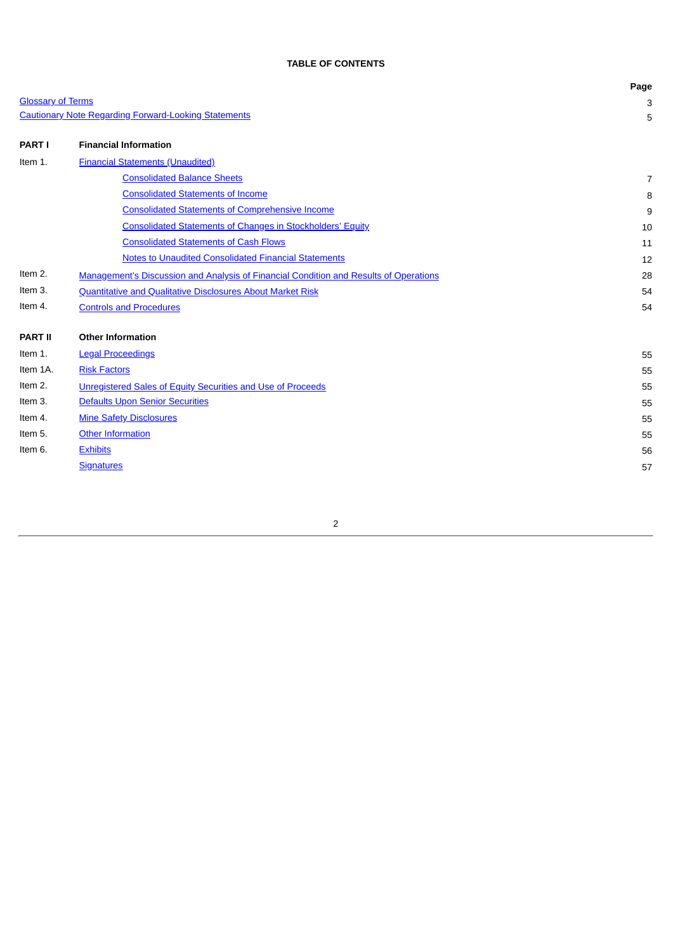# **TABLE OF CONTENTS**

<span id="page-1-0"></span>

|                          |                                                                                              | Page           |
|--------------------------|----------------------------------------------------------------------------------------------|----------------|
| <b>Glossary of Terms</b> |                                                                                              | 3              |
|                          | <b>Cautionary Note Regarding Forward-Looking Statements</b>                                  | 5              |
| <b>PART I</b>            | <b>Financial Information</b>                                                                 |                |
|                          |                                                                                              |                |
| Item 1.                  | <b>Financial Statements (Unaudited)</b>                                                      |                |
|                          | <b>Consolidated Balance Sheets</b>                                                           | $\overline{7}$ |
|                          | <b>Consolidated Statements of Income</b>                                                     | 8              |
|                          | <b>Consolidated Statements of Comprehensive Income</b>                                       | 9              |
|                          | <b>Consolidated Statements of Changes in Stockholders' Equity</b>                            | 10             |
|                          | <b>Consolidated Statements of Cash Flows</b>                                                 | 11             |
|                          | <b>Notes to Unaudited Consolidated Financial Statements</b>                                  | 12             |
| Item 2.                  | <b>Management's Discussion and Analysis of Financial Condition and Results of Operations</b> | 28             |
| Item 3.                  | <b>Ouantitative and Oualitative Disclosures About Market Risk</b>                            | 54             |
| Item 4.                  | <b>Controls and Procedures</b>                                                               | 54             |
| <b>PART II</b>           | <b>Other Information</b>                                                                     |                |
| Item 1.                  | <b>Legal Proceedings</b>                                                                     | 55             |
| Item 1A.                 | <b>Risk Factors</b>                                                                          | 55             |
| Item 2.                  | Unregistered Sales of Equity Securities and Use of Proceeds                                  | 55             |
| Item 3.                  | <b>Defaults Upon Senior Securities</b>                                                       | 55             |
| Item 4.                  | <b>Mine Safety Disclosures</b>                                                               | 55             |
| Item 5.                  | <b>Other Information</b>                                                                     | 55             |
| Item 6.                  | <b>Exhibits</b>                                                                              | 56             |
|                          | <b>Signatures</b>                                                                            | 57             |
|                          |                                                                                              |                |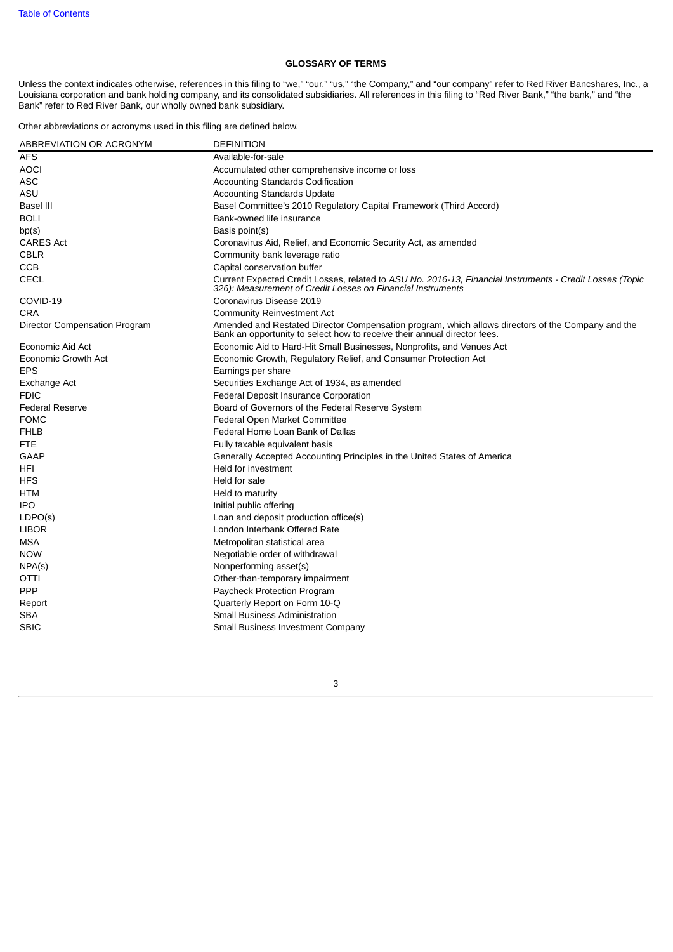### **GLOSSARY OF TERMS**

Unless the context indicates otherwise, references in this filing to "we," "our," "us," "the Company," and "our company" refer to Red River Bancshares, Inc., a Louisiana corporation and bank holding company, and its consolidated subsidiaries. All references in this filing to "Red River Bank," "the bank," and "the Bank" refer to Red River Bank, our wholly owned bank subsidiary.

Other abbreviations or acronyms used in this filing are defined below.

| ABBREVIATION OR ACRONYM       | <b>DEFINITION</b>                                                                                                                                                             |
|-------------------------------|-------------------------------------------------------------------------------------------------------------------------------------------------------------------------------|
| <b>AFS</b>                    | Available-for-sale                                                                                                                                                            |
| AOCI                          | Accumulated other comprehensive income or loss                                                                                                                                |
| ASC                           | Accounting Standards Codification                                                                                                                                             |
| ASU                           | <b>Accounting Standards Update</b>                                                                                                                                            |
| <b>Basel III</b>              | Basel Committee's 2010 Regulatory Capital Framework (Third Accord)                                                                                                            |
| BOLI                          | Bank-owned life insurance                                                                                                                                                     |
| bp(s)                         | Basis point(s)                                                                                                                                                                |
| <b>CARES Act</b>              | Coronavirus Aid, Relief, and Economic Security Act, as amended                                                                                                                |
| CBLR                          | Community bank leverage ratio                                                                                                                                                 |
| ССВ                           | Capital conservation buffer                                                                                                                                                   |
| CECL                          | Current Expected Credit Losses, related to ASU No. 2016-13, Financial Instruments - Credit Losses (Topic<br>326): Measurement of Credit Losses on Financial Instruments       |
| COVID-19                      | Coronavirus Disease 2019                                                                                                                                                      |
| CRA                           | <b>Community Reinvestment Act</b>                                                                                                                                             |
| Director Compensation Program | Amended and Restated Director Compensation program, which allows directors of the Company and the<br>Bank an opportunity to select how to receive their annual director fees. |
| Economic Aid Act              | Economic Aid to Hard-Hit Small Businesses, Nonprofits, and Venues Act                                                                                                         |
| Economic Growth Act           | Economic Growth, Regulatory Relief, and Consumer Protection Act                                                                                                               |
| EPS                           | Earnings per share                                                                                                                                                            |
| Exchange Act                  | Securities Exchange Act of 1934, as amended                                                                                                                                   |
| FDIC                          | Federal Deposit Insurance Corporation                                                                                                                                         |
| Federal Reserve               | Board of Governors of the Federal Reserve System                                                                                                                              |
| FOMC                          | Federal Open Market Committee                                                                                                                                                 |
| FHLB                          | Federal Home Loan Bank of Dallas                                                                                                                                              |
| FTE                           | Fully taxable equivalent basis                                                                                                                                                |
| GAAP                          | Generally Accepted Accounting Principles in the United States of America                                                                                                      |
| HFI                           | Held for investment                                                                                                                                                           |
| HFS                           | Held for sale                                                                                                                                                                 |
| HTM                           | Held to maturity                                                                                                                                                              |
| IPO                           | Initial public offering                                                                                                                                                       |
| LDPO(s)                       | Loan and deposit production office(s)                                                                                                                                         |
| LIBOR                         | London Interbank Offered Rate                                                                                                                                                 |
| MSA                           | Metropolitan statistical area                                                                                                                                                 |
| NOW                           | Negotiable order of withdrawal                                                                                                                                                |
| NPA(s)                        | Nonperforming asset(s)                                                                                                                                                        |
| OTTI                          | Other-than-temporary impairment                                                                                                                                               |
| PPP                           | Paycheck Protection Program                                                                                                                                                   |
| Report                        | Quarterly Report on Form 10-Q                                                                                                                                                 |
| SBA                           | <b>Small Business Administration</b>                                                                                                                                          |
| SBIC                          | Small Business Investment Company                                                                                                                                             |
|                               |                                                                                                                                                                               |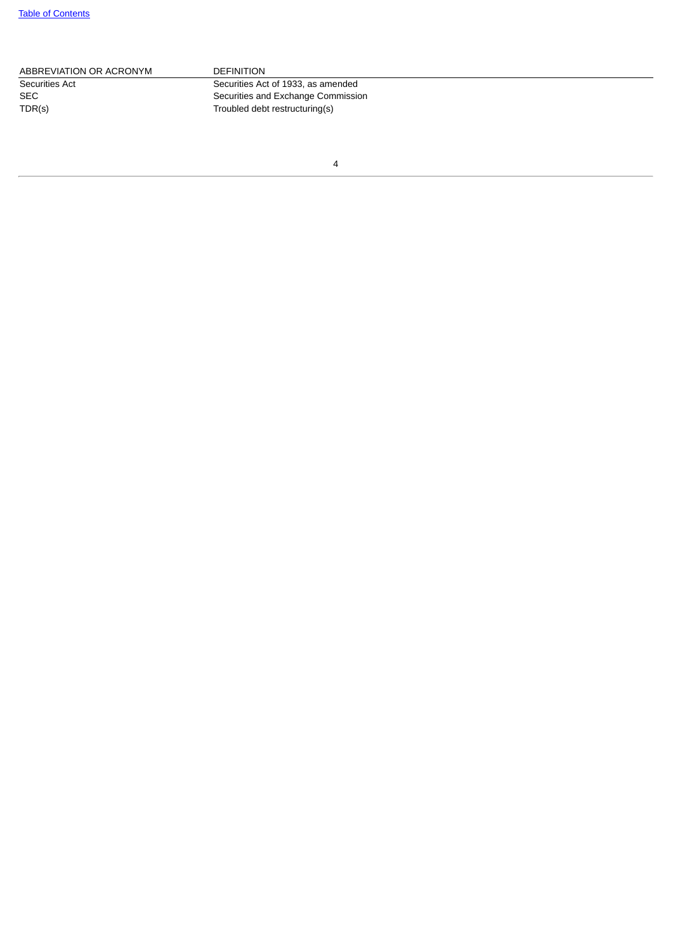# ABBREVIATION OR ACRONYM DEFINITION

<span id="page-3-0"></span>

Securities Act Securities Act Securities Act of 1933, as amended<br>SEC Securities and Exchange Commissic SEC SEC Securities and Exchange Commission<br>
Troubled debt restructuring(s)  $Troubled debt restructure(s)$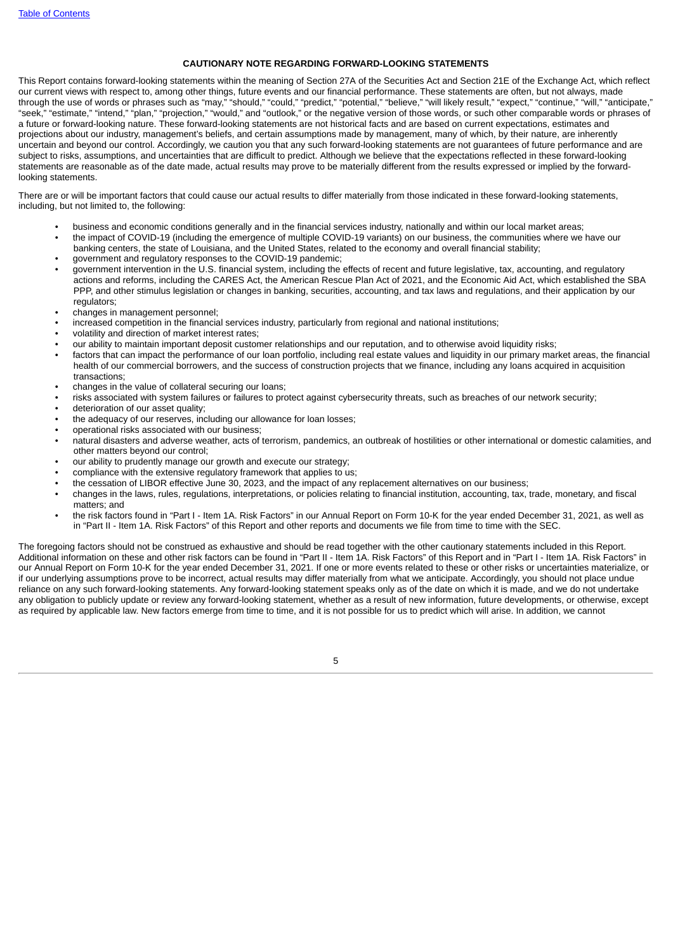### **CAUTIONARY NOTE REGARDING FORWARD-LOOKING STATEMENTS**

This Report contains forward-looking statements within the meaning of Section 27A of the Securities Act and Section 21E of the Exchange Act, which reflect our current views with respect to, among other things, future events and our financial performance. These statements are often, but not always, made through the use of words or phrases such as "may," "should," "could," "predict," "potential," "believe," "will likely result," "expect," "continue," "will," "anticipate," "seek," "estimate," "intend," "plan," "projection," "would," and "outlook," or the negative version of those words, or such other comparable words or phrases of a future or forward-looking nature. These forward-looking statements are not historical facts and are based on current expectations, estimates and projections about our industry, management's beliefs, and certain assumptions made by management, many of which, by their nature, are inherently uncertain and beyond our control. Accordingly, we caution you that any such forward-looking statements are not guarantees of future performance and are subject to risks, assumptions, and uncertainties that are difficult to predict. Although we believe that the expectations reflected in these forward-looking statements are reasonable as of the date made, actual results may prove to be materially different from the results expressed or implied by the forwardlooking statements.

There are or will be important factors that could cause our actual results to differ materially from those indicated in these forward-looking statements, including, but not limited to, the following:

- business and economic conditions generally and in the financial services industry, nationally and within our local market areas;
- the impact of COVID-19 (including the emergence of multiple COVID-19 variants) on our business, the communities where we have our banking centers, the state of Louisiana, and the United States, related to the economy and overall financial stability;
- government and regulatory responses to the COVID-19 pandemic;
- government intervention in the U.S. financial system, including the effects of recent and future legislative, tax, accounting, and regulatory actions and reforms, including the CARES Act, the American Rescue Plan Act of 2021, and the Economic Aid Act, which established the SBA PPP, and other stimulus legislation or changes in banking, securities, accounting, and tax laws and regulations, and their application by our regulators;
- changes in management personnel;
- increased competition in the financial services industry, particularly from regional and national institutions;
- volatility and direction of market interest rates;
- our ability to maintain important deposit customer relationships and our reputation, and to otherwise avoid liquidity risks;
- factors that can impact the performance of our loan portfolio, including real estate values and liquidity in our primary market areas, the financial health of our commercial borrowers, and the success of construction projects that we finance, including any loans acquired in acquisition transactions;
- changes in the value of collateral securing our loans;
- risks associated with system failures or failures to protect against cybersecurity threats, such as breaches of our network security;
- deterioration of our asset quality;
- the adequacy of our reserves, including our allowance for loan losses;
- operational risks associated with our business;
- natural disasters and adverse weather, acts of terrorism, pandemics, an outbreak of hostilities or other international or domestic calamities, and other matters beyond our control;
- our ability to prudently manage our growth and execute our strategy;
- compliance with the extensive regulatory framework that applies to us;
- the cessation of LIBOR effective June 30, 2023, and the impact of any replacement alternatives on our business;
- changes in the laws, rules, regulations, interpretations, or policies relating to financial institution, accounting, tax, trade, monetary, and fiscal matters; and
- the risk factors found in "Part I Item 1A. Risk Factors" in our Annual Report on Form 10-K for the year ended December 31, 2021, as well as in "Part II - Item 1A. Risk Factors" of this Report and other reports and documents we file from time to time with the SEC.

The foregoing factors should not be construed as exhaustive and should be read together with the other cautionary statements included in this Report. Additional information on these and other risk factors can be found in "Part II - Item 1A. Risk Factors" of this Report and in "Part I - Item 1A. Risk Factors" in our Annual Report on Form 10-K for the year ended December 31, 2021. If one or more events related to these or other risks or uncertainties materialize, or if our underlying assumptions prove to be incorrect, actual results may differ materially from what we anticipate. Accordingly, you should not place undue reliance on any such forward-looking statements. Any forward-looking statement speaks only as of the date on which it is made, and we do not undertake any obligation to publicly update or review any forward-looking statement, whether as a result of new information, future developments, or otherwise, except as required by applicable law. New factors emerge from time to time, and it is not possible for us to predict which will arise. In addition, we cannot

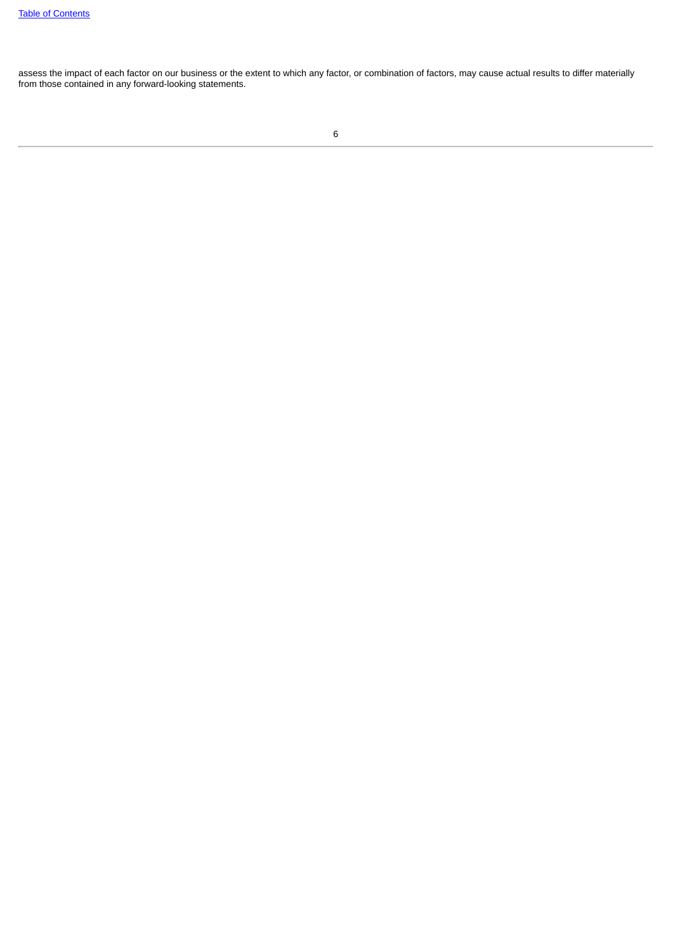assess the impact of each factor on our business or the extent to which any factor, or combination of factors, may cause actual results to differ materially from those contained in any forward-looking statements.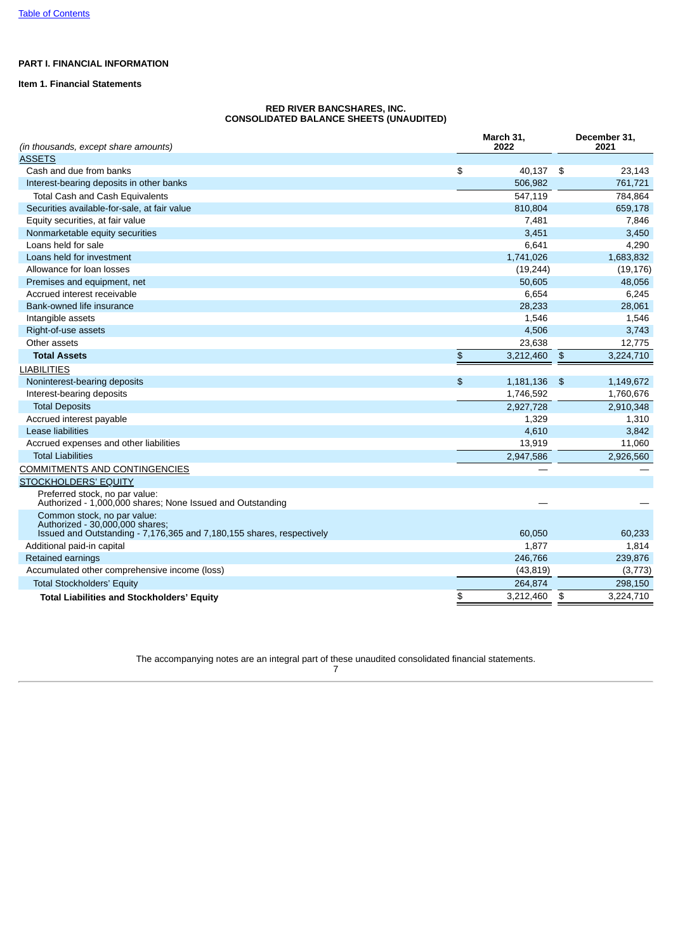# **PART I. FINANCIAL INFORMATION**

# <span id="page-6-1"></span><span id="page-6-0"></span>**Item 1. Financial Statements**

#### **RED RIVER BANCSHARES, INC. CONSOLIDATED BALANCE SHEETS (UNAUDITED)**

| (in thousands, except share amounts)                                                         | March 31,<br>2022 |           | December 31,<br>2021 |           |
|----------------------------------------------------------------------------------------------|-------------------|-----------|----------------------|-----------|
| <b>ASSETS</b>                                                                                |                   |           |                      |           |
| Cash and due from banks                                                                      | \$                | 40,137 \$ |                      | 23,143    |
| Interest-bearing deposits in other banks                                                     |                   | 506,982   |                      | 761,721   |
| <b>Total Cash and Cash Equivalents</b>                                                       |                   | 547,119   |                      | 784,864   |
| Securities available-for-sale, at fair value                                                 |                   | 810,804   |                      | 659,178   |
| Equity securities, at fair value                                                             |                   | 7,481     |                      | 7,846     |
| Nonmarketable equity securities                                                              |                   | 3,451     |                      | 3,450     |
| Loans held for sale                                                                          |                   | 6,641     |                      | 4,290     |
| Loans held for investment                                                                    |                   | 1,741,026 |                      | 1,683,832 |
| Allowance for loan losses                                                                    |                   | (19, 244) |                      | (19, 176) |
| Premises and equipment, net                                                                  |                   | 50,605    |                      | 48,056    |
| Accrued interest receivable                                                                  |                   | 6,654     |                      | 6,245     |
| Bank-owned life insurance                                                                    |                   | 28,233    |                      | 28,061    |
| Intangible assets                                                                            |                   | 1.546     |                      | 1,546     |
| Right-of-use assets                                                                          |                   | 4,506     |                      | 3,743     |
| Other assets                                                                                 |                   | 23,638    |                      | 12,775    |
| <b>Total Assets</b>                                                                          | \$                | 3,212,460 | $\sqrt{3}$           | 3,224,710 |
| <b>LIABILITIES</b>                                                                           |                   |           |                      |           |
| Noninterest-bearing deposits                                                                 | \$                | 1,181,136 | $\sqrt{3}$           | 1,149,672 |
| Interest-bearing deposits                                                                    |                   | 1,746,592 |                      | 1,760,676 |
| <b>Total Deposits</b>                                                                        |                   | 2,927,728 |                      | 2,910,348 |
| Accrued interest payable                                                                     |                   | 1,329     |                      | 1,310     |
| Lease liabilities                                                                            |                   | 4,610     |                      | 3,842     |
| Accrued expenses and other liabilities                                                       |                   | 13.919    |                      | 11,060    |
| <b>Total Liabilities</b>                                                                     |                   | 2,947,586 |                      | 2,926,560 |
| <b>COMMITMENTS AND CONTINGENCIES</b>                                                         |                   |           |                      |           |
| STOCKHOLDERS' EQUITY                                                                         |                   |           |                      |           |
| Preferred stock, no par value:<br>Authorized - 1,000,000 shares; None Issued and Outstanding |                   |           |                      |           |
| Common stock, no par value:<br>Authorized - 30,000,000 shares:                               |                   |           |                      |           |
| Issued and Outstanding - 7,176,365 and 7,180,155 shares, respectively                        |                   | 60,050    |                      | 60,233    |
| Additional paid-in capital                                                                   |                   | 1,877     |                      | 1,814     |
| Retained earnings                                                                            |                   | 246,766   |                      | 239,876   |
| Accumulated other comprehensive income (loss)                                                |                   | (43, 819) |                      | (3, 773)  |
| <b>Total Stockholders' Equity</b>                                                            |                   | 264,874   |                      | 298,150   |
| <b>Total Liabilities and Stockholders' Equity</b>                                            | \$                | 3,212,460 | \$                   | 3,224,710 |

<span id="page-6-2"></span>The accompanying notes are an integral part of these unaudited consolidated financial statements.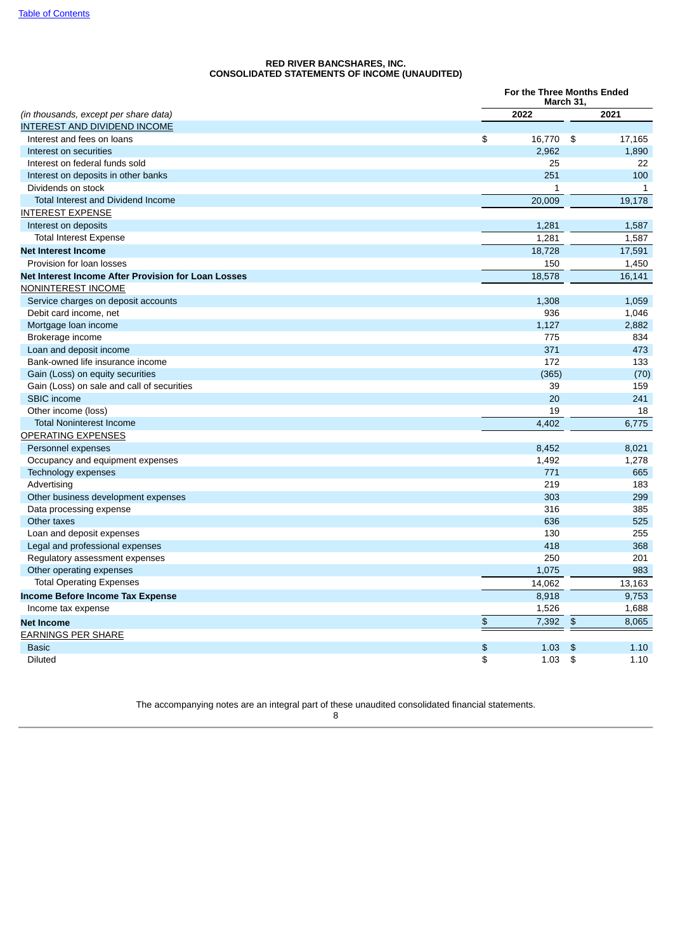#### **RED RIVER BANCSHARES, INC. CONSOLIDATED STATEMENTS OF INCOME (UNAUDITED)**

|                                                     |                | For the Three Months Ended<br>March 31, |               |              |  |  |  |  |
|-----------------------------------------------------|----------------|-----------------------------------------|---------------|--------------|--|--|--|--|
| (in thousands, except per share data)               | 2022           |                                         |               | 2021         |  |  |  |  |
| <b>INTEREST AND DIVIDEND INCOME</b>                 |                |                                         |               |              |  |  |  |  |
| Interest and fees on loans                          | \$             | 16,770                                  | \$            | 17,165       |  |  |  |  |
| Interest on securities                              |                | 2,962                                   |               | 1,890        |  |  |  |  |
| Interest on federal funds sold                      |                | 25                                      |               | 22           |  |  |  |  |
| Interest on deposits in other banks                 |                | 251                                     |               | 100          |  |  |  |  |
| Dividends on stock                                  |                | $\mathbf{1}$                            |               | $\mathbf{1}$ |  |  |  |  |
| Total Interest and Dividend Income                  |                | 20,009                                  |               | 19,178       |  |  |  |  |
| <b>INTEREST EXPENSE</b>                             |                |                                         |               |              |  |  |  |  |
| Interest on deposits                                |                | 1,281                                   |               | 1,587        |  |  |  |  |
| <b>Total Interest Expense</b>                       |                | 1,281                                   |               | 1,587        |  |  |  |  |
| <b>Net Interest Income</b>                          |                | 18,728                                  |               | 17,591       |  |  |  |  |
| Provision for loan losses                           |                | 150                                     |               | 1,450        |  |  |  |  |
| Net Interest Income After Provision for Loan Losses |                | 18,578                                  |               | 16,141       |  |  |  |  |
| <b>NONINTEREST INCOME</b>                           |                |                                         |               |              |  |  |  |  |
| Service charges on deposit accounts                 |                | 1,308                                   |               | 1,059        |  |  |  |  |
| Debit card income, net                              |                | 936                                     |               | 1,046        |  |  |  |  |
| Mortgage Ioan income                                |                | 1,127                                   |               | 2,882        |  |  |  |  |
| Brokerage income                                    |                | 775                                     |               | 834          |  |  |  |  |
| Loan and deposit income                             |                | 371                                     |               | 473          |  |  |  |  |
| Bank-owned life insurance income                    |                | 172                                     |               | 133          |  |  |  |  |
| Gain (Loss) on equity securities                    |                | (365)                                   |               | (70)         |  |  |  |  |
| Gain (Loss) on sale and call of securities          |                | 39                                      |               | 159          |  |  |  |  |
| <b>SBIC</b> income                                  |                | 20                                      |               | 241          |  |  |  |  |
| Other income (loss)                                 |                | 19                                      |               | 18           |  |  |  |  |
| <b>Total Noninterest Income</b>                     |                | 4,402                                   |               | 6,775        |  |  |  |  |
| OPERATING EXPENSES                                  |                |                                         |               |              |  |  |  |  |
| Personnel expenses                                  |                | 8,452                                   |               | 8,021        |  |  |  |  |
| Occupancy and equipment expenses                    |                | 1,492                                   |               | 1,278        |  |  |  |  |
| <b>Technology expenses</b>                          |                | 771                                     |               | 665          |  |  |  |  |
| Advertising                                         |                | 219                                     |               | 183          |  |  |  |  |
| Other business development expenses                 |                | 303                                     |               | 299          |  |  |  |  |
| Data processing expense                             |                | 316                                     |               | 385          |  |  |  |  |
| Other taxes                                         |                | 636                                     |               | 525          |  |  |  |  |
| Loan and deposit expenses                           |                | 130                                     |               | 255          |  |  |  |  |
| Legal and professional expenses                     |                | 418                                     |               | 368          |  |  |  |  |
| Regulatory assessment expenses                      |                | 250                                     |               | 201          |  |  |  |  |
| Other operating expenses                            |                | 1,075                                   |               | 983          |  |  |  |  |
| <b>Total Operating Expenses</b>                     |                | 14,062                                  |               | 13,163       |  |  |  |  |
| Income Before Income Tax Expense                    |                | 8,918                                   |               | 9,753        |  |  |  |  |
|                                                     |                | 1,526                                   |               | 1,688        |  |  |  |  |
| Income tax expense                                  | $\mathfrak{S}$ |                                         |               |              |  |  |  |  |
| <b>Net Income</b>                                   |                | 7,392                                   | \$            | 8,065        |  |  |  |  |
| <b>EARNINGS PER SHARE</b>                           |                |                                         |               |              |  |  |  |  |
| <b>Basic</b>                                        | \$             | 1.03                                    | $\frac{1}{2}$ | 1.10         |  |  |  |  |
| Diluted                                             | \$             | 1.03                                    | \$            | 1.10         |  |  |  |  |

<span id="page-7-0"></span>The accompanying notes are an integral part of these unaudited consolidated financial statements.

 $\overline{8}$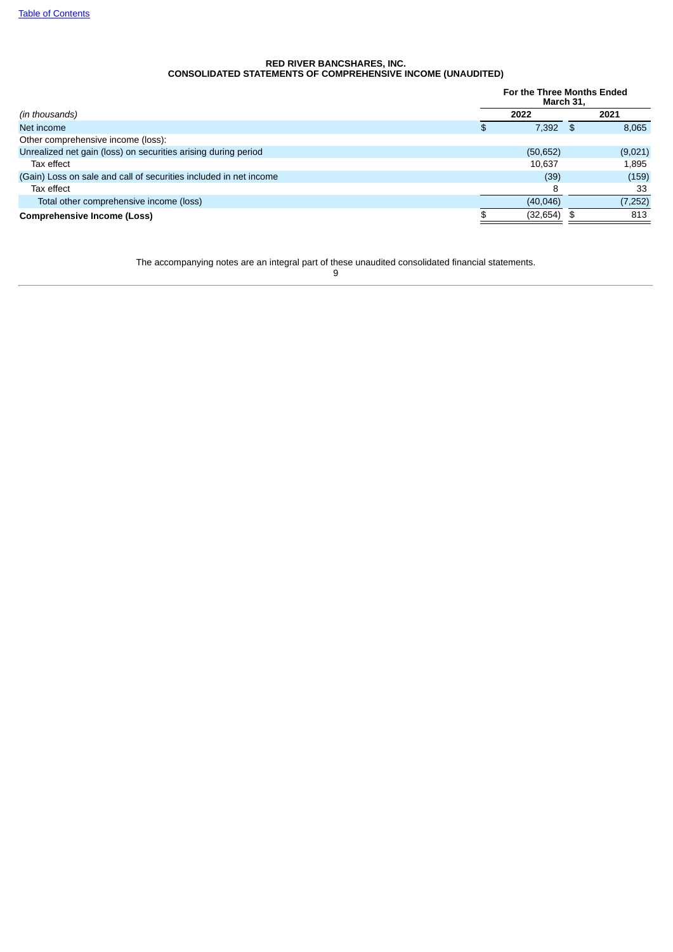#### **RED RIVER BANCSHARES, INC. CONSOLIDATED STATEMENTS OF COMPREHENSIVE INCOME (UNAUDITED)**

|                                                                   | For the Three Months Ended<br><b>March 31,</b> |           |      |          |  |  |  |  |
|-------------------------------------------------------------------|------------------------------------------------|-----------|------|----------|--|--|--|--|
| (in thousands)                                                    |                                                | 2022      |      | 2021     |  |  |  |  |
| Net income                                                        |                                                | 7.392     | - \$ | 8.065    |  |  |  |  |
| Other comprehensive income (loss):                                |                                                |           |      |          |  |  |  |  |
| Unrealized net gain (loss) on securities arising during period    |                                                | (50, 652) |      | (9,021)  |  |  |  |  |
| Tax effect                                                        |                                                | 10.637    |      | 1,895    |  |  |  |  |
| (Gain) Loss on sale and call of securities included in net income |                                                | (39)      |      | (159)    |  |  |  |  |
| Tax effect                                                        |                                                | 8         |      | 33       |  |  |  |  |
| Total other comprehensive income (loss)                           |                                                | (40,046)  |      | (7, 252) |  |  |  |  |
| <b>Comprehensive Income (Loss)</b>                                |                                                | (32, 654) |      | 813      |  |  |  |  |

<span id="page-8-0"></span>The accompanying notes are an integral part of these unaudited consolidated financial statements.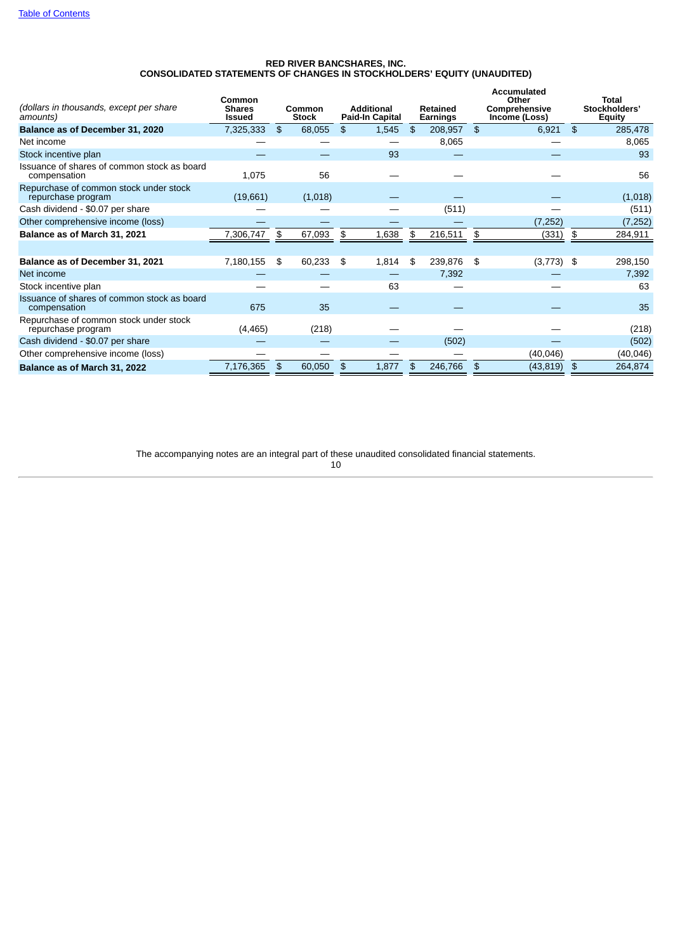### **RED RIVER BANCSHARES, INC. CONSOLIDATED STATEMENTS OF CHANGES IN STOCKHOLDERS' EQUITY (UNAUDITED)**

| (dollars in thousands, except per share<br>amounts)          | Common<br><b>Shares</b><br><b>Issued</b> | Common<br><b>Stock</b> | <b>Additional</b><br>Paid-In Capital | Retained<br>Earnings |                | <b>Accumulated</b><br>Other<br>Comprehensive<br>Income (Loss) |               | <b>Total</b><br>Stockholders'<br><b>Equity</b> |
|--------------------------------------------------------------|------------------------------------------|------------------------|--------------------------------------|----------------------|----------------|---------------------------------------------------------------|---------------|------------------------------------------------|
| Balance as of December 31, 2020                              | 7,325,333                                | \$<br>68,055           | \$<br>1,545                          | \$<br>208,957        | \$             | 6,921                                                         | \$            | 285,478                                        |
| Net income                                                   |                                          |                        |                                      | 8,065                |                |                                                               |               | 8,065                                          |
| Stock incentive plan                                         |                                          |                        | 93                                   |                      |                |                                                               |               | 93                                             |
| Issuance of shares of common stock as board<br>compensation  | 1,075                                    | 56                     |                                      |                      |                |                                                               |               | 56                                             |
| Repurchase of common stock under stock<br>repurchase program | (19,661)                                 | (1,018)                |                                      |                      |                |                                                               |               | (1,018)                                        |
| Cash dividend - \$0.07 per share                             |                                          |                        |                                      | (511)                |                |                                                               |               | (511)                                          |
| Other comprehensive income (loss)                            |                                          |                        |                                      |                      |                | (7, 252)                                                      |               | (7, 252)                                       |
| Balance as of March 31, 2021                                 | 7,306,747                                | \$<br>67,093           | \$<br>1,638                          | \$<br>216,511        | \$             | (331)                                                         | \$            | 284,911                                        |
|                                                              |                                          |                        |                                      |                      |                |                                                               |               |                                                |
| Balance as of December 31, 2021                              | 7,180,155                                | \$<br>60,233           | \$<br>1,814                          | \$<br>239,876        | - \$           | $(3,773)$ \$                                                  |               | 298,150                                        |
| Net income                                                   |                                          |                        |                                      | 7,392                |                |                                                               |               | 7,392                                          |
| Stock incentive plan                                         |                                          |                        | 63                                   |                      |                |                                                               |               | 63                                             |
| Issuance of shares of common stock as board<br>compensation  | 675                                      | 35                     |                                      |                      |                |                                                               |               | 35                                             |
| Repurchase of common stock under stock<br>repurchase program | (4, 465)                                 | (218)                  |                                      |                      |                |                                                               |               | (218)                                          |
| Cash dividend - \$0.07 per share                             |                                          |                        |                                      | (502)                |                |                                                               |               | (502)                                          |
| Other comprehensive income (loss)                            |                                          |                        |                                      |                      |                | (40, 046)                                                     |               | (40, 046)                                      |
| Balance as of March 31, 2022                                 | 7,176,365                                | \$<br>60,050           | \$<br>1,877                          | \$<br>246,766        | $\mathfrak{F}$ | (43,819)                                                      | $\frac{3}{2}$ | 264,874                                        |

<span id="page-9-0"></span>The accompanying notes are an integral part of these unaudited consolidated financial statements.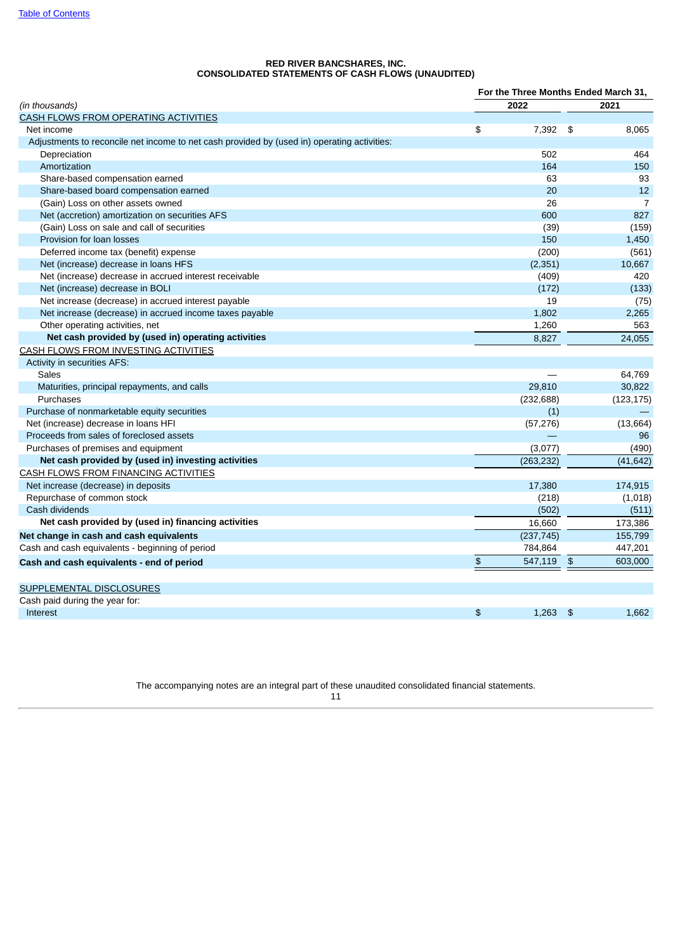#### **RED RIVER BANCSHARES, INC. CONSOLIDATED STATEMENTS OF CASH FLOWS (UNAUDITED)**

|                                                                                             | For the Three Months Ended March 31, |            |                |                |  |  |  |
|---------------------------------------------------------------------------------------------|--------------------------------------|------------|----------------|----------------|--|--|--|
| (in thousands)                                                                              |                                      | 2022       |                | 2021           |  |  |  |
| CASH FLOWS FROM OPERATING ACTIVITIES                                                        |                                      |            |                |                |  |  |  |
| Net income                                                                                  | \$                                   | 7,392      | \$             | 8,065          |  |  |  |
| Adjustments to reconcile net income to net cash provided by (used in) operating activities: |                                      |            |                |                |  |  |  |
| Depreciation                                                                                |                                      | 502        |                | 464            |  |  |  |
| Amortization                                                                                |                                      | 164        |                | 150            |  |  |  |
| Share-based compensation earned                                                             |                                      | 63         |                | 93             |  |  |  |
| Share-based board compensation earned                                                       |                                      | 20         |                | 12             |  |  |  |
| (Gain) Loss on other assets owned                                                           |                                      | 26         |                | $\overline{7}$ |  |  |  |
| Net (accretion) amortization on securities AFS                                              |                                      | 600        |                | 827            |  |  |  |
| (Gain) Loss on sale and call of securities                                                  |                                      | (39)       |                | (159)          |  |  |  |
| Provision for loan losses                                                                   |                                      | 150        |                | 1,450          |  |  |  |
| Deferred income tax (benefit) expense                                                       |                                      | (200)      |                | (561)          |  |  |  |
| Net (increase) decrease in loans HFS                                                        |                                      | (2, 351)   |                | 10,667         |  |  |  |
| Net (increase) decrease in accrued interest receivable                                      |                                      | (409)      |                | 420            |  |  |  |
| Net (increase) decrease in BOLI                                                             |                                      | (172)      |                | (133)          |  |  |  |
| Net increase (decrease) in accrued interest payable                                         |                                      | 19         |                | (75)           |  |  |  |
| Net increase (decrease) in accrued income taxes payable                                     |                                      | 1,802      |                | 2,265          |  |  |  |
| Other operating activities, net                                                             |                                      | 1,260      |                | 563            |  |  |  |
| Net cash provided by (used in) operating activities                                         |                                      | 8,827      |                | 24,055         |  |  |  |
| CASH FLOWS FROM INVESTING ACTIVITIES                                                        |                                      |            |                |                |  |  |  |
| Activity in securities AFS:                                                                 |                                      |            |                |                |  |  |  |
| Sales                                                                                       |                                      |            |                | 64,769         |  |  |  |
| Maturities, principal repayments, and calls                                                 |                                      | 29.810     |                | 30,822         |  |  |  |
| Purchases                                                                                   |                                      | (232, 688) |                | (123, 175)     |  |  |  |
| Purchase of nonmarketable equity securities                                                 |                                      | (1)        |                |                |  |  |  |
| Net (increase) decrease in loans HFI                                                        |                                      | (57, 276)  |                | (13,664)       |  |  |  |
| Proceeds from sales of foreclosed assets                                                    |                                      |            |                | 96             |  |  |  |
| Purchases of premises and equipment                                                         |                                      | (3,077)    |                | (490)          |  |  |  |
| Net cash provided by (used in) investing activities                                         |                                      | (263, 232) |                | (41, 642)      |  |  |  |
| CASH FLOWS FROM FINANCING ACTIVITIES                                                        |                                      |            |                |                |  |  |  |
| Net increase (decrease) in deposits                                                         |                                      | 17,380     |                | 174,915        |  |  |  |
| Repurchase of common stock                                                                  |                                      | (218)      |                | (1,018)        |  |  |  |
| Cash dividends                                                                              |                                      | (502)      |                | (511)          |  |  |  |
| Net cash provided by (used in) financing activities                                         |                                      | 16,660     |                | 173,386        |  |  |  |
| Net change in cash and cash equivalents                                                     |                                      | (237, 745) |                | 155,799        |  |  |  |
| Cash and cash equivalents - beginning of period                                             |                                      | 784,864    |                | 447,201        |  |  |  |
| Cash and cash equivalents - end of period                                                   | \$                                   | 547,119    | $\frac{4}{5}$  | 603,000        |  |  |  |
|                                                                                             |                                      |            |                |                |  |  |  |
| <b>SUPPLEMENTAL DISCLOSURES</b>                                                             |                                      |            |                |                |  |  |  |
| Cash paid during the year for:                                                              |                                      |            |                |                |  |  |  |
| Interest                                                                                    | \$                                   | 1.263      | $\mathfrak{F}$ | 1.662          |  |  |  |

<span id="page-10-0"></span>The accompanying notes are an integral part of these unaudited consolidated financial statements.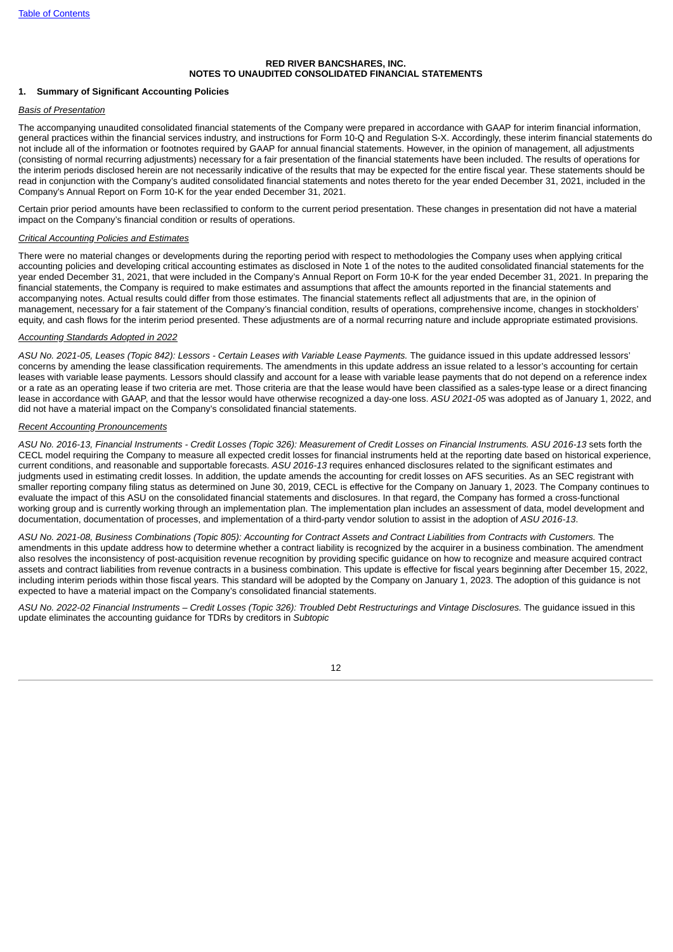#### **RED RIVER BANCSHARES, INC. NOTES TO UNAUDITED CONSOLIDATED FINANCIAL STATEMENTS**

# **1. Summary of Significant Accounting Policies**

#### *Basis of Presentation*

The accompanying unaudited consolidated financial statements of the Company were prepared in accordance with GAAP for interim financial information, general practices within the financial services industry, and instructions for Form 10-Q and Regulation S-X. Accordingly, these interim financial statements do not include all of the information or footnotes required by GAAP for annual financial statements. However, in the opinion of management, all adjustments (consisting of normal recurring adjustments) necessary for a fair presentation of the financial statements have been included. The results of operations for the interim periods disclosed herein are not necessarily indicative of the results that may be expected for the entire fiscal year. These statements should be read in conjunction with the Company's audited consolidated financial statements and notes thereto for the year ended December 31, 2021, included in the Company's Annual Report on Form 10-K for the year ended December 31, 2021.

Certain prior period amounts have been reclassified to conform to the current period presentation. These changes in presentation did not have a material impact on the Company's financial condition or results of operations.

### *Critical Accounting Policies and Estimates*

There were no material changes or developments during the reporting period with respect to methodologies the Company uses when applying critical accounting policies and developing critical accounting estimates as disclosed in Note 1 of the notes to the audited consolidated financial statements for the year ended December 31, 2021, that were included in the Company's Annual Report on Form 10-K for the year ended December 31, 2021. In preparing the financial statements, the Company is required to make estimates and assumptions that affect the amounts reported in the financial statements and accompanying notes. Actual results could differ from those estimates. The financial statements reflect all adjustments that are, in the opinion of management, necessary for a fair statement of the Company's financial condition, results of operations, comprehensive income, changes in stockholders' equity, and cash flows for the interim period presented. These adjustments are of a normal recurring nature and include appropriate estimated provisions.

# *Accounting Standards Adopted in 2022*

ASU No. 2021-05, Leases (Topic 842): Lessors - Certain Leases with Variable Lease Payments. The quidance issued in this update addressed lessors' concerns by amending the lease classification requirements. The amendments in this update address an issue related to a lessor's accounting for certain leases with variable lease payments. Lessors should classify and account for a lease with variable lease payments that do not depend on a reference index or a rate as an operating lease if two criteria are met. Those criteria are that the lease would have been classified as a sales-type lease or a direct financing lease in accordance with GAAP, and that the lessor would have otherwise recognized a day-one loss. *ASU 2021-05* was adopted as of January 1, 2022, and did not have a material impact on the Company's consolidated financial statements.

# *Recent Accounting Pronouncements*

*ASU No. 2016-13, Financial Instruments - Credit Losses (Topic 326): Measurement of Credit Losses on Financial Instruments. ASU 2016-13* sets forth the CECL model requiring the Company to measure all expected credit losses for financial instruments held at the reporting date based on historical experience, current conditions, and reasonable and supportable forecasts. *ASU 2016-13* requires enhanced disclosures related to the significant estimates and judgments used in estimating credit losses. In addition, the update amends the accounting for credit losses on AFS securities. As an SEC registrant with smaller reporting company filing status as determined on June 30, 2019, CECL is effective for the Company on January 1, 2023. The Company continues to evaluate the impact of this ASU on the consolidated financial statements and disclosures. In that regard, the Company has formed a cross-functional working group and is currently working through an implementation plan. The implementation plan includes an assessment of data, model development and documentation, documentation of processes, and implementation of a third-party vendor solution to assist in the adoption of *ASU 2016-13*.

*ASU No. 2021-08, Business Combinations (Topic 805): Accounting for Contract Assets and Contract Liabilities from Contracts with Customers.* The amendments in this update address how to determine whether a contract liability is recognized by the acquirer in a business combination. The amendment also resolves the inconsistency of post-acquisition revenue recognition by providing specific guidance on how to recognize and measure acquired contract assets and contract liabilities from revenue contracts in a business combination. This update is effective for fiscal years beginning after December 15, 2022, including interim periods within those fiscal years. This standard will be adopted by the Company on January 1, 2023. The adoption of this guidance is not expected to have a material impact on the Company's consolidated financial statements.

*ASU No. 2022-02 Financial Instruments – Credit Losses (Topic 326): Troubled Debt Restructurings and Vintage Disclosures.* The guidance issued in this update eliminates the accounting guidance for TDRs by creditors in *Subtopic*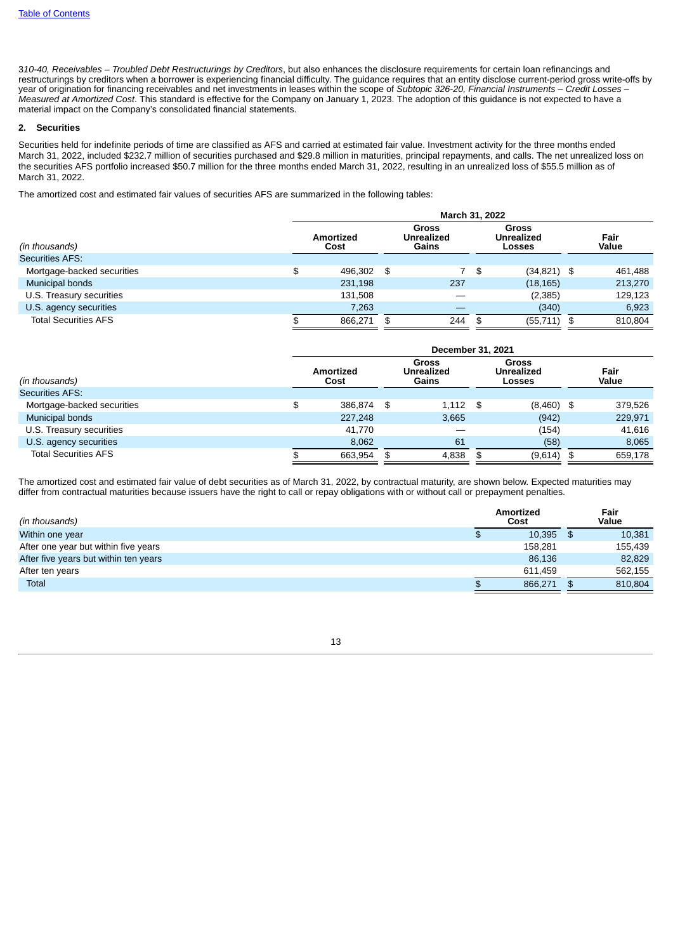3*10-40, Receivables – Troubled Debt Restructurings by Creditors*, but also enhances the disclosure requirements for certain loan refinancings and restructurings by creditors when a borrower is experiencing financial difficulty. The guidance requires that an entity disclose current-period gross write-offs by year of origination for financing receivables and net investments in leases within the scope of *Subtopic 326-20, Financial Instruments – Credit Losses – Measured at Amortized Cost*. This standard is effective for the Company on January 1, 2023. The adoption of this guidance is not expected to have a material impact on the Company's consolidated financial statements.

#### **2. Securities**

Securities held for indefinite periods of time are classified as AFS and carried at estimated fair value. Investment activity for the three months ended March 31, 2022, included \$232.7 million of securities purchased and \$29.8 million in maturities, principal repayments, and calls. The net unrealized loss on the securities AFS portfolio increased \$50.7 million for the three months ended March 31, 2022, resulting in an unrealized loss of \$55.5 million as of March 31, 2022.

The amortized cost and estimated fair values of securities AFS are summarized in the following tables:

|                             | <b>March 31, 2022</b> |      |                                     |    |                                             |    |               |  |  |  |  |  |
|-----------------------------|-----------------------|------|-------------------------------------|----|---------------------------------------------|----|---------------|--|--|--|--|--|
| (in thousands)              | Amortized<br>Cost     |      | <b>Gross</b><br>Unrealized<br>Gains |    | <b>Gross</b><br><b>Unrealized</b><br>Losses |    | Fair<br>Value |  |  |  |  |  |
| Securities AFS:             |                       |      |                                     |    |                                             |    |               |  |  |  |  |  |
| Mortgage-backed securities  | \$<br>496.302         | - \$ |                                     | \$ | $(34,821)$ \$                               |    | 461,488       |  |  |  |  |  |
| <b>Municipal bonds</b>      | 231,198               |      | 237                                 |    | (18, 165)                                   |    | 213,270       |  |  |  |  |  |
| U.S. Treasury securities    | 131,508               |      |                                     |    | (2,385)                                     |    | 129,123       |  |  |  |  |  |
| U.S. agency securities      | 7,263                 |      |                                     |    | (340)                                       |    | 6,923         |  |  |  |  |  |
| <b>Total Securities AFS</b> | 866.271               | \$   | 244                                 |    | (55, 711)                                   | \$ | 810.804       |  |  |  |  |  |

|                             | December 31, 2021                                 |         |      |       |                                                    |              |               |         |  |  |  |  |
|-----------------------------|---------------------------------------------------|---------|------|-------|----------------------------------------------------|--------------|---------------|---------|--|--|--|--|
| (in thousands)              | Gross<br>Amortized<br>Unrealized<br>Gains<br>Cost |         |      |       | <b>Gross</b><br><b>Unrealized</b><br><b>Losses</b> |              | Fair<br>Value |         |  |  |  |  |
| Securities AFS:             |                                                   |         |      |       |                                                    |              |               |         |  |  |  |  |
| Mortgage-backed securities  | \$                                                | 386.874 | - \$ | 1,112 | \$                                                 | $(8,460)$ \$ |               | 379,526 |  |  |  |  |
| <b>Municipal bonds</b>      |                                                   | 227,248 |      | 3,665 |                                                    | (942)        |               | 229,971 |  |  |  |  |
| U.S. Treasury securities    |                                                   | 41.770  |      |       |                                                    | (154)        |               | 41,616  |  |  |  |  |
| U.S. agency securities      |                                                   | 8.062   |      | 61    |                                                    | (58)         |               | 8,065   |  |  |  |  |
| <b>Total Securities AFS</b> |                                                   | 663,954 | \$   | 4,838 | \$                                                 | (9,614)      | \$            | 659,178 |  |  |  |  |

The amortized cost and estimated fair value of debt securities as of March 31, 2022, by contractual maturity, are shown below. Expected maturities may differ from contractual maturities because issuers have the right to call or repay obligations with or without call or prepayment penalties.

| (in thousands)                        | Amortized<br>Cost |         | Fair<br>Value |
|---------------------------------------|-------------------|---------|---------------|
| Within one year                       | \$                | 10,395  | 10,381        |
| After one year but within five years  |                   | 158.281 | 155,439       |
| After five years but within ten years |                   | 86,136  | 82,829        |
| After ten years                       |                   | 611.459 | 562,155       |
| Total                                 | \$                | 866.271 | 810.804       |

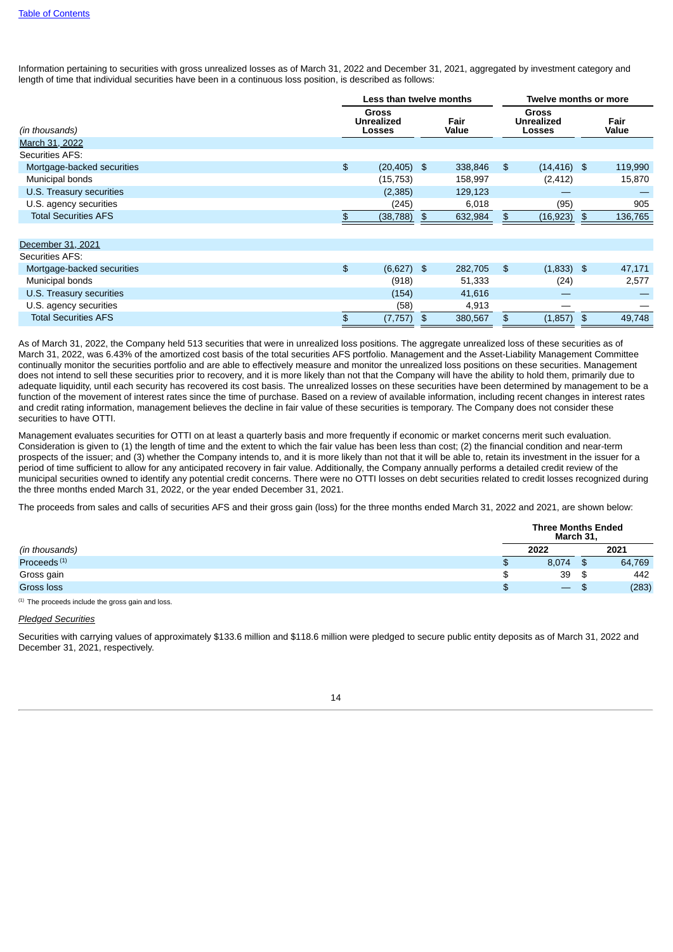Information pertaining to securities with gross unrealized losses as of March 31, 2022 and December 31, 2021, aggregated by investment category and length of time that individual securities have been in a continuous loss position, is described as follows:

|                             |               | Less than twelve months       |    | Twelve months or more |               |                                      |    |               |
|-----------------------------|---------------|-------------------------------|----|-----------------------|---------------|--------------------------------------|----|---------------|
| (in thousands)              |               | Gross<br>Unrealized<br>Losses |    | Fair<br>Value         |               | Gross<br><b>Unrealized</b><br>Losses |    | Fair<br>Value |
| March 31, 2022              |               |                               |    |                       |               |                                      |    |               |
| Securities AFS:             |               |                               |    |                       |               |                                      |    |               |
| Mortgage-backed securities  | $\frac{1}{2}$ | $(20, 405)$ \$                |    | 338,846               | \$            | $(14, 416)$ \$                       |    | 119,990       |
| Municipal bonds             |               | (15, 753)                     |    | 158,997               |               | (2, 412)                             |    | 15,870        |
| U.S. Treasury securities    |               | (2,385)                       |    | 129,123               |               |                                      |    |               |
| U.S. agency securities      |               | (245)                         |    | 6,018                 |               | (95)                                 |    | 905           |
| <b>Total Securities AFS</b> |               | (38, 788)                     | \$ | 632,984               | \$            | (16, 923)                            | \$ | 136,765       |
|                             |               |                               |    |                       |               |                                      |    |               |
| December 31, 2021           |               |                               |    |                       |               |                                      |    |               |
| Securities AFS:             |               |                               |    |                       |               |                                      |    |               |
| Mortgage-backed securities  | $\frac{1}{2}$ | $(6,627)$ \$                  |    | 282,705               | $\frac{3}{2}$ | $(1,833)$ \$                         |    | 47,171        |
| Municipal bonds             |               | (918)                         |    | 51,333                |               | (24)                                 |    | 2,577         |
| U.S. Treasury securities    |               | (154)                         |    | 41,616                |               |                                      |    |               |
| U.S. agency securities      |               | (58)                          |    | 4,913                 |               |                                      |    |               |
| <b>Total Securities AFS</b> | \$            | (7, 757)                      | \$ | 380,567               | \$            | (1,857)                              | \$ | 49,748        |

As of March 31, 2022, the Company held 513 securities that were in unrealized loss positions. The aggregate unrealized loss of these securities as of March 31, 2022, was 6.43% of the amortized cost basis of the total securities AFS portfolio. Management and the Asset-Liability Management Committee continually monitor the securities portfolio and are able to effectively measure and monitor the unrealized loss positions on these securities. Management does not intend to sell these securities prior to recovery, and it is more likely than not that the Company will have the ability to hold them, primarily due to adequate liquidity, until each security has recovered its cost basis. The unrealized losses on these securities have been determined by management to be a function of the movement of interest rates since the time of purchase. Based on a review of available information, including recent changes in interest rates and credit rating information, management believes the decline in fair value of these securities is temporary. The Company does not consider these securities to have OTTI.

Management evaluates securities for OTTI on at least a quarterly basis and more frequently if economic or market concerns merit such evaluation. Consideration is given to (1) the length of time and the extent to which the fair value has been less than cost; (2) the financial condition and near-term prospects of the issuer; and (3) whether the Company intends to, and it is more likely than not that it will be able to, retain its investment in the issuer for a period of time sufficient to allow for any anticipated recovery in fair value. Additionally, the Company annually performs a detailed credit review of the municipal securities owned to identify any potential credit concerns. There were no OTTI losses on debt securities related to credit losses recognized during the three months ended March 31, 2022, or the year ended December 31, 2021.

The proceeds from sales and calls of securities AFS and their gross gain (loss) for the three months ended March 31, 2022 and 2021, are shown below:

|                         | <b>Three Months Ended</b><br><b>March 31.</b> |              |
|-------------------------|-----------------------------------------------|--------------|
| (in thousands)          | 2022                                          | 2021         |
| Proceeds <sup>(1)</sup> | \$<br>8,074                                   | \$<br>64,769 |
| Gross gain              | \$<br>39                                      | \$<br>442    |
| Gross loss              | \$<br>$\hspace{0.05cm}$                       | \$<br>(283)  |

 $<sup>(1)</sup>$  The proceeds include the gross gain and loss.</sup>

#### *Pledged Securities*

Securities with carrying values of approximately \$133.6 million and \$118.6 million were pledged to secure public entity deposits as of March 31, 2022 and December 31, 2021, respectively.

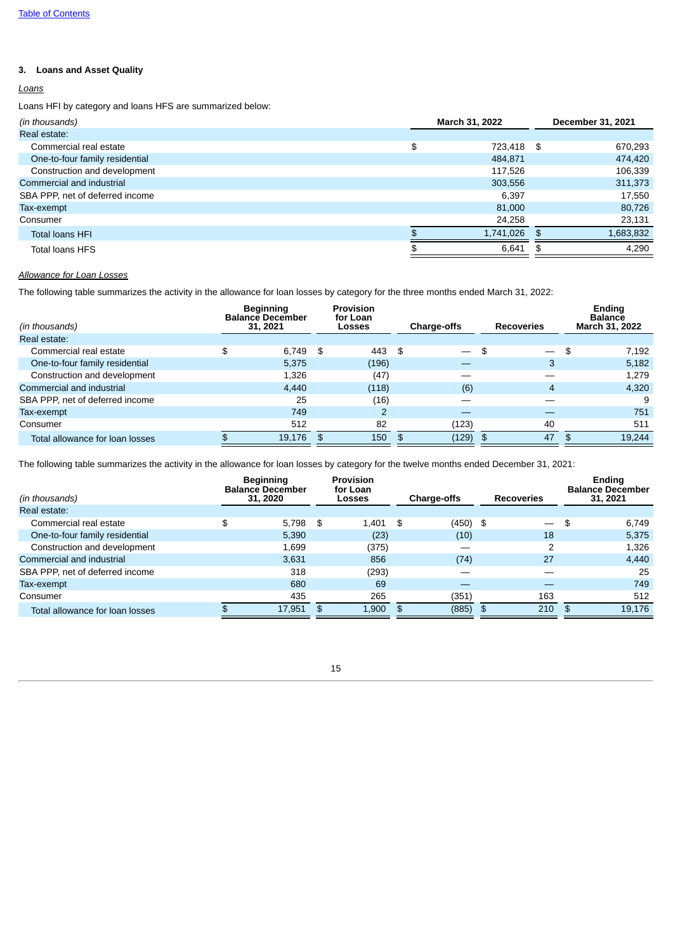# **3. Loans and Asset Quality**

# *Loans*

Loans HFI by category and loans HFS are summarized below:

| (in thousands)                  | <b>March 31, 2022</b> | December 31, 2021 |
|---------------------------------|-----------------------|-------------------|
| Real estate:                    |                       |                   |
| Commercial real estate          | \$<br>723,418         | \$<br>670.293     |
| One-to-four family residential  | 484,871               | 474,420           |
| Construction and development    | 117,526               | 106,339           |
| Commercial and industrial       | 303,556               | 311,373           |
| SBA PPP, net of deferred income | 6.397                 | 17.550            |
| Tax-exempt                      | 81,000                | 80,726            |
| Consumer                        | 24,258                | 23,131            |
| <b>Total loans HFI</b>          | 1,741,026             | \$<br>1,683,832   |
| <b>Total loans HFS</b>          | 6,641                 | 4,290             |

# *Allowance for Loan Losses*

The following table summarizes the activity in the allowance for loan losses by category for the three months ended March 31, 2022:

| (in thousands)                  | <b>Beginning</b><br><b>Balance December</b><br>31, 2021 |        |     | Provision<br>for Loan<br>Losses | <b>Charge-offs</b><br><b>Recoveries</b> |                          |    | Endina<br><b>Balance</b><br>March 31, 2022 |             |
|---------------------------------|---------------------------------------------------------|--------|-----|---------------------------------|-----------------------------------------|--------------------------|----|--------------------------------------------|-------------|
| Real estate:                    |                                                         |        |     |                                 |                                         |                          |    |                                            |             |
| Commercial real estate          | \$                                                      | 6.749  | -\$ | 443                             | \$                                      | $\overline{\phantom{0}}$ | \$ |                                            | \$<br>7.192 |
| One-to-four family residential  |                                                         | 5,375  |     | (196)                           |                                         |                          |    | 3                                          | 5,182       |
| Construction and development    |                                                         | 1,326  |     | (47)                            |                                         |                          |    |                                            | 1,279       |
| Commercial and industrial       |                                                         | 4.440  |     | (118)                           |                                         | (6)                      |    | 4                                          | 4,320       |
| SBA PPP, net of deferred income |                                                         | 25     |     | (16)                            |                                         |                          |    |                                            | 9           |
| Tax-exempt                      |                                                         | 749    |     | っ                               |                                         | _                        |    | __                                         | 751         |
| Consumer                        |                                                         | 512    |     | 82                              |                                         | (123)                    |    | 40                                         | 511         |
| Total allowance for loan losses |                                                         | 19,176 | \$  | 150                             | \$                                      | (129)                    | \$ | 47                                         | 19,244      |

The following table summarizes the activity in the allowance for loan losses by category for the twelve months ended December 31, 2021:

| (in thousands)                  | <b>Beginning</b><br><b>Balance December</b><br>31, 2020 |        |      | <b>Provision</b><br>for Loan<br><b>Charge-offs</b><br>Losses |      | <b>Recoveries</b> | Ending<br><b>Balance December</b><br>31, 2021 |                          |              |
|---------------------------------|---------------------------------------------------------|--------|------|--------------------------------------------------------------|------|-------------------|-----------------------------------------------|--------------------------|--------------|
| Real estate:                    |                                                         |        |      |                                                              |      |                   |                                               |                          |              |
| Commercial real estate          | \$                                                      | 5.798  | - \$ | 1.401                                                        | - \$ | (450) \$          |                                               | $\overline{\phantom{a}}$ | \$<br>6.749  |
| One-to-four family residential  |                                                         | 5.390  |      | (23)                                                         |      | (10)              |                                               | 18                       | 5,375        |
| Construction and development    |                                                         | 1.699  |      | (375)                                                        |      |                   |                                               |                          | 1,326        |
| Commercial and industrial       |                                                         | 3,631  |      | 856                                                          |      | (74)              |                                               | 27                       | 4,440        |
| SBA PPP, net of deferred income |                                                         | 318    |      | (293)                                                        |      |                   |                                               |                          | 25           |
| Tax-exempt                      |                                                         | 680    |      | 69                                                           |      |                   |                                               |                          | 749          |
| Consumer                        |                                                         | 435    |      | 265                                                          |      | (351)             |                                               | 163                      | 512          |
| Total allowance for loan losses |                                                         | 17,951 | £.   | 1,900                                                        | \$   | (885)             | \$                                            | 210                      | \$<br>19,176 |

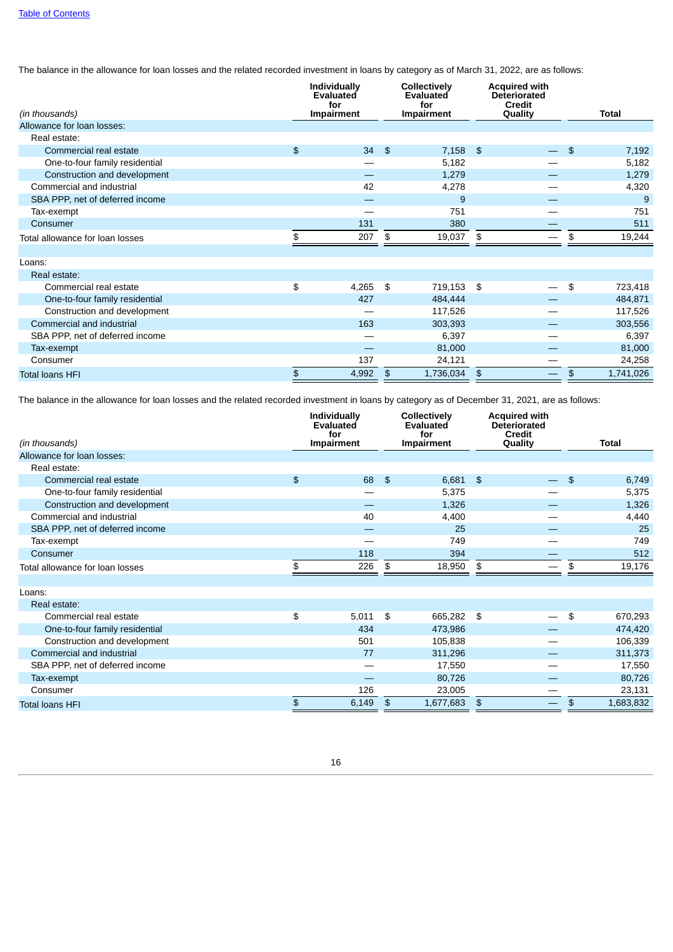The balance in the allowance for loan losses and the related recorded investment in loans by category as of March 31, 2022, are as follows:

| (in thousands)                  |                | <b>Individually</b><br><b>Evaluated</b><br>for<br><b>Impairment</b> |               | Collectively<br><b>Evaluated</b><br>for<br><b>Impairment</b> |               | <b>Acquired with</b><br><b>Deteriorated</b><br><b>Credit</b><br>Quality | Total           |
|---------------------------------|----------------|---------------------------------------------------------------------|---------------|--------------------------------------------------------------|---------------|-------------------------------------------------------------------------|-----------------|
| Allowance for loan losses:      |                |                                                                     |               |                                                              |               |                                                                         |                 |
| Real estate:                    |                |                                                                     |               |                                                              |               |                                                                         |                 |
| Commercial real estate          | $\mathfrak{L}$ | 34                                                                  | \$            | 7,158                                                        | \$            |                                                                         | \$<br>7,192     |
| One-to-four family residential  |                |                                                                     |               | 5,182                                                        |               |                                                                         | 5,182           |
| Construction and development    |                |                                                                     |               | 1,279                                                        |               |                                                                         | 1,279           |
| Commercial and industrial       |                | 42                                                                  |               | 4,278                                                        |               |                                                                         | 4,320           |
| SBA PPP, net of deferred income |                |                                                                     |               | 9                                                            |               |                                                                         | 9               |
| Tax-exempt                      |                |                                                                     |               | 751                                                          |               |                                                                         | 751             |
| Consumer                        |                | 131                                                                 |               | 380                                                          |               |                                                                         | 511             |
| Total allowance for loan losses | \$             | 207                                                                 | \$            | 19,037                                                       | \$            |                                                                         | \$<br>19,244    |
|                                 |                |                                                                     |               |                                                              |               |                                                                         |                 |
| Loans:                          |                |                                                                     |               |                                                              |               |                                                                         |                 |
| Real estate:                    |                |                                                                     |               |                                                              |               |                                                                         |                 |
| Commercial real estate          | \$             | 4,265                                                               | \$            | 719,153                                                      | \$            |                                                                         | \$<br>723,418   |
| One-to-four family residential  |                | 427                                                                 |               | 484,444                                                      |               |                                                                         | 484,871         |
| Construction and development    |                |                                                                     |               | 117,526                                                      |               |                                                                         | 117,526         |
| Commercial and industrial       |                | 163                                                                 |               | 303,393                                                      |               |                                                                         | 303,556         |
| SBA PPP, net of deferred income |                |                                                                     |               | 6,397                                                        |               |                                                                         | 6,397           |
| Tax-exempt                      |                |                                                                     |               | 81,000                                                       |               |                                                                         | 81,000          |
| Consumer                        |                | 137                                                                 |               | 24,121                                                       |               |                                                                         | 24,258          |
| <b>Total loans HFI</b>          | \$             | 4,992                                                               | $\frac{1}{2}$ | 1,736,034                                                    | $\frac{1}{2}$ |                                                                         | \$<br>1,741,026 |

The balance in the allowance for loan losses and the related recorded investment in loans by category as of December 31, 2021, are as follows:

|                                 |    | <b>Individually</b><br><b>Evaluated</b><br>for |                | Collectively<br><b>Evaluated</b><br>for |               | <b>Acquired with</b><br><b>Deteriorated</b><br><b>Credit</b> |               |              |
|---------------------------------|----|------------------------------------------------|----------------|-----------------------------------------|---------------|--------------------------------------------------------------|---------------|--------------|
| (in thousands)                  |    | <b>Impairment</b>                              |                | <b>Impairment</b>                       |               | Quality                                                      |               | <b>Total</b> |
| Allowance for loan losses:      |    |                                                |                |                                         |               |                                                              |               |              |
| Real estate:                    |    |                                                |                |                                         |               |                                                              |               |              |
| Commercial real estate          | \$ | 68                                             | $\mathfrak{s}$ | $6,681$ \$                              |               |                                                              | \$            | 6,749        |
| One-to-four family residential  |    |                                                |                | 5,375                                   |               |                                                              |               | 5,375        |
| Construction and development    |    |                                                |                | 1,326                                   |               |                                                              |               | 1,326        |
| Commercial and industrial       |    | 40                                             |                | 4,400                                   |               |                                                              |               | 4,440        |
| SBA PPP, net of deferred income |    |                                                |                | 25                                      |               |                                                              |               | 25           |
| Tax-exempt                      |    |                                                |                | 749                                     |               |                                                              |               | 749          |
| Consumer                        |    | 118                                            |                | 394                                     |               |                                                              |               | 512          |
| Total allowance for loan losses |    | 226                                            | \$             | 18,950                                  | \$            |                                                              | \$.           | 19,176       |
|                                 |    |                                                |                |                                         |               |                                                              |               |              |
| Loans:                          |    |                                                |                |                                         |               |                                                              |               |              |
| Real estate:                    |    |                                                |                |                                         |               |                                                              |               |              |
| Commercial real estate          | \$ | 5,011                                          | \$             | 665,282                                 | -\$           |                                                              | \$            | 670,293      |
| One-to-four family residential  |    | 434                                            |                | 473,986                                 |               |                                                              |               | 474,420      |
| Construction and development    |    | 501                                            |                | 105,838                                 |               |                                                              |               | 106,339      |
| Commercial and industrial       |    | 77                                             |                | 311,296                                 |               |                                                              |               | 311,373      |
| SBA PPP, net of deferred income |    |                                                |                | 17,550                                  |               |                                                              |               | 17,550       |
| Tax-exempt                      |    |                                                |                | 80,726                                  |               |                                                              |               | 80,726       |
| Consumer                        |    | 126                                            |                | 23,005                                  |               |                                                              |               | 23,131       |
| <b>Total loans HFI</b>          | \$ | 6,149                                          | \$             | 1,677,683                               | $\frac{1}{2}$ | $\overline{\phantom{0}}$                                     | $\frac{2}{3}$ | 1,683,832    |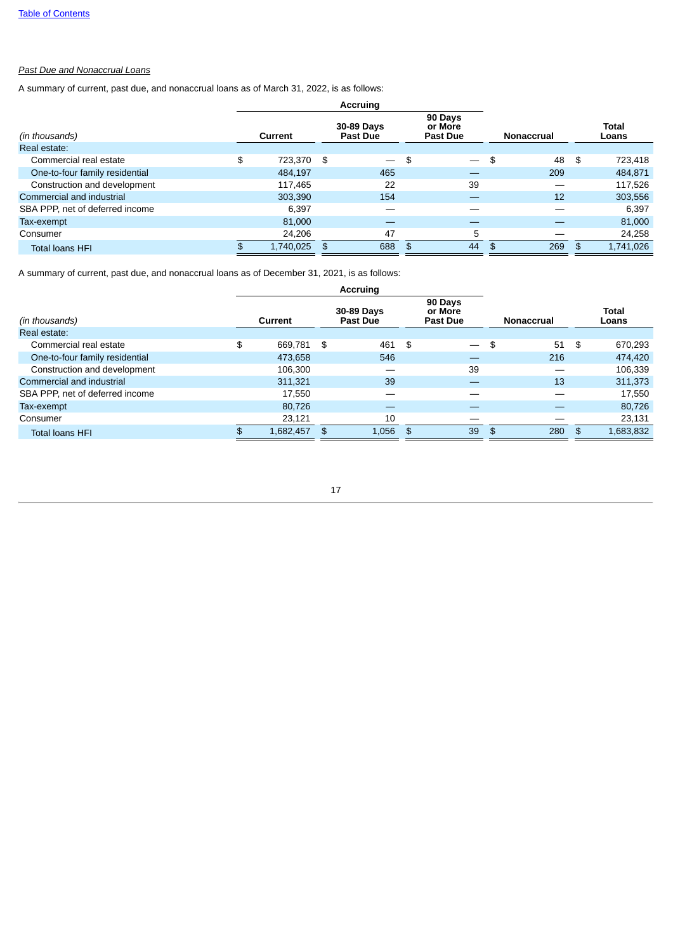# *Past Due and Nonaccrual Loans*

A summary of current, past due, and nonaccrual loans as of March 31, 2022, is as follows:

|                                 |                  | Accruing                      |                                       |      |                   |                       |
|---------------------------------|------------------|-------------------------------|---------------------------------------|------|-------------------|-----------------------|
| (in thousands)                  | Current          | 30-89 Days<br><b>Past Due</b> | 90 Days<br>or More<br><b>Past Due</b> |      | <b>Nonaccrual</b> | <b>Total</b><br>Loans |
| Real estate:                    |                  |                               |                                       |      |                   |                       |
| Commercial real estate          | \$<br>723,370 \$ | $\overline{\phantom{0}}$      | \$                                    | - \$ | 48                | \$<br>723,418         |
| One-to-four family residential  | 484.197          | 465                           |                                       |      | 209               | 484,871               |
| Construction and development    | 117,465          | 22                            | 39                                    |      |                   | 117,526               |
| Commercial and industrial       | 303,390          | 154                           |                                       |      | 12                | 303,556               |
| SBA PPP, net of deferred income | 6.397            |                               |                                       |      |                   | 6,397                 |
| Tax-exempt                      | 81,000           | __                            |                                       |      |                   | 81,000                |
| Consumer                        | 24,206           | 47                            | 5                                     |      |                   | 24,258                |
| <b>Total loans HFI</b>          | 1,740,025        | \$<br>688                     | \$<br>44                              |      | 269               | \$<br>1,741,026       |

A summary of current, past due, and nonaccrual loans as of December 31, 2021, is as follows:

|                                 |                  | <b>Accruing</b>               |    |                                       |                   |      |                       |
|---------------------------------|------------------|-------------------------------|----|---------------------------------------|-------------------|------|-----------------------|
| (in thousands)                  | Current          | 30-89 Days<br><b>Past Due</b> |    | 90 Days<br>or More<br><b>Past Due</b> | <b>Nonaccrual</b> |      | <b>Total</b><br>Loans |
| Real estate:                    |                  |                               |    |                                       |                   |      |                       |
| Commercial real estate          | \$<br>669.781 \$ | 461 \$                        |    | $-$ \$                                | 51                | - \$ | 670.293               |
| One-to-four family residential  | 473.658          | 546                           |    |                                       | 216               |      | 474,420               |
| Construction and development    | 106,300          | —                             |    | 39                                    | —                 |      | 106,339               |
| Commercial and industrial       | 311,321          | 39                            |    |                                       | 13                |      | 311,373               |
| SBA PPP, net of deferred income | 17,550           |                               |    |                                       |                   |      | 17,550                |
| Tax-exempt                      | 80,726           |                               |    |                                       |                   |      | 80,726                |
| Consumer                        | 23,121           | 10                            |    |                                       |                   |      | 23,131                |
| <b>Total loans HFI</b>          | 1,682,457        | \$<br>1,056                   | £. | 39                                    | 280               |      | 1,683,832             |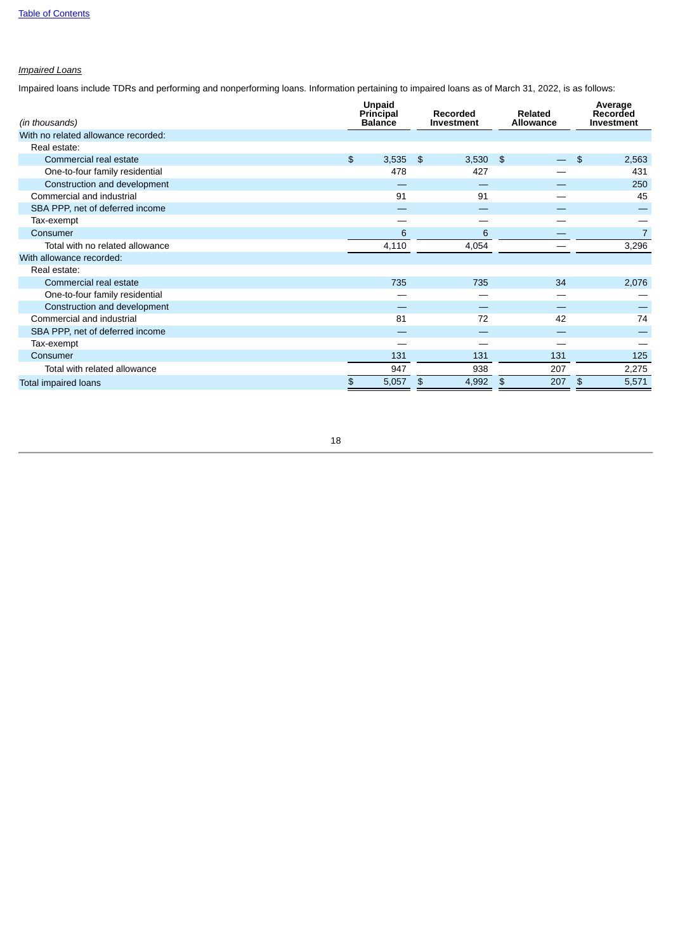# *Impaired Loans*

Impaired loans include TDRs and performing and nonperforming loans. Information pertaining to impaired loans as of March 31, 2022, is as follows:

|                                     | <b>Unpaid</b><br><b>Principal</b><br><b>Balance</b> |                 |    | Recorded   | Related   |                | Average<br>Recorded<br><b>Investment</b> |
|-------------------------------------|-----------------------------------------------------|-----------------|----|------------|-----------|----------------|------------------------------------------|
| (in thousands)                      |                                                     |                 |    | Investment | Allowance |                |                                          |
| With no related allowance recorded: |                                                     |                 |    |            |           |                |                                          |
| Real estate:                        |                                                     |                 |    |            |           |                |                                          |
| Commercial real estate              | $\mathfrak{L}$                                      | 3,535           | \$ | 3,530      | \$        | $\mathfrak{F}$ | 2,563                                    |
| One-to-four family residential      |                                                     | 478             |    | 427        |           |                | 431                                      |
| Construction and development        |                                                     |                 |    |            |           |                | 250                                      |
| Commercial and industrial           |                                                     | 91              |    | 91         |           |                | 45                                       |
| SBA PPP, net of deferred income     |                                                     |                 |    |            |           |                |                                          |
| Tax-exempt                          |                                                     |                 |    |            |           |                |                                          |
| Consumer                            |                                                     | $6\phantom{1}6$ |    | 6          |           |                |                                          |
| Total with no related allowance     |                                                     | 4,110           |    | 4,054      |           |                | 3,296                                    |
| With allowance recorded:            |                                                     |                 |    |            |           |                |                                          |
| Real estate:                        |                                                     |                 |    |            |           |                |                                          |
| Commercial real estate              |                                                     | 735             |    | 735        | 34        |                | 2,076                                    |
| One-to-four family residential      |                                                     |                 |    |            | --        |                |                                          |
| Construction and development        |                                                     |                 |    |            |           |                |                                          |
| Commercial and industrial           |                                                     | 81              |    | 72         | 42        |                | 74                                       |
| SBA PPP, net of deferred income     |                                                     |                 |    |            |           |                |                                          |
| Tax-exempt                          |                                                     |                 |    |            |           |                |                                          |
| Consumer                            |                                                     | 131             |    | 131        | 131       |                | 125                                      |
| Total with related allowance        |                                                     | 947             |    | 938        | 207       |                | 2,275                                    |
| <b>Total impaired loans</b>         | \$                                                  | 5,057           | \$ | 4,992      | \$<br>207 | \$             | 5,571                                    |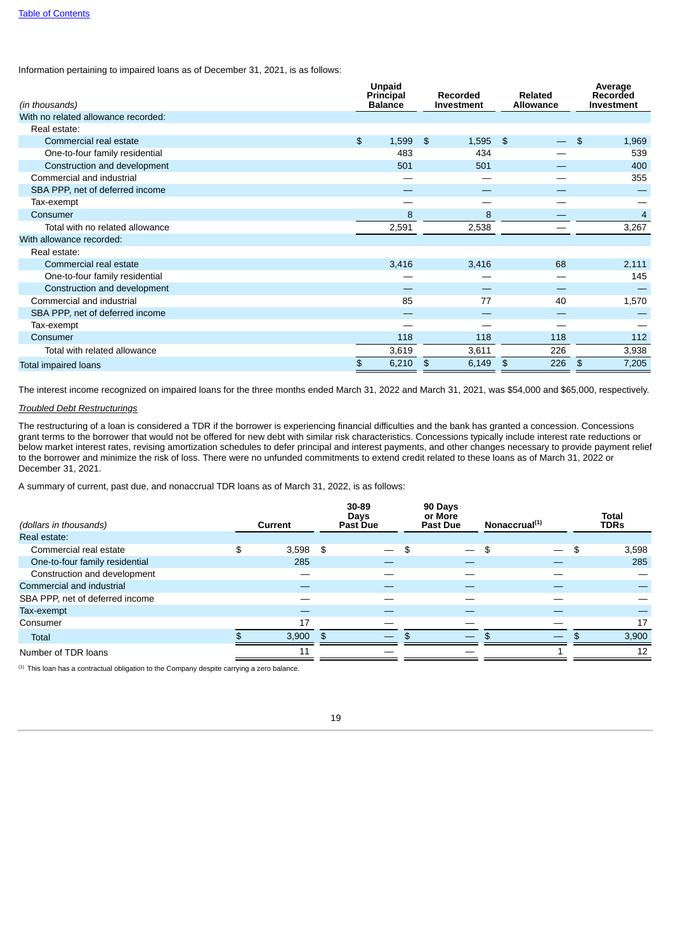Information pertaining to impaired loans as of December 31, 2021, is as follows:

| (in thousands)                      |               | <b>Unpaid</b><br><b>Principal</b><br><b>Balance</b> |                | Recorded<br><b>Investment</b> |      | Related<br><b>Allowance</b> | Average<br>Recorded<br><b>Investment</b> |
|-------------------------------------|---------------|-----------------------------------------------------|----------------|-------------------------------|------|-----------------------------|------------------------------------------|
| With no related allowance recorded: |               |                                                     |                |                               |      |                             |                                          |
| Real estate:                        |               |                                                     |                |                               |      |                             |                                          |
| Commercial real estate              | $\frac{2}{3}$ | 1,599                                               | \$             | 1,595                         | - \$ |                             | \$<br>1,969                              |
| One-to-four family residential      |               | 483                                                 |                | 434                           |      |                             | 539                                      |
| Construction and development        |               | 501                                                 |                | 501                           |      |                             | 400                                      |
| Commercial and industrial           |               |                                                     |                |                               |      |                             | 355                                      |
| SBA PPP, net of deferred income     |               |                                                     |                |                               |      |                             |                                          |
| Tax-exempt                          |               |                                                     |                |                               |      |                             |                                          |
| Consumer                            |               | 8                                                   |                | 8                             |      |                             | $\overline{4}$                           |
| Total with no related allowance     |               | 2,591                                               |                | 2,538                         |      |                             | 3,267                                    |
| With allowance recorded:            |               |                                                     |                |                               |      |                             |                                          |
| Real estate:                        |               |                                                     |                |                               |      |                             |                                          |
| Commercial real estate              |               | 3,416                                               |                | 3,416                         |      | 68                          | 2,111                                    |
| One-to-four family residential      |               |                                                     |                |                               |      |                             | 145                                      |
| Construction and development        |               |                                                     |                |                               |      |                             |                                          |
| Commercial and industrial           |               | 85                                                  |                | 77                            |      | 40                          | 1,570                                    |
| SBA PPP, net of deferred income     |               |                                                     |                |                               |      |                             |                                          |
| Tax-exempt                          |               |                                                     |                |                               |      |                             |                                          |
| Consumer                            |               | 118                                                 |                | 118                           |      | 118                         | 112                                      |
| Total with related allowance        |               | 3,619                                               |                | 3,611                         |      | 226                         | 3,938                                    |
| <b>Total impaired loans</b>         | \$            | 6,210                                               | $\mathfrak{F}$ | 6,149                         | \$   | 226                         | \$<br>7,205                              |

The interest income recognized on impaired loans for the three months ended March 31, 2022 and March 31, 2021, was \$54,000 and \$65,000, respectively.

#### *Troubled Debt Restructurings*

The restructuring of a loan is considered a TDR if the borrower is experiencing financial difficulties and the bank has granted a concession. Concessions grant terms to the borrower that would not be offered for new debt with similar risk characteristics. Concessions typically include interest rate reductions or below market interest rates, revising amortization schedules to defer principal and interest payments, and other changes necessary to provide payment relief to the borrower and minimize the risk of loss. There were no unfunded commitments to extend credit related to these loans as of March 31, 2022 or December 31, 2021.

A summary of current, past due, and nonaccrual TDR loans as of March 31, 2022, is as follows:

| (dollars in thousands)          | Current          | 30-89<br>Days<br><b>Past Due</b> | 90 Days<br>or More<br><b>Past Due</b> | Nonaccrual <sup>(1)</sup> | <b>Total</b><br><b>TDRs</b> |
|---------------------------------|------------------|----------------------------------|---------------------------------------|---------------------------|-----------------------------|
| Real estate:                    |                  |                                  |                                       |                           |                             |
| Commercial real estate          | \$<br>$3,598$ \$ | $-$ \$                           | $\overline{\phantom{0}}$              | \$<br>$-$ \$              | 3,598                       |
| One-to-four family residential  | 285              |                                  |                                       |                           | 285                         |
| Construction and development    |                  |                                  |                                       |                           |                             |
| Commercial and industrial       |                  |                                  |                                       |                           |                             |
| SBA PPP, net of deferred income |                  |                                  |                                       |                           |                             |
| Tax-exempt                      |                  |                                  |                                       |                           |                             |
| Consumer                        | 17               |                                  |                                       |                           | 17                          |
| Total                           | $3.900$ \$       |                                  | \$<br>$\overline{\phantom{0}}$        |                           | 3,900                       |
| Number of TDR loans             | 11               |                                  |                                       |                           | 12                          |
|                                 |                  |                                  |                                       |                           |                             |

 $<sup>(1)</sup>$  This loan has a contractual obligation to the Company despite carrying a zero balance.</sup>

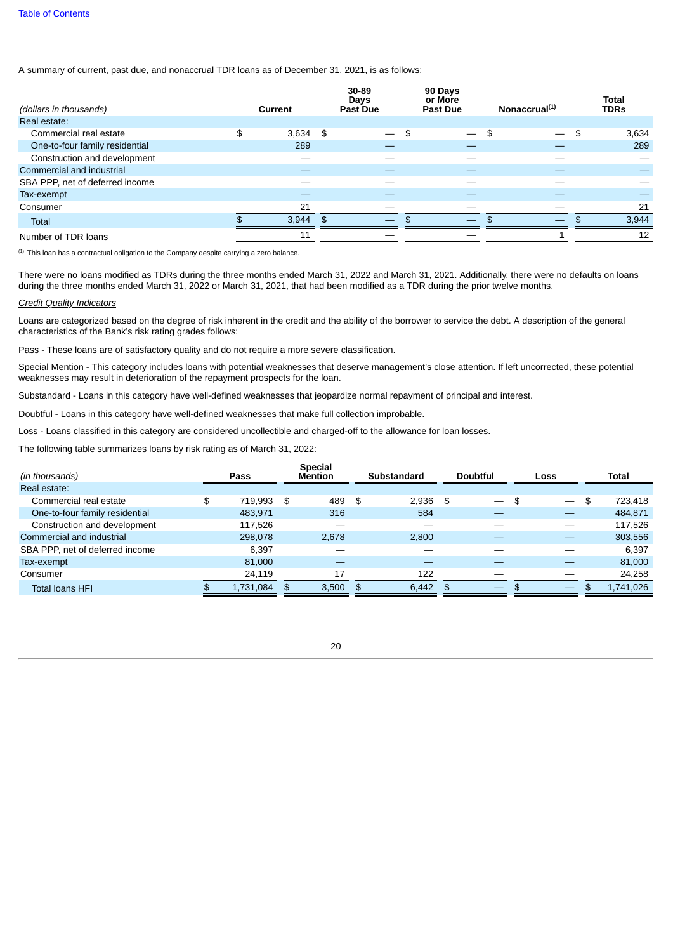# A summary of current, past due, and nonaccrual TDR loans as of December 31, 2021, is as follows:

| (dollars in thousands)          | Current          |      | 30-89<br>Days<br><b>Past Due</b> | 90 Days<br>or More<br><b>Past Due</b> | Nonaccrual $(1)$ |      | <b>Total</b><br><b>TDRs</b> |
|---------------------------------|------------------|------|----------------------------------|---------------------------------------|------------------|------|-----------------------------|
| Real estate:                    |                  |      |                                  |                                       |                  |      |                             |
| Commercial real estate          | \$<br>$3,634$ \$ |      |                                  | \$<br>$\overline{\phantom{0}}$        | \$               | - \$ | 3,634                       |
| One-to-four family residential  | 289              |      |                                  |                                       |                  |      | 289                         |
| Construction and development    |                  |      |                                  |                                       |                  |      |                             |
| Commercial and industrial       |                  |      |                                  |                                       |                  |      |                             |
| SBA PPP, net of deferred income |                  |      |                                  |                                       |                  |      |                             |
| Tax-exempt                      |                  |      |                                  |                                       |                  |      |                             |
| Consumer                        | 21               |      |                                  |                                       |                  |      | 21                          |
| <b>Total</b>                    | 3,944            | - \$ |                                  |                                       |                  |      | 3,944                       |
| Number of TDR loans             | 11               |      |                                  |                                       |                  |      | 12                          |

 $<sup>(1)</sup>$  This loan has a contractual obligation to the Company despite carrying a zero balance.</sup>

There were no loans modified as TDRs during the three months ended March 31, 2022 and March 31, 2021. Additionally, there were no defaults on loans during the three months ended March 31, 2022 or March 31, 2021, that had been modified as a TDR during the prior twelve months.

# *Credit Quality Indicators*

Loans are categorized based on the degree of risk inherent in the credit and the ability of the borrower to service the debt. A description of the general characteristics of the Bank's risk rating grades follows:

Pass - These loans are of satisfactory quality and do not require a more severe classification.

Special Mention - This category includes loans with potential weaknesses that deserve management's close attention. If left uncorrected, these potential weaknesses may result in deterioration of the repayment prospects for the loan.

Substandard - Loans in this category have well-defined weaknesses that jeopardize normal repayment of principal and interest.

Doubtful - Loans in this category have well-defined weaknesses that make full collection improbable.

Loss - Loans classified in this category are considered uncollectible and charged-off to the allowance for loan losses.

The following table summarizes loans by risk rating as of March 31, 2022:

| (in thousands)                  | Pass          |      | <b>Special</b><br><b>Mention</b> |           | Substandard |      | <b>Doubtful</b>          | Loss                           | <b>Total</b>    |
|---------------------------------|---------------|------|----------------------------------|-----------|-------------|------|--------------------------|--------------------------------|-----------------|
| Real estate:                    |               |      |                                  |           |             |      |                          |                                |                 |
| Commercial real estate          | \$<br>719.993 | - \$ | 489                              | \$        | 2.936       | \$   |                          | \$<br>$\overline{\phantom{0}}$ | \$<br>723,418   |
| One-to-four family residential  | 483,971       |      | 316                              |           | 584         |      |                          |                                | 484,871         |
| Construction and development    | 117.526       |      |                                  |           |             |      |                          |                                | 117,526         |
| Commercial and industrial       | 298,078       |      | 2.678                            |           | 2.800       |      |                          |                                | 303,556         |
| SBA PPP, net of deferred income | 6.397         |      |                                  |           |             |      |                          |                                | 6,397           |
| Tax-exempt                      | 81,000        |      |                                  |           |             |      |                          |                                | 81,000          |
| Consumer                        | 24,119        |      | 17                               |           | 122         |      |                          |                                | 24,258          |
| <b>Total loans HFI</b>          | 1,731,084     | -\$  | 3,500                            | <b>\$</b> | 6,442       | - \$ | $\overline{\phantom{m}}$ | $\overline{\phantom{m}}$       | \$<br>1,741,026 |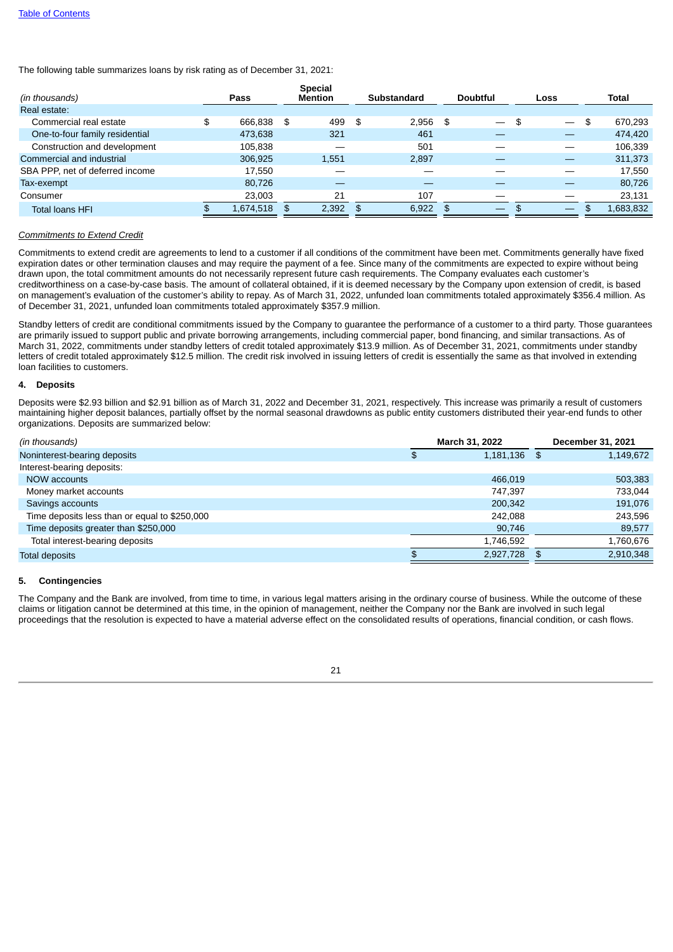The following table summarizes loans by risk rating as of December 31, 2021:

| (in thousands)                  | Pass          |      | <b>Special</b><br><b>Mention</b> |     | Substandard | <b>Doubtful</b> | Loss                | <b>Total</b>  |
|---------------------------------|---------------|------|----------------------------------|-----|-------------|-----------------|---------------------|---------------|
| Real estate:                    |               |      |                                  |     |             |                 |                     |               |
| Commercial real estate          | \$<br>666.838 | - \$ | 499                              | -\$ | 2.956       | \$              | \$<br>$\frac{1}{2}$ | \$<br>670.293 |
| One-to-four family residential  | 473,638       |      | 321                              |     | 461         |                 |                     | 474.420       |
| Construction and development    | 105.838       |      |                                  |     | 501         |                 |                     | 106.339       |
| Commercial and industrial       | 306.925       |      | 1.551                            |     | 2.897       |                 |                     | 311,373       |
| SBA PPP, net of deferred income | 17.550        |      |                                  |     |             |                 |                     | 17.550        |
| Tax-exempt                      | 80.726        |      |                                  |     |             |                 |                     | 80,726        |
| Consumer                        | 23.003        |      | 21                               |     | 107         |                 |                     | 23,131        |
| <b>Total loans HFI</b>          | 1,674,518     | \$.  | 2.392                            | £.  | 6,922       |                 | $\qquad \qquad -$   | 1,683,832     |

### *Commitments to Extend Credit*

Commitments to extend credit are agreements to lend to a customer if all conditions of the commitment have been met. Commitments generally have fixed expiration dates or other termination clauses and may require the payment of a fee. Since many of the commitments are expected to expire without being drawn upon, the total commitment amounts do not necessarily represent future cash requirements. The Company evaluates each customer's creditworthiness on a case-by-case basis. The amount of collateral obtained, if it is deemed necessary by the Company upon extension of credit, is based on management's evaluation of the customer's ability to repay. As of March 31, 2022, unfunded loan commitments totaled approximately \$356.4 million. As of December 31, 2021, unfunded loan commitments totaled approximately \$357.9 million.

Standby letters of credit are conditional commitments issued by the Company to guarantee the performance of a customer to a third party. Those guarantees are primarily issued to support public and private borrowing arrangements, including commercial paper, bond financing, and similar transactions. As of March 31, 2022, commitments under standby letters of credit totaled approximately \$13.9 million. As of December 31, 2021, commitments under standby letters of credit totaled approximately \$12.5 million. The credit risk involved in issuing letters of credit is essentially the same as that involved in extending loan facilities to customers.

#### **4. Deposits**

Deposits were \$2.93 billion and \$2.91 billion as of March 31, 2022 and December 31, 2021, respectively. This increase was primarily a result of customers maintaining higher deposit balances, partially offset by the normal seasonal drawdowns as public entity customers distributed their year-end funds to other organizations. Deposits are summarized below:

| (in thousands)                                | March 31, 2022  |     | December 31, 2021 |
|-----------------------------------------------|-----------------|-----|-------------------|
| Noninterest-bearing deposits                  | \$<br>1,181,136 | \$  | 1,149,672         |
| Interest-bearing deposits:                    |                 |     |                   |
| NOW accounts                                  | 466.019         |     | 503,383           |
| Money market accounts                         | 747.397         |     | 733.044           |
| Savings accounts                              | 200,342         |     | 191,076           |
| Time deposits less than or equal to \$250,000 | 242.088         |     | 243.596           |
| Time deposits greater than \$250,000          | 90,746          |     | 89,577            |
| Total interest-bearing deposits               | 1,746,592       |     | 1,760,676         |
| Total deposits                                | 2,927,728       | \$. | 2,910,348         |

#### **5. Contingencies**

The Company and the Bank are involved, from time to time, in various legal matters arising in the ordinary course of business. While the outcome of these claims or litigation cannot be determined at this time, in the opinion of management, neither the Company nor the Bank are involved in such legal proceedings that the resolution is expected to have a material adverse effect on the consolidated results of operations, financial condition, or cash flows.

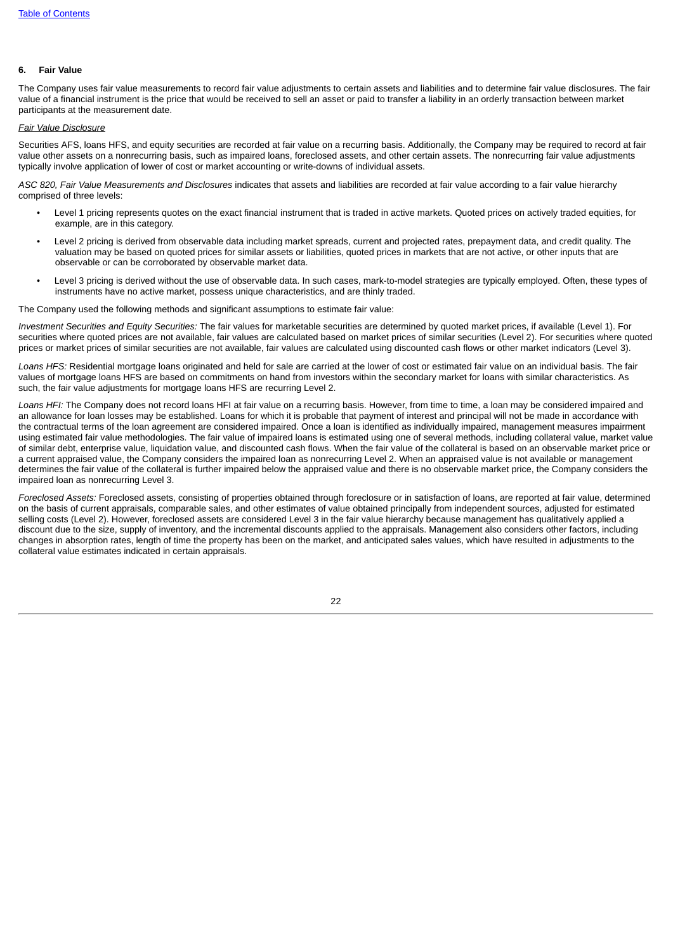### **6. Fair Value**

The Company uses fair value measurements to record fair value adjustments to certain assets and liabilities and to determine fair value disclosures. The fair value of a financial instrument is the price that would be received to sell an asset or paid to transfer a liability in an orderly transaction between market participants at the measurement date.

#### *Fair Value Disclosure*

Securities AFS, loans HFS, and equity securities are recorded at fair value on a recurring basis. Additionally, the Company may be required to record at fair value other assets on a nonrecurring basis, such as impaired loans, foreclosed assets, and other certain assets. The nonrecurring fair value adjustments typically involve application of lower of cost or market accounting or write-downs of individual assets.

*ASC 820, Fair Value Measurements and Disclosures* indicates that assets and liabilities are recorded at fair value according to a fair value hierarchy comprised of three levels:

- Level 1 pricing represents quotes on the exact financial instrument that is traded in active markets. Quoted prices on actively traded equities, for example, are in this category.
- Level 2 pricing is derived from observable data including market spreads, current and projected rates, prepayment data, and credit quality. The valuation may be based on quoted prices for similar assets or liabilities, quoted prices in markets that are not active, or other inputs that are observable or can be corroborated by observable market data.
- Level 3 pricing is derived without the use of observable data. In such cases, mark-to-model strategies are typically employed. Often, these types of instruments have no active market, possess unique characteristics, and are thinly traded.

The Company used the following methods and significant assumptions to estimate fair value:

*Investment Securities and Equity Securities:* The fair values for marketable securities are determined by quoted market prices, if available (Level 1). For securities where quoted prices are not available, fair values are calculated based on market prices of similar securities (Level 2). For securities where quoted prices or market prices of similar securities are not available, fair values are calculated using discounted cash flows or other market indicators (Level 3).

*Loans HFS:* Residential mortgage loans originated and held for sale are carried at the lower of cost or estimated fair value on an individual basis. The fair values of mortgage loans HFS are based on commitments on hand from investors within the secondary market for loans with similar characteristics. As such, the fair value adjustments for mortgage loans HFS are recurring Level 2.

Loans HFI: The Company does not record loans HFI at fair value on a recurring basis. However, from time to time, a loan may be considered impaired and an allowance for loan losses may be established. Loans for which it is probable that payment of interest and principal will not be made in accordance with the contractual terms of the loan agreement are considered impaired. Once a loan is identified as individually impaired, management measures impairment using estimated fair value methodologies. The fair value of impaired loans is estimated using one of several methods, including collateral value, market value of similar debt, enterprise value, liquidation value, and discounted cash flows. When the fair value of the collateral is based on an observable market price or a current appraised value, the Company considers the impaired loan as nonrecurring Level 2. When an appraised value is not available or management determines the fair value of the collateral is further impaired below the appraised value and there is no observable market price, the Company considers the impaired loan as nonrecurring Level 3.

*Foreclosed Assets:* Foreclosed assets, consisting of properties obtained through foreclosure or in satisfaction of loans, are reported at fair value, determined on the basis of current appraisals, comparable sales, and other estimates of value obtained principally from independent sources, adjusted for estimated selling costs (Level 2). However, foreclosed assets are considered Level 3 in the fair value hierarchy because management has qualitatively applied a discount due to the size, supply of inventory, and the incremental discounts applied to the appraisals. Management also considers other factors, including changes in absorption rates, length of time the property has been on the market, and anticipated sales values, which have resulted in adjustments to the collateral value estimates indicated in certain appraisals.

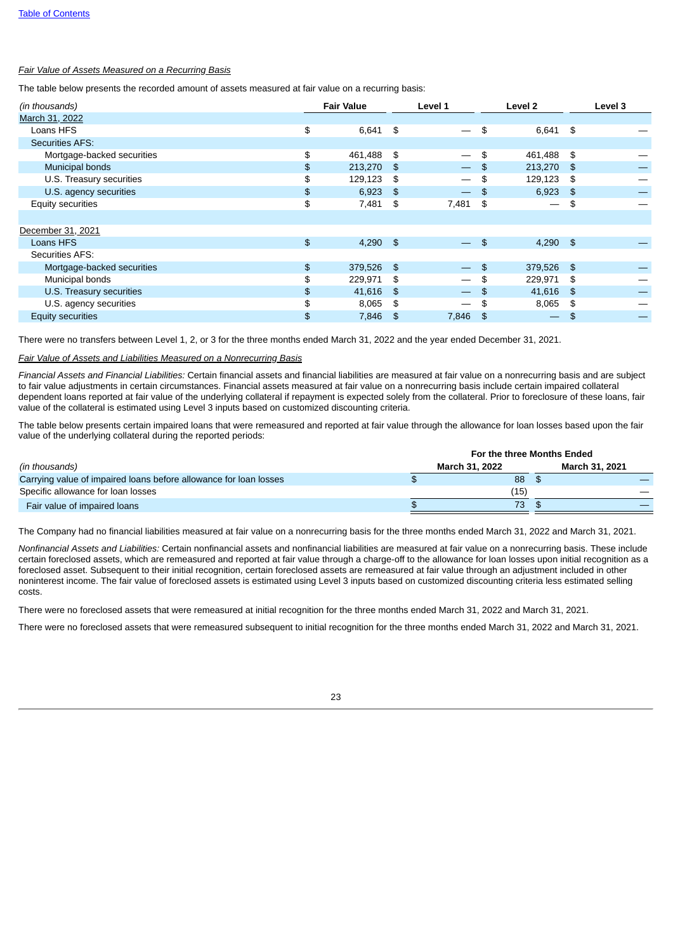# *Fair Value of Assets Measured on a Recurring Basis*

The table below presents the recorded amount of assets measured at fair value on a recurring basis:

| (in thousands)             |               | <b>Fair Value</b> |      | Level 1                  |                | Level 2           |      | Level 3 |
|----------------------------|---------------|-------------------|------|--------------------------|----------------|-------------------|------|---------|
| March 31, 2022             |               |                   |      |                          |                |                   |      |         |
| Loans HFS                  | \$            | 6,641             | \$   |                          | \$             | 6,641             | \$   |         |
| <b>Securities AFS:</b>     |               |                   |      |                          |                |                   |      |         |
| Mortgage-backed securities | \$            | 461,488           | -\$  | $\overline{\phantom{m}}$ | \$             | 461,488           | \$   |         |
| <b>Municipal bonds</b>     | \$            | 213,270           | - \$ |                          | \$             | 213,270           | -\$  |         |
| U.S. Treasury securities   | \$            | 129,123           | -\$  |                          | \$             | 129,123           | \$   |         |
| U.S. agency securities     | \$            | 6,923             | - \$ |                          | \$             | 6,923             | - \$ |         |
| <b>Equity securities</b>   | \$            | 7,481             | \$   | 7,481                    | \$             | $\hspace{0.05cm}$ | \$   |         |
|                            |               |                   |      |                          |                |                   |      |         |
| December 31, 2021          |               |                   |      |                          |                |                   |      |         |
| Loans HFS                  | \$            | $4,290$ \$        |      |                          | \$             | $4,290$ \$        |      |         |
| Securities AFS:            |               |                   |      |                          |                |                   |      |         |
| Mortgage-backed securities | \$            | 379,526 \$        |      |                          | \$             | 379,526           | - \$ |         |
| Municipal bonds            | \$            | 229,971           | \$   | $\overline{\phantom{m}}$ | \$             | 229,971           | \$   |         |
| U.S. Treasury securities   | $\frac{1}{2}$ | 41,616            | - \$ |                          | \$             | 41,616            | -\$  |         |
| U.S. agency securities     | \$            | 8,065             | \$   | $\overline{\phantom{0}}$ | \$             | 8,065             | \$   |         |
| <b>Equity securities</b>   | \$            | 7,846             | \$   | 7,846                    | $\mathfrak{F}$ |                   | \$   |         |
|                            |               |                   |      |                          |                |                   |      |         |

There were no transfers between Level 1, 2, or 3 for the three months ended March 31, 2022 and the year ended December 31, 2021.

# *Fair Value of Assets and Liabilities Measured on a Nonrecurring Basis*

*Financial Assets and Financial Liabilities:* Certain financial assets and financial liabilities are measured at fair value on a nonrecurring basis and are subject to fair value adjustments in certain circumstances. Financial assets measured at fair value on a nonrecurring basis include certain impaired collateral dependent loans reported at fair value of the underlying collateral if repayment is expected solely from the collateral. Prior to foreclosure of these loans, fair value of the collateral is estimated using Level 3 inputs based on customized discounting criteria.

The table below presents certain impaired loans that were remeasured and reported at fair value through the allowance for loan losses based upon the fair value of the underlying collateral during the reported periods:

|                                                                   | For the three Months Ended |                       |                       |  |  |  |  |  |  |  |
|-------------------------------------------------------------------|----------------------------|-----------------------|-----------------------|--|--|--|--|--|--|--|
| (in thousands)                                                    |                            | <b>March 31, 2022</b> | <b>March 31, 2021</b> |  |  |  |  |  |  |  |
| Carrying value of impaired loans before allowance for loan losses |                            | 88                    |                       |  |  |  |  |  |  |  |
| Specific allowance for loan losses                                |                            | (15)                  |                       |  |  |  |  |  |  |  |
| Fair value of impaired loans                                      |                            | 73                    |                       |  |  |  |  |  |  |  |

The Company had no financial liabilities measured at fair value on a nonrecurring basis for the three months ended March 31, 2022 and March 31, 2021.

*Nonfinancial Assets and Liabilities:* Certain nonfinancial assets and nonfinancial liabilities are measured at fair value on a nonrecurring basis. These include certain foreclosed assets, which are remeasured and reported at fair value through a charge-off to the allowance for loan losses upon initial recognition as a foreclosed asset. Subsequent to their initial recognition, certain foreclosed assets are remeasured at fair value through an adjustment included in other noninterest income. The fair value of foreclosed assets is estimated using Level 3 inputs based on customized discounting criteria less estimated selling costs.

There were no foreclosed assets that were remeasured at initial recognition for the three months ended March 31, 2022 and March 31, 2021.

There were no foreclosed assets that were remeasured subsequent to initial recognition for the three months ended March 31, 2022 and March 31, 2021.

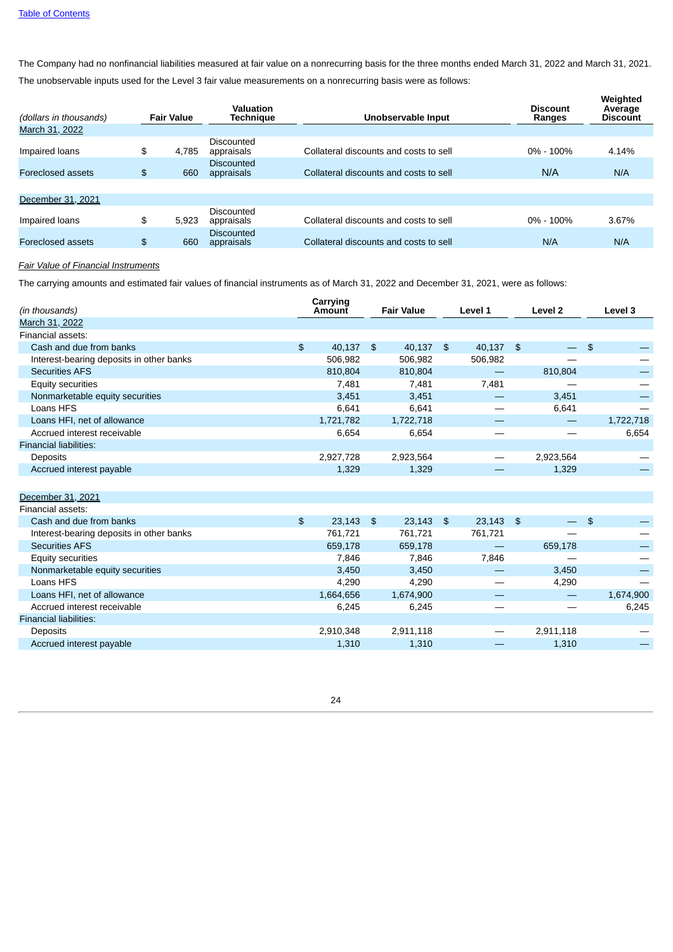The Company had no nonfinancial liabilities measured at fair value on a nonrecurring basis for the three months ended March 31, 2022 and March 31, 2021. The unobservable inputs used for the Level 3 fair value measurements on a nonrecurring basis were as follows:

| (dollars in thousands)<br>March 31, 2022 | <b>Fair Value</b> |       | <b>Valuation</b><br><b>Technique</b> | Unobservable Input                     | <b>Discount</b><br>Ranges | Weighted<br>Average<br><b>Discount</b> |
|------------------------------------------|-------------------|-------|--------------------------------------|----------------------------------------|---------------------------|----------------------------------------|
| Impaired loans                           | \$                | 4.785 | Discounted<br>appraisals             | Collateral discounts and costs to sell | 0% - 100%                 | 4.14%                                  |
| Foreclosed assets                        | \$                | 660   | <b>Discounted</b><br>appraisals      | Collateral discounts and costs to sell | N/A                       | N/A                                    |
| December 31, 2021                        |                   |       |                                      |                                        |                           |                                        |
| Impaired loans                           | \$                | 5,923 | Discounted<br>appraisals             | Collateral discounts and costs to sell | $0\% - 100\%$             | 3.67%                                  |
| Foreclosed assets                        | \$                | 660   | <b>Discounted</b><br>appraisals      | Collateral discounts and costs to sell | N/A                       | N/A                                    |

# *Fair Value of Financial Instruments*

The carrying amounts and estimated fair values of financial instruments as of March 31, 2022 and December 31, 2021, were as follows:

| (in thousands)                           | Carrying<br>Amount | <b>Fair Value</b> | Level 1           |      | Level <sub>2</sub>             |                | Level 3   |
|------------------------------------------|--------------------|-------------------|-------------------|------|--------------------------------|----------------|-----------|
| March 31, 2022                           |                    |                   |                   |      |                                |                |           |
| Financial assets:                        |                    |                   |                   |      |                                |                |           |
| Cash and due from banks                  | \$<br>40,137 \$    | 40,137            | \$<br>40,137      | - \$ | $\equiv$                       | \$             |           |
| Interest-bearing deposits in other banks | 506,982            | 506,982           | 506,982           |      |                                |                |           |
| <b>Securities AFS</b>                    | 810,804            | 810,804           |                   |      | 810,804                        |                |           |
| Equity securities                        | 7,481              | 7,481             | 7,481             |      |                                |                |           |
| Nonmarketable equity securities          | 3,451              | 3,451             |                   |      | 3,451                          |                |           |
| Loans HFS                                | 6.641              | 6.641             |                   |      | 6,641                          |                |           |
| Loans HFI, net of allowance              | 1,721,782          | 1,722,718         |                   |      |                                |                | 1,722,718 |
| Accrued interest receivable              | 6,654              | 6,654             |                   |      |                                |                | 6,654     |
| <b>Financial liabilities:</b>            |                    |                   |                   |      |                                |                |           |
| Deposits                                 | 2,927,728          | 2,923,564         |                   |      | 2,923,564                      |                |           |
| Accrued interest payable                 | 1,329              | 1,329             |                   |      | 1,329                          |                |           |
| December 31, 2021                        |                    |                   |                   |      |                                |                |           |
| Financial assets:                        |                    |                   |                   |      |                                |                |           |
| Cash and due from banks                  | \$<br>$23.143$ \$  | 23,143            | \$<br>$23.143$ \$ |      |                                | $\mathfrak{D}$ |           |
| Interest-bearing deposits in other banks | 761.721            | 761,721           | 761,721           |      |                                |                |           |
| <b>Securities AFS</b>                    | 659,178            | 659,178           |                   |      | 659,178                        |                |           |
| <b>Equity securities</b>                 | 7,846              | 7,846             | 7,846             |      |                                |                |           |
| Nonmarketable equity securities          | 3,450              | 3,450             |                   |      | 3,450                          |                |           |
| Loans HFS                                | 4,290              | 4,290             |                   |      | 4,290                          |                |           |
| Loans HFI, net of allowance              | 1,664,656          | 1,674,900         |                   |      | $\qquad \qquad \longleftarrow$ |                | 1,674,900 |
| Accrued interest receivable              | 6,245              | 6,245             |                   |      |                                |                | 6,245     |
| <b>Financial liabilities:</b>            |                    |                   |                   |      |                                |                |           |
| Deposits                                 | 2,910,348          | 2,911,118         |                   |      | 2,911,118                      |                |           |
| Accrued interest payable                 | 1,310              | 1,310             |                   |      | 1,310                          |                |           |
|                                          |                    |                   |                   |      |                                |                |           |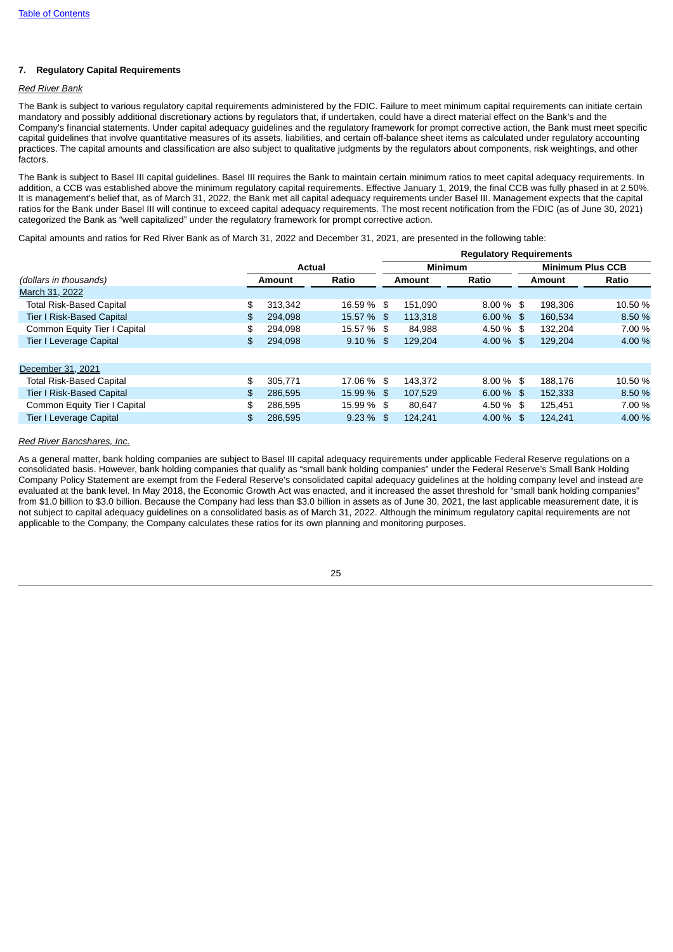# **7. Regulatory Capital Requirements**

# *Red River Bank*

The Bank is subject to various regulatory capital requirements administered by the FDIC. Failure to meet minimum capital requirements can initiate certain mandatory and possibly additional discretionary actions by regulators that, if undertaken, could have a direct material effect on the Bank's and the Company's financial statements. Under capital adequacy guidelines and the regulatory framework for prompt corrective action, the Bank must meet specific capital guidelines that involve quantitative measures of its assets, liabilities, and certain off-balance sheet items as calculated under regulatory accounting practices. The capital amounts and classification are also subject to qualitative judgments by the regulators about components, risk weightings, and other factors.

The Bank is subject to Basel III capital guidelines. Basel III requires the Bank to maintain certain minimum ratios to meet capital adequacy requirements. In addition, a CCB was established above the minimum regulatory capital requirements. Effective January 1, 2019, the final CCB was fully phased in at 2.50%. It is management's belief that, as of March 31, 2022, the Bank met all capital adequacy requirements under Basel III. Management expects that the capital ratios for the Bank under Basel III will continue to exceed capital adequacy requirements. The most recent notification from the FDIC (as of June 30, 2021) categorized the Bank as "well capitalized" under the regulatory framework for prompt corrective action.

Capital amounts and ratios for Red River Bank as of March 31, 2022 and December 31, 2021, are presented in the following table:

|                                  | <b>Requlatory Requirements</b> |         |               |    |         |                |    |                         |         |  |
|----------------------------------|--------------------------------|---------|---------------|----|---------|----------------|----|-------------------------|---------|--|
|                                  |                                |         | <b>Actual</b> |    |         | <b>Minimum</b> |    | <b>Minimum Plus CCB</b> |         |  |
| (dollars in thousands)           |                                | Amount  | Ratio         |    | Amount  | Ratio          |    | Amount                  | Ratio   |  |
| March 31, 2022                   |                                |         |               |    |         |                |    |                         |         |  |
| <b>Total Risk-Based Capital</b>  | \$                             | 313.342 | 16.59 %       | \$ | 151,090 | 8.00 %         | \$ | 198.306                 | 10.50 % |  |
| Tier I Risk-Based Capital        | \$                             | 294.098 | 15.57 % \$    |    | 113.318 | $6.00\%$ \$    |    | 160.534                 | 8.50 %  |  |
| Common Equity Tier I Capital     | \$                             | 294.098 | 15.57 % \$    |    | 84.988  | $4.50\%$ \$    |    | 132.204                 | 7.00 %  |  |
| Tier I Leverage Capital          | \$                             | 294.098 | $9.10\%$ \$   |    | 129.204 | $4.00\%$ \$    |    | 129.204                 | 4.00 %  |  |
|                                  |                                |         |               |    |         |                |    |                         |         |  |
| December 31, 2021                |                                |         |               |    |         |                |    |                         |         |  |
| <b>Total Risk-Based Capital</b>  | \$                             | 305.771 | 17.06 % \$    |    | 143.372 | $8.00\%$ \$    |    | 188.176                 | 10.50 % |  |
| <b>Tier I Risk-Based Capital</b> | \$                             | 286.595 | 15.99 % \$    |    | 107.529 | $6.00\%$ \$    |    | 152,333                 | 8.50 %  |  |
| Common Equity Tier I Capital     | \$                             | 286.595 | 15.99 % \$    |    | 80.647  | $4.50\%$ \$    |    | 125.451                 | 7.00 %  |  |
| Tier I Leverage Capital          | \$                             | 286,595 | $9.23\%$ \$   |    | 124.241 | $4.00\%$ \$    |    | 124.241                 | 4.00 %  |  |
|                                  |                                |         |               |    |         |                |    |                         |         |  |

### *Red River Bancshares, Inc.*

As a general matter, bank holding companies are subject to Basel III capital adequacy requirements under applicable Federal Reserve regulations on a consolidated basis. However, bank holding companies that qualify as "small bank holding companies" under the Federal Reserve's Small Bank Holding Company Policy Statement are exempt from the Federal Reserve's consolidated capital adequacy guidelines at the holding company level and instead are evaluated at the bank level. In May 2018, the Economic Growth Act was enacted, and it increased the asset threshold for "small bank holding companies" from \$1.0 billion to \$3.0 billion. Because the Company had less than \$3.0 billion in assets as of June 30, 2021, the last applicable measurement date, it is not subject to capital adequacy guidelines on a consolidated basis as of March 31, 2022. Although the minimum regulatory capital requirements are not applicable to the Company, the Company calculates these ratios for its own planning and monitoring purposes.

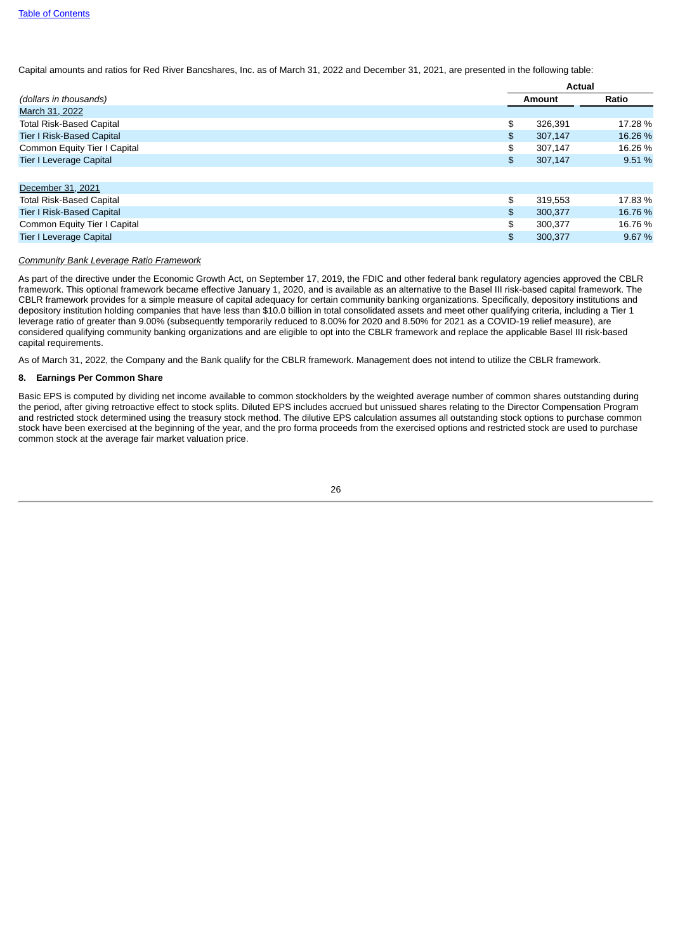Capital amounts and ratios for Red River Bancshares, Inc. as of March 31, 2022 and December 31, 2021, are presented in the following table:

|                                  | <b>Actual</b> |         |  |
|----------------------------------|---------------|---------|--|
| (dollars in thousands)           | Amount        | Ratio   |  |
| March 31, 2022                   |               |         |  |
| <b>Total Risk-Based Capital</b>  | \$<br>326.391 | 17.28 % |  |
| <b>Tier I Risk-Based Capital</b> | \$<br>307.147 | 16.26 % |  |
| Common Equity Tier I Capital     | \$<br>307.147 | 16.26 % |  |
| <b>Tier I Leverage Capital</b>   | \$<br>307.147 | 9.51 %  |  |
|                                  |               |         |  |
| December 31, 2021                |               |         |  |
| <b>Total Risk-Based Capital</b>  | \$<br>319.553 | 17.83 % |  |
| <b>Tier I Risk-Based Capital</b> | \$<br>300.377 | 16.76 % |  |
| Common Equity Tier I Capital     | \$<br>300.377 | 16.76 % |  |
| <b>Tier I Leverage Capital</b>   | \$<br>300,377 | 9.67%   |  |
|                                  |               |         |  |

#### *Community Bank Leverage Ratio Framework*

As part of the directive under the Economic Growth Act, on September 17, 2019, the FDIC and other federal bank regulatory agencies approved the CBLR framework. This optional framework became effective January 1, 2020, and is available as an alternative to the Basel III risk-based capital framework. The CBLR framework provides for a simple measure of capital adequacy for certain community banking organizations. Specifically, depository institutions and depository institution holding companies that have less than \$10.0 billion in total consolidated assets and meet other qualifying criteria, including a Tier 1 leverage ratio of greater than 9.00% (subsequently temporarily reduced to 8.00% for 2020 and 8.50% for 2021 as a COVID-19 relief measure), are considered qualifying community banking organizations and are eligible to opt into the CBLR framework and replace the applicable Basel III risk-based capital requirements.

As of March 31, 2022, the Company and the Bank qualify for the CBLR framework. Management does not intend to utilize the CBLR framework.

# **8. Earnings Per Common Share**

Basic EPS is computed by dividing net income available to common stockholders by the weighted average number of common shares outstanding during the period, after giving retroactive effect to stock splits. Diluted EPS includes accrued but unissued shares relating to the Director Compensation Program and restricted stock determined using the treasury stock method. The dilutive EPS calculation assumes all outstanding stock options to purchase common stock have been exercised at the beginning of the year, and the pro forma proceeds from the exercised options and restricted stock are used to purchase common stock at the average fair market valuation price.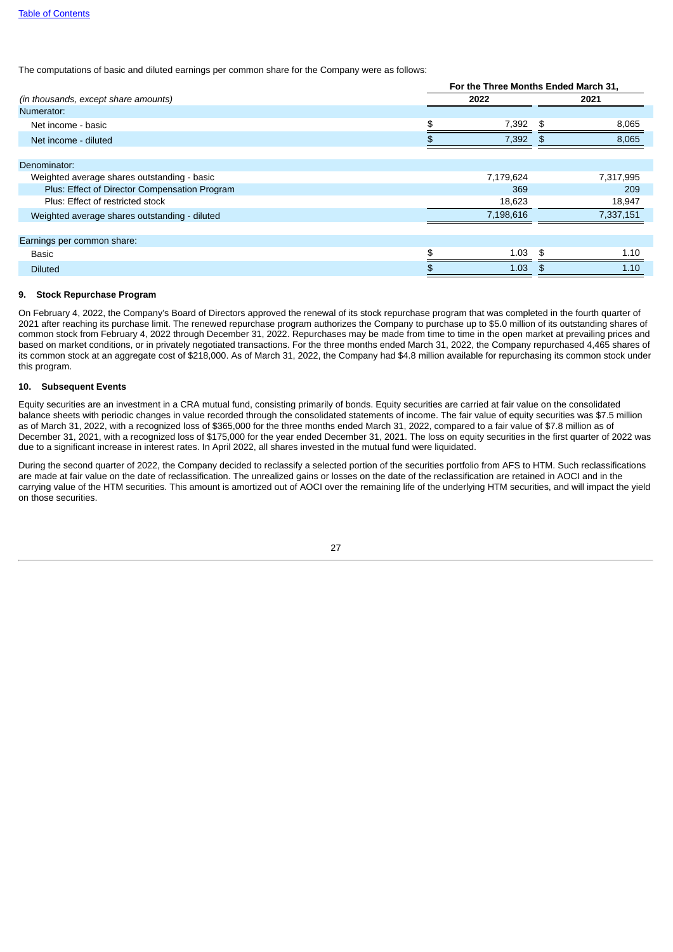The computations of basic and diluted earnings per common share for the Company were as follows:

|                                               | For the Three Months Ended March 31, |            |              |           |  |  |
|-----------------------------------------------|--------------------------------------|------------|--------------|-----------|--|--|
| (in thousands, except share amounts)          |                                      | 2022       | 2021         |           |  |  |
| Numerator:                                    |                                      |            |              |           |  |  |
| Net income - basic                            | \$                                   | $7,392$ \$ |              | 8,065     |  |  |
| Net income - diluted                          |                                      | 7,392      | -\$          | 8,065     |  |  |
| Denominator:                                  |                                      |            |              |           |  |  |
| Weighted average shares outstanding - basic   |                                      | 7,179,624  |              | 7,317,995 |  |  |
| Plus: Effect of Director Compensation Program |                                      | 369        |              | 209       |  |  |
| Plus: Effect of restricted stock              |                                      | 18,623     |              | 18,947    |  |  |
| Weighted average shares outstanding - diluted |                                      | 7,198,616  |              | 7,337,151 |  |  |
| Earnings per common share:                    |                                      |            |              |           |  |  |
| Basic                                         | \$.                                  | 1.03       | -\$          | 1.10      |  |  |
| <b>Diluted</b>                                |                                      | 1.03       | $\mathbf{E}$ | 1.10      |  |  |

#### **9. Stock Repurchase Program**

On February 4, 2022, the Company's Board of Directors approved the renewal of its stock repurchase program that was completed in the fourth quarter of 2021 after reaching its purchase limit. The renewed repurchase program authorizes the Company to purchase up to \$5.0 million of its outstanding shares of common stock from February 4, 2022 through December 31, 2022. Repurchases may be made from time to time in the open market at prevailing prices and based on market conditions, or in privately negotiated transactions. For the three months ended March 31, 2022, the Company repurchased 4,465 shares of its common stock at an aggregate cost of \$218,000. As of March 31, 2022, the Company had \$4.8 million available for repurchasing its common stock under this program.

#### **10. Subsequent Events**

Equity securities are an investment in a CRA mutual fund, consisting primarily of bonds. Equity securities are carried at fair value on the consolidated balance sheets with periodic changes in value recorded through the consolidated statements of income. The fair value of equity securities was \$7.5 million as of March 31, 2022, with a recognized loss of \$365,000 for the three months ended March 31, 2022, compared to a fair value of \$7.8 million as of December 31, 2021, with a recognized loss of \$175,000 for the year ended December 31, 2021. The loss on equity securities in the first quarter of 2022 was due to a significant increase in interest rates. In April 2022, all shares invested in the mutual fund were liquidated.

<span id="page-26-0"></span>During the second quarter of 2022, the Company decided to reclassify a selected portion of the securities portfolio from AFS to HTM. Such reclassifications are made at fair value on the date of reclassification. The unrealized gains or losses on the date of the reclassification are retained in AOCI and in the carrying value of the HTM securities. This amount is amortized out of AOCI over the remaining life of the underlying HTM securities, and will impact the yield on those securities.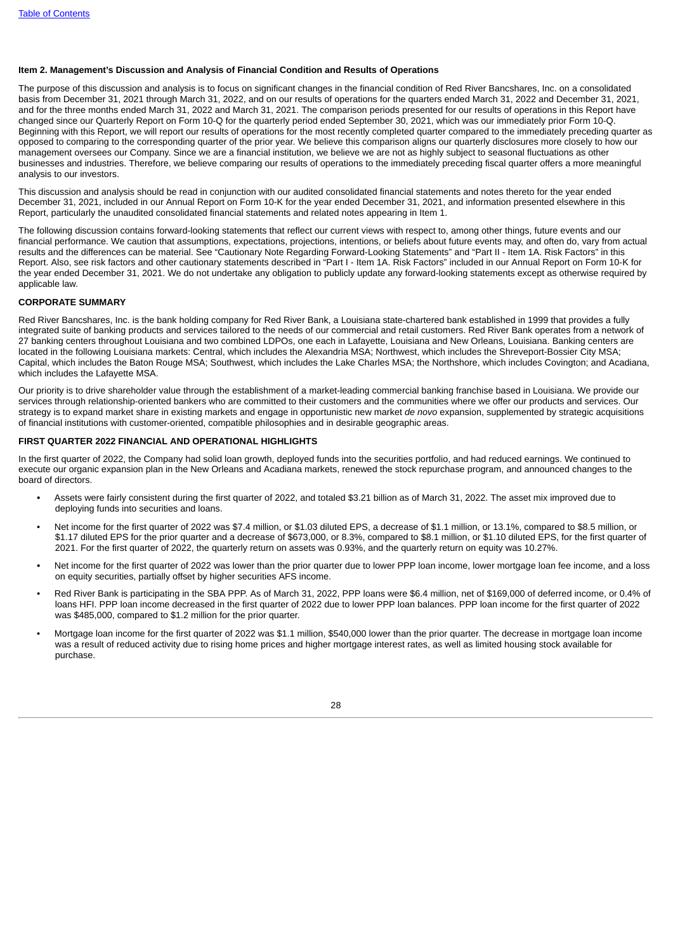#### **Item 2. Management's Discussion and Analysis of Financial Condition and Results of Operations**

The purpose of this discussion and analysis is to focus on significant changes in the financial condition of Red River Bancshares, Inc. on a consolidated basis from December 31, 2021 through March 31, 2022, and on our results of operations for the quarters ended March 31, 2022 and December 31, 2021, and for the three months ended March 31, 2022 and March 31, 2021. The comparison periods presented for our results of operations in this Report have changed since our Quarterly Report on Form 10-Q for the quarterly period ended September 30, 2021, which was our immediately prior Form 10-Q. Beginning with this Report, we will report our results of operations for the most recently completed quarter compared to the immediately preceding quarter as opposed to comparing to the corresponding quarter of the prior year. We believe this comparison aligns our quarterly disclosures more closely to how our management oversees our Company. Since we are a financial institution, we believe we are not as highly subject to seasonal fluctuations as other businesses and industries. Therefore, we believe comparing our results of operations to the immediately preceding fiscal quarter offers a more meaningful analysis to our investors.

This discussion and analysis should be read in conjunction with our audited consolidated financial statements and notes thereto for the year ended December 31, 2021, included in our Annual Report on Form 10-K for the year ended December 31, 2021, and information presented elsewhere in this Report, particularly the unaudited consolidated financial statements and related notes appearing in Item 1.

The following discussion contains forward-looking statements that reflect our current views with respect to, among other things, future events and our financial performance. We caution that assumptions, expectations, projections, intentions, or beliefs about future events may, and often do, vary from actual results and the differences can be material. See "Cautionary Note Regarding Forward-Looking Statements" and "Part II - Item 1A. Risk Factors" in this Report. Also, see risk factors and other cautionary statements described in "Part I - Item 1A. Risk Factors" included in our Annual Report on Form 10-K for the year ended December 31, 2021. We do not undertake any obligation to publicly update any forward-looking statements except as otherwise required by applicable law.

#### **CORPORATE SUMMARY**

Red River Bancshares, Inc. is the bank holding company for Red River Bank, a Louisiana state-chartered bank established in 1999 that provides a fully integrated suite of banking products and services tailored to the needs of our commercial and retail customers. Red River Bank operates from a network of 27 banking centers throughout Louisiana and two combined LDPOs, one each in Lafayette, Louisiana and New Orleans, Louisiana. Banking centers are located in the following Louisiana markets: Central, which includes the Alexandria MSA; Northwest, which includes the Shreveport-Bossier City MSA; Capital, which includes the Baton Rouge MSA; Southwest, which includes the Lake Charles MSA; the Northshore, which includes Covington; and Acadiana, which includes the Lafayette MSA.

Our priority is to drive shareholder value through the establishment of a market-leading commercial banking franchise based in Louisiana. We provide our services through relationship-oriented bankers who are committed to their customers and the communities where we offer our products and services. Our strategy is to expand market share in existing markets and engage in opportunistic new market *de novo* expansion, supplemented by strategic acquisitions of financial institutions with customer-oriented, compatible philosophies and in desirable geographic areas.

#### **FIRST QUARTER 2022 FINANCIAL AND OPERATIONAL HIGHLIGHTS**

In the first quarter of 2022, the Company had solid loan growth, deployed funds into the securities portfolio, and had reduced earnings. We continued to execute our organic expansion plan in the New Orleans and Acadiana markets, renewed the stock repurchase program, and announced changes to the board of directors.

- *•* Assets were fairly consistent during the first quarter of 2022, and totaled \$3.21 billion as of March 31, 2022. The asset mix improved due to deploying funds into securities and loans.
- Net income for the first quarter of 2022 was \$7.4 million, or \$1.03 diluted EPS, a decrease of \$1.1 million, or 13.1%, compared to \$8.5 million, or \$1.17 diluted EPS for the prior quarter and a decrease of \$673,000, or 8.3%, compared to \$8.1 million, or \$1.10 diluted EPS, for the first quarter of 2021. For the first quarter of 2022, the quarterly return on assets was 0.93%, and the quarterly return on equity was 10.27%.
- *•* Net income for the first quarter of 2022 was lower than the prior quarter due to lower PPP loan income, lower mortgage loan fee income, and a loss on equity securities, partially offset by higher securities AFS income.
- *•* Red River Bank is participating in the SBA PPP. As of March 31, 2022, PPP loans were \$6.4 million, net of \$169,000 of deferred income, or 0.4% of loans HFI. PPP loan income decreased in the first quarter of 2022 due to lower PPP loan balances. PPP loan income for the first quarter of 2022 was \$485,000, compared to \$1.2 million for the prior quarter.
- Mortgage loan income for the first quarter of 2022 was \$1.1 million, \$540,000 lower than the prior quarter. The decrease in mortgage loan income was a result of reduced activity due to rising home prices and higher mortgage interest rates, as well as limited housing stock available for purchase.

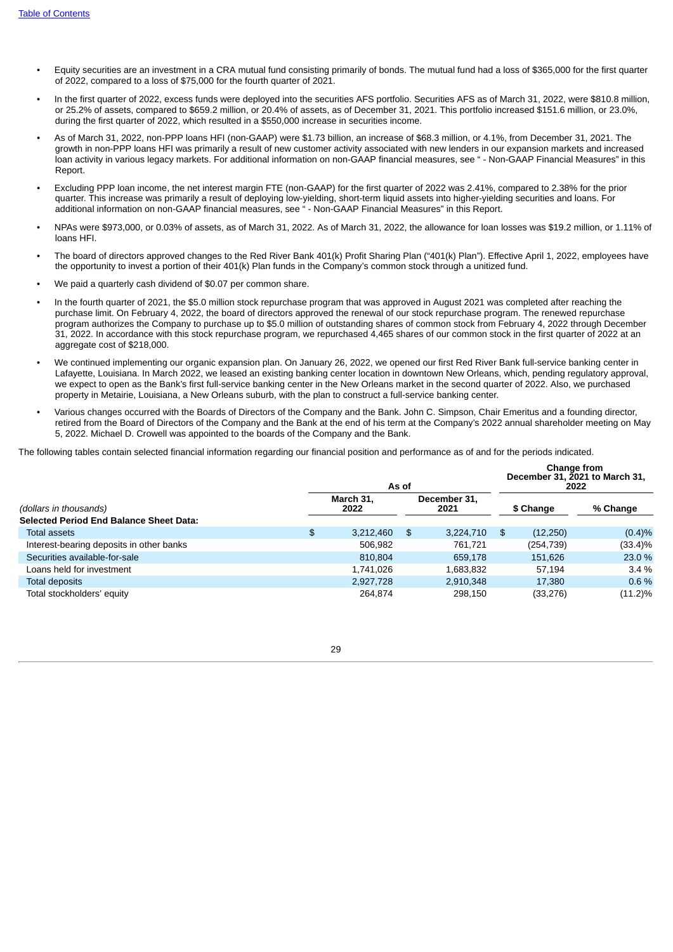- Equity securities are an investment in a CRA mutual fund consisting primarily of bonds. The mutual fund had a loss of \$365,000 for the first quarter of 2022, compared to a loss of \$75,000 for the fourth quarter of 2021.
- In the first quarter of 2022, excess funds were deployed into the securities AFS portfolio. Securities AFS as of March 31, 2022, were \$810.8 million, or 25.2% of assets, compared to \$659.2 million, or 20.4% of assets, as of December 31, 2021. This portfolio increased \$151.6 million, or 23.0%, during the first quarter of 2022, which resulted in a \$550,000 increase in securities income.
- *•* As of March 31, 2022, non-PPP loans HFI (non-GAAP) were \$1.73 billion, an increase of \$68.3 million, or 4.1%, from December 31, 2021. The growth in non-PPP loans HFI was primarily a result of new customer activity associated with new lenders in our expansion markets and increased loan activity in various legacy markets. For additional information on non-GAAP financial measures, see " - Non-GAAP Financial Measures" in this Report.
- *•* Excluding PPP loan income, the net interest margin FTE (non-GAAP) for the first quarter of 2022 was 2.41%, compared to 2.38% for the prior quarter. This increase was primarily a result of deploying low-yielding, short-term liquid assets into higher-yielding securities and loans. For additional information on non-GAAP financial measures, see " - Non-GAAP Financial Measures" in this Report.
- NPAs were \$973,000, or 0.03% of assets, as of March 31, 2022. As of March 31, 2022, the allowance for loan losses was \$19.2 million, or 1.11% of loans HFI.
- The board of directors approved changes to the Red River Bank 401(k) Profit Sharing Plan ("401(k) Plan"). Effective April 1, 2022, employees have the opportunity to invest a portion of their 401(k) Plan funds in the Company's common stock through a unitized fund.
- We paid a quarterly cash dividend of \$0.07 per common share.
- In the fourth quarter of 2021, the \$5.0 million stock repurchase program that was approved in August 2021 was completed after reaching the purchase limit. On February 4, 2022, the board of directors approved the renewal of our stock repurchase program. The renewed repurchase program authorizes the Company to purchase up to \$5.0 million of outstanding shares of common stock from February 4, 2022 through December 31, 2022. In accordance with this stock repurchase program, we repurchased 4,465 shares of our common stock in the first quarter of 2022 at an aggregate cost of \$218,000.
- We continued implementing our organic expansion plan. On January 26, 2022, we opened our first Red River Bank full-service banking center in Lafayette, Louisiana. In March 2022, we leased an existing banking center location in downtown New Orleans, which, pending regulatory approval, we expect to open as the Bank's first full-service banking center in the New Orleans market in the second quarter of 2022. Also, we purchased property in Metairie, Louisiana, a New Orleans suburb, with the plan to construct a full-service banking center.
- Various changes occurred with the Boards of Directors of the Company and the Bank. John C. Simpson, Chair Emeritus and a founding director, retired from the Board of Directors of the Company and the Bank at the end of his term at the Company's 2022 annual shareholder meeting on May 5, 2022. Michael D. Crowell was appointed to the boards of the Company and the Bank.

The following tables contain selected financial information regarding our financial position and performance as of and for the periods indicated.

|                                                | As of             | Change from<br>December 31, 2021 to March 31,<br>2022 |     |            |            |  |
|------------------------------------------------|-------------------|-------------------------------------------------------|-----|------------|------------|--|
| (dollars in thousands)                         | March 31.<br>2022 | December 31,<br>2021                                  |     | \$ Change  | % Change   |  |
| <b>Selected Period End Balance Sheet Data:</b> |                   |                                                       |     |            |            |  |
| <b>Total assets</b>                            | \$<br>3,212,460   | \$<br>3.224.710                                       | \$. | (12, 250)  | (0.4)%     |  |
| Interest-bearing deposits in other banks       | 506,982           | 761.721                                               |     | (254, 739) | $(33.4)\%$ |  |
| Securities available-for-sale                  | 810.804           | 659.178                                               |     | 151.626    | 23.0 %     |  |
| Loans held for investment                      | 1.741.026         | 1,683,832                                             |     | 57.194     | 3.4%       |  |
| Total deposits                                 | 2,927,728         | 2,910,348                                             |     | 17.380     | 0.6%       |  |
| Total stockholders' equity                     | 264.874           | 298.150                                               |     | (33, 276)  | $(11.2)\%$ |  |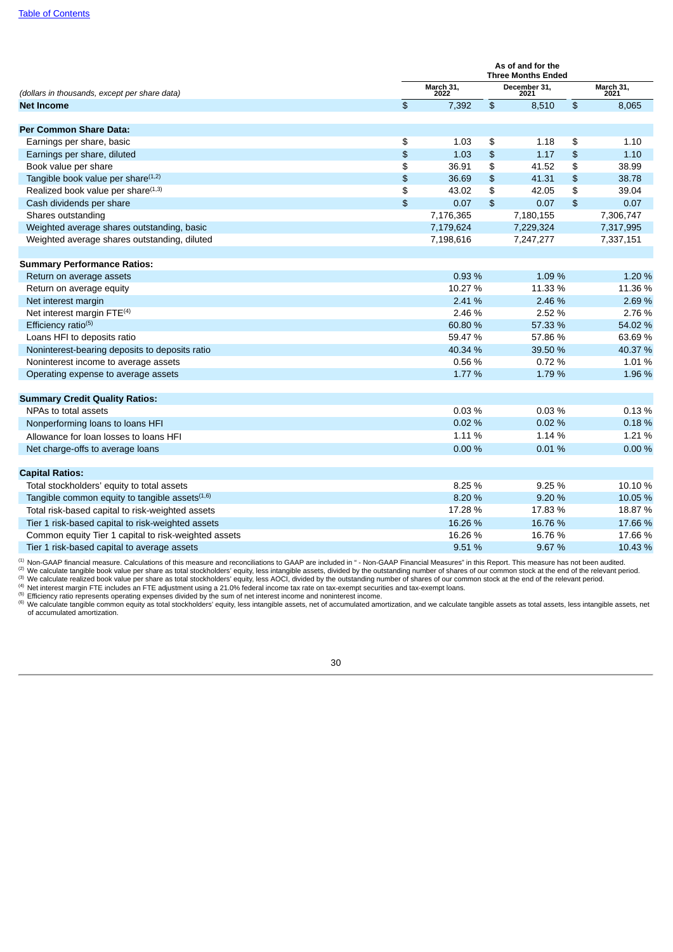|                                                      |                | As of and for the<br><b>Three Months Ended</b> |    |                      |                |                   |  |  |  |  |  |  |
|------------------------------------------------------|----------------|------------------------------------------------|----|----------------------|----------------|-------------------|--|--|--|--|--|--|
| (dollars in thousands, except per share data)        |                | March 31,<br>2022                              |    | December 31.<br>2021 |                | March 31,<br>2021 |  |  |  |  |  |  |
| <b>Net Income</b>                                    | $\mathfrak{L}$ | 7,392                                          | \$ | 8,510                | $\mathfrak{P}$ | 8,065             |  |  |  |  |  |  |
| <b>Per Common Share Data:</b>                        |                |                                                |    |                      |                |                   |  |  |  |  |  |  |
| Earnings per share, basic                            | \$             | 1.03                                           | \$ | 1.18                 | \$             | 1.10              |  |  |  |  |  |  |
| Earnings per share, diluted                          | \$             | 1.03                                           | \$ | 1.17                 | \$             | 1.10              |  |  |  |  |  |  |
| Book value per share                                 | \$             | 36.91                                          | \$ | 41.52                | \$             | 38.99             |  |  |  |  |  |  |
| Tangible book value per share $(1,2)$                | \$             | 36.69                                          | \$ | 41.31                | $\frac{1}{2}$  | 38.78             |  |  |  |  |  |  |
| Realized book value per share <sup>(1,3)</sup>       | \$             | 43.02                                          | \$ | 42.05                | \$             | 39.04             |  |  |  |  |  |  |
| Cash dividends per share                             | \$             | 0.07                                           | \$ | 0.07                 | $\mathfrak{P}$ | 0.07              |  |  |  |  |  |  |
| Shares outstanding                                   |                | 7,176,365                                      |    | 7,180,155            |                | 7,306,747         |  |  |  |  |  |  |
| Weighted average shares outstanding, basic           |                | 7,179,624                                      |    | 7,229,324            |                | 7,317,995         |  |  |  |  |  |  |
| Weighted average shares outstanding, diluted         |                | 7,198,616                                      |    | 7,247,277            |                | 7,337,151         |  |  |  |  |  |  |
| <b>Summary Performance Ratios:</b>                   |                |                                                |    |                      |                |                   |  |  |  |  |  |  |
| Return on average assets                             |                | 0.93%                                          |    | 1.09 %               |                | 1.20 %            |  |  |  |  |  |  |
| Return on average equity                             |                | 10.27 %                                        |    | 11.33 %              |                | 11.36 %           |  |  |  |  |  |  |
| Net interest margin                                  |                | 2.41 %                                         |    | 2.46 %               |                | 2.69 %            |  |  |  |  |  |  |
| Net interest margin FTE <sup>(4)</sup>               |                | 2.46 %                                         |    | 2.52 %               |                | 2.76 %            |  |  |  |  |  |  |
| Efficiency ratio(5)                                  |                | 60.80 %                                        |    | 57.33 %              |                | 54.02 %           |  |  |  |  |  |  |
| Loans HFI to deposits ratio                          |                | 59.47 %                                        |    | 57.86 %              |                | 63.69%            |  |  |  |  |  |  |
| Noninterest-bearing deposits to deposits ratio       |                | 40.34 %                                        |    | 39.50 %              |                | 40.37 %           |  |  |  |  |  |  |
| Noninterest income to average assets                 |                | 0.56%                                          |    | 0.72%                |                | 1.01 %            |  |  |  |  |  |  |
| Operating expense to average assets                  |                | 1.77 %                                         |    | 1.79 %               |                | 1.96 %            |  |  |  |  |  |  |
| <b>Summary Credit Quality Ratios:</b>                |                |                                                |    |                      |                |                   |  |  |  |  |  |  |
| NPAs to total assets                                 |                | 0.03%                                          |    | 0.03%                |                | 0.13%             |  |  |  |  |  |  |
| Nonperforming loans to loans HFI                     |                | 0.02%                                          |    | 0.02%                |                | 0.18%             |  |  |  |  |  |  |
|                                                      |                | 1.11 %                                         |    | 1.14 %               |                | 1.21 %            |  |  |  |  |  |  |
| Allowance for loan losses to loans HFI               |                |                                                |    |                      |                |                   |  |  |  |  |  |  |
| Net charge-offs to average loans                     |                | 0.00%                                          |    | 0.01%                |                | 0.00%             |  |  |  |  |  |  |
| <b>Capital Ratios:</b>                               |                |                                                |    |                      |                |                   |  |  |  |  |  |  |
| Total stockholders' equity to total assets           |                | 8.25 %                                         |    | 9.25 %               |                | 10.10 %           |  |  |  |  |  |  |
| Tangible common equity to tangible assets $(1,6)$    |                | 8.20 %                                         |    | 9.20 %               |                | 10.05 %           |  |  |  |  |  |  |
| Total risk-based capital to risk-weighted assets     |                | 17.28 %                                        |    | 17.83 %              |                | 18.87 %           |  |  |  |  |  |  |
| Tier 1 risk-based capital to risk-weighted assets    |                | 16.26 %                                        |    | 16.76 %              |                | 17.66 %           |  |  |  |  |  |  |
| Common equity Tier 1 capital to risk-weighted assets |                | 16.26 %                                        |    | 16.76 %              |                | 17.66 %           |  |  |  |  |  |  |
| Tier 1 risk-based capital to average assets          |                | 9.51 %                                         |    | 9.67%                |                | 10.43 %           |  |  |  |  |  |  |

(1) (2) (3) (4) (5) (6)

Non-GAAP financial measure. Calculations of this measure and reconciliations to GAAP are included in " - Non-GAAP Financial Measures" in this Report. This measure has not been audited.<br>We calculate tangible book value per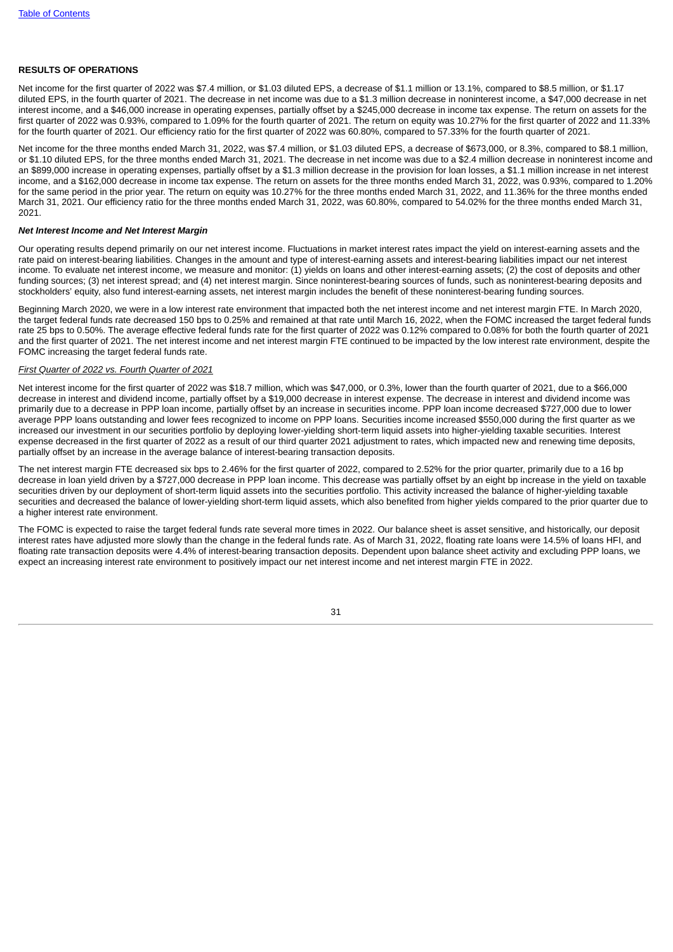#### **RESULTS OF OPERATIONS**

Net income for the first quarter of 2022 was \$7.4 million, or \$1.03 diluted EPS, a decrease of \$1.1 million or 13.1%, compared to \$8.5 million, or \$1.17 diluted EPS, in the fourth quarter of 2021. The decrease in net income was due to a \$1.3 million decrease in noninterest income, a \$47,000 decrease in net interest income, and a \$46,000 increase in operating expenses, partially offset by a \$245,000 decrease in income tax expense. The return on assets for the first quarter of 2022 was 0.93%, compared to 1.09% for the fourth quarter of 2021. The return on equity was 10.27% for the first quarter of 2022 and 11.33% for the fourth quarter of 2021. Our efficiency ratio for the first quarter of 2022 was 60.80%, compared to 57.33% for the fourth quarter of 2021.

Net income for the three months ended March 31, 2022, was \$7.4 million, or \$1.03 diluted EPS, a decrease of \$673,000, or 8.3%, compared to \$8.1 million, or \$1.10 diluted EPS, for the three months ended March 31, 2021. The decrease in net income was due to a \$2.4 million decrease in noninterest income and an \$899,000 increase in operating expenses, partially offset by a \$1.3 million decrease in the provision for loan losses, a \$1.1 million increase in net interest income, and a \$162,000 decrease in income tax expense. The return on assets for the three months ended March 31, 2022, was 0.93%, compared to 1.20% for the same period in the prior year. The return on equity was 10.27% for the three months ended March 31, 2022, and 11.36% for the three months ended March 31, 2021. Our efficiency ratio for the three months ended March 31, 2022, was 60.80%, compared to 54.02% for the three months ended March 31, 2021.

#### *Net Interest Income and Net Interest Margin*

Our operating results depend primarily on our net interest income. Fluctuations in market interest rates impact the yield on interest-earning assets and the rate paid on interest-bearing liabilities. Changes in the amount and type of interest-earning assets and interest-bearing liabilities impact our net interest income. To evaluate net interest income, we measure and monitor: (1) yields on loans and other interest-earning assets; (2) the cost of deposits and other funding sources; (3) net interest spread; and (4) net interest margin. Since noninterest-bearing sources of funds, such as noninterest-bearing deposits and stockholders' equity, also fund interest-earning assets, net interest margin includes the benefit of these noninterest-bearing funding sources.

Beginning March 2020, we were in a low interest rate environment that impacted both the net interest income and net interest margin FTE. In March 2020, the target federal funds rate decreased 150 bps to 0.25% and remained at that rate until March 16, 2022, when the FOMC increased the target federal funds rate 25 bps to 0.50%. The average effective federal funds rate for the first quarter of 2022 was 0.12% compared to 0.08% for both the fourth quarter of 2021 and the first quarter of 2021. The net interest income and net interest margin FTE continued to be impacted by the low interest rate environment, despite the FOMC increasing the target federal funds rate.

# *First Quarter of 2022 vs. Fourth Quarter of 2021*

Net interest income for the first quarter of 2022 was \$18.7 million, which was \$47,000, or 0.3%, lower than the fourth quarter of 2021, due to a \$66,000 decrease in interest and dividend income, partially offset by a \$19,000 decrease in interest expense. The decrease in interest and dividend income was primarily due to a decrease in PPP loan income, partially offset by an increase in securities income. PPP loan income decreased \$727,000 due to lower average PPP loans outstanding and lower fees recognized to income on PPP loans. Securities income increased \$550,000 during the first quarter as we increased our investment in our securities portfolio by deploying lower-yielding short-term liquid assets into higher-yielding taxable securities. Interest expense decreased in the first quarter of 2022 as a result of our third quarter 2021 adjustment to rates, which impacted new and renewing time deposits, partially offset by an increase in the average balance of interest-bearing transaction deposits.

The net interest margin FTE decreased six bps to 2.46% for the first quarter of 2022, compared to 2.52% for the prior quarter, primarily due to a 16 bp decrease in loan yield driven by a \$727,000 decrease in PPP loan income. This decrease was partially offset by an eight bp increase in the yield on taxable securities driven by our deployment of short-term liquid assets into the securities portfolio. This activity increased the balance of higher-yielding taxable securities and decreased the balance of lower-yielding short-term liquid assets, which also benefited from higher yields compared to the prior quarter due to a higher interest rate environment.

The FOMC is expected to raise the target federal funds rate several more times in 2022. Our balance sheet is asset sensitive, and historically, our deposit interest rates have adjusted more slowly than the change in the federal funds rate. As of March 31, 2022, floating rate loans were 14.5% of loans HFI, and floating rate transaction deposits were 4.4% of interest-bearing transaction deposits. Dependent upon balance sheet activity and excluding PPP loans, we expect an increasing interest rate environment to positively impact our net interest income and net interest margin FTE in 2022.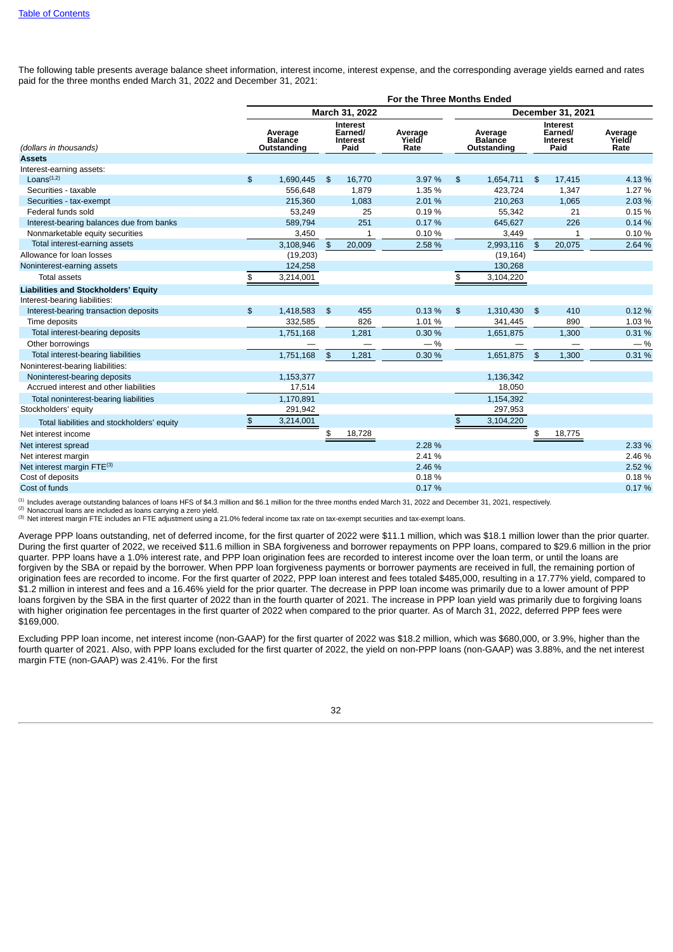The following table presents average balance sheet information, interest income, interest expense, and the corresponding average yields earned and rates paid for the three months ended March 31, 2022 and December 31, 2021:

|                                             | For the Three Months Ended |                                          |                |                                                       |                           |                |                                          |                |                                                |                                 |  |  |
|---------------------------------------------|----------------------------|------------------------------------------|----------------|-------------------------------------------------------|---------------------------|----------------|------------------------------------------|----------------|------------------------------------------------|---------------------------------|--|--|
|                                             |                            |                                          |                | March 31, 2022                                        |                           |                | December 31, 2021                        |                |                                                |                                 |  |  |
| (dollars in thousands)                      |                            | Average<br><b>Balance</b><br>Outstanding |                | <b>Interest</b><br>Earned/<br><b>Interest</b><br>Paid | Average<br>Yield/<br>Rate |                | Average<br><b>Balance</b><br>Outstanding |                | <b>Interest</b><br>Earned/<br>Interest<br>Paid | Average<br><b>Yield</b><br>Rate |  |  |
| <b>Assets</b>                               |                            |                                          |                |                                                       |                           |                |                                          |                |                                                |                                 |  |  |
| Interest-earning assets:                    |                            |                                          |                |                                                       |                           |                |                                          |                |                                                |                                 |  |  |
| Loans $(1,2)$                               | \$                         | 1,690,445                                | \$             | 16,770                                                | 3.97 %                    | $\mathfrak{S}$ | $1,654,711$ \$                           |                | 17,415                                         | 4.13%                           |  |  |
| Securities - taxable                        |                            | 556,648                                  |                | 1,879                                                 | 1.35 %                    |                | 423,724                                  |                | 1,347                                          | 1.27 %                          |  |  |
| Securities - tax-exempt                     |                            | 215,360                                  |                | 1,083                                                 | 2.01 %                    |                | 210,263                                  |                | 1,065                                          | 2.03 %                          |  |  |
| Federal funds sold                          |                            | 53,249                                   |                | 25                                                    | 0.19%                     |                | 55,342                                   |                | 21                                             | 0.15 %                          |  |  |
| Interest-bearing balances due from banks    |                            | 589,794                                  |                | 251                                                   | 0.17%                     |                | 645,627                                  |                | 226                                            | 0.14%                           |  |  |
| Nonmarketable equity securities             |                            | 3,450                                    |                | $\mathbf{1}$                                          | 0.10%                     |                | 3,449                                    |                | $\mathbf{1}$                                   | 0.10%                           |  |  |
| Total interest-earning assets               |                            | 3,108,946                                | \$             | 20,009                                                | 2.58 %                    |                | 2,993,116                                | \$             | 20,075                                         | 2.64 %                          |  |  |
| Allowance for loan losses                   |                            | (19, 203)                                |                |                                                       |                           |                | (19, 164)                                |                |                                                |                                 |  |  |
| Noninterest-earning assets                  |                            | 124,258                                  |                |                                                       |                           |                | 130,268                                  |                |                                                |                                 |  |  |
| <b>Total assets</b>                         | \$                         | 3,214,001                                |                |                                                       |                           | \$             | 3,104,220                                |                |                                                |                                 |  |  |
| <b>Liabilities and Stockholders' Equity</b> |                            |                                          |                |                                                       |                           |                |                                          |                |                                                |                                 |  |  |
| Interest-bearing liabilities:               |                            |                                          |                |                                                       |                           |                |                                          |                |                                                |                                 |  |  |
| Interest-bearing transaction deposits       | $\mathfrak{L}$             | 1,418,583                                | $\frac{3}{2}$  | 455                                                   | 0.13%                     | $\mathfrak{S}$ | 1,310,430                                | $\mathfrak{s}$ | 410                                            | 0.12%                           |  |  |
| Time deposits                               |                            | 332,585                                  |                | 826                                                   | 1.01%                     |                | 341,445                                  |                | 890                                            | 1.03%                           |  |  |
| Total interest-bearing deposits             |                            | 1,751,168                                |                | 1,281                                                 | 0.30 %                    |                | 1,651,875                                |                | 1,300                                          | 0.31 %                          |  |  |
| Other borrowings                            |                            |                                          |                |                                                       | $-$ %                     |                |                                          |                |                                                | $-$ %                           |  |  |
| Total interest-bearing liabilities          |                            | 1,751,168                                | $\mathfrak{s}$ | 1,281                                                 | 0.30 %                    |                | 1,651,875                                | $\frac{2}{3}$  | 1,300                                          | 0.31 %                          |  |  |
| Noninterest-bearing liabilities:            |                            |                                          |                |                                                       |                           |                |                                          |                |                                                |                                 |  |  |
| Noninterest-bearing deposits                |                            | 1,153,377                                |                |                                                       |                           |                | 1.136.342                                |                |                                                |                                 |  |  |
| Accrued interest and other liabilities      |                            | 17,514                                   |                |                                                       |                           |                | 18,050                                   |                |                                                |                                 |  |  |
| Total noninterest-bearing liabilities       |                            | 1,170,891                                |                |                                                       |                           |                | 1,154,392                                |                |                                                |                                 |  |  |
| Stockholders' equity                        |                            | 291,942                                  |                |                                                       |                           |                | 297,953                                  |                |                                                |                                 |  |  |
| Total liabilities and stockholders' equity  | \$                         | 3,214,001                                |                |                                                       |                           | \$             | 3,104,220                                |                |                                                |                                 |  |  |
| Net interest income                         |                            |                                          | \$             | 18,728                                                |                           |                |                                          | \$             | 18,775                                         |                                 |  |  |
| Net interest spread                         |                            |                                          |                |                                                       | 2.28 %                    |                |                                          |                |                                                | 2.33 %                          |  |  |
| Net interest margin                         |                            |                                          |                |                                                       | 2.41 %                    |                |                                          |                |                                                | 2.46 %                          |  |  |
| Net interest margin FTE(3)                  |                            |                                          |                |                                                       | 2.46 %                    |                |                                          |                |                                                | 2.52 %                          |  |  |
| Cost of deposits                            |                            |                                          |                |                                                       | 0.18%                     |                |                                          |                |                                                | 0.18%                           |  |  |
| Cost of funds                               |                            |                                          |                |                                                       | 0.17%                     |                |                                          |                |                                                | 0.17%                           |  |  |

 $^{(1)}$  Includes average outstanding balances of loans HFS of \$4.3 million and \$6.1 million for the three months ended March 31, 2022 and December 31, 2021, respectively.

 $(2)$  Nonaccrual loans are included as loans carrying a zero yield.

 $\left( ^{\text{3}}\right)$  Net interest margin FTE includes an FTE adjustment using a 21.0% federal income tax rate on tax-exempt securities and tax-exempt loans.

Average PPP loans outstanding, net of deferred income, for the first quarter of 2022 were \$11.1 million, which was \$18.1 million lower than the prior quarter. During the first quarter of 2022, we received \$11.6 million in SBA forgiveness and borrower repayments on PPP loans, compared to \$29.6 million in the prior quarter. PPP loans have a 1.0% interest rate, and PPP loan origination fees are recorded to interest income over the loan term, or until the loans are forgiven by the SBA or repaid by the borrower. When PPP loan forgiveness payments or borrower payments are received in full, the remaining portion of origination fees are recorded to income. For the first quarter of 2022, PPP loan interest and fees totaled \$485,000, resulting in a 17.77% yield, compared to \$1.2 million in interest and fees and a 16.46% yield for the prior quarter. The decrease in PPP loan income was primarily due to a lower amount of PPP loans forgiven by the SBA in the first quarter of 2022 than in the fourth quarter of 2021. The increase in PPP loan yield was primarily due to forgiving loans with higher origination fee percentages in the first quarter of 2022 when compared to the prior quarter. As of March 31, 2022, deferred PPP fees were \$169,000.

Excluding PPP loan income, net interest income (non-GAAP) for the first quarter of 2022 was \$18.2 million, which was \$680,000, or 3.9%, higher than the fourth quarter of 2021. Also, with PPP loans excluded for the first quarter of 2022, the yield on non-PPP loans (non-GAAP) was 3.88%, and the net interest margin FTE (non-GAAP) was 2.41%. For the first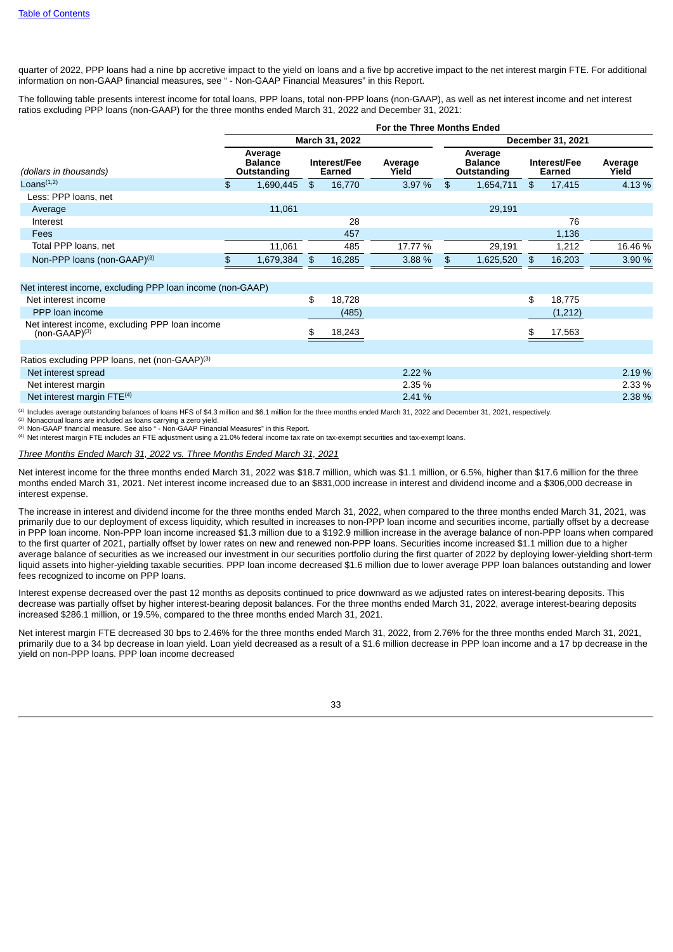quarter of 2022. PPP loans had a nine bp accretive impact to the yield on loans and a five bp accretive impact to the net interest margin FTE. For additional information on non-GAAP financial measures, see " - Non-GAAP Financial Measures" in this Report.

The following table presents interest income for total loans, PPP loans, total non-PPP loans (non-GAAP), as well as net interest income and net interest ratios excluding PPP loans (non-GAAP) for the three months ended March 31, 2022 and December 31, 2021:

|                                                                                                                                                                          | For the Three Months Ended               |           |                               |                |                  |                                          |           |                               |         |                  |  |  |  |
|--------------------------------------------------------------------------------------------------------------------------------------------------------------------------|------------------------------------------|-----------|-------------------------------|----------------|------------------|------------------------------------------|-----------|-------------------------------|---------|------------------|--|--|--|
|                                                                                                                                                                          |                                          |           |                               | March 31, 2022 |                  | December 31, 2021                        |           |                               |         |                  |  |  |  |
| (dollars in thousands)                                                                                                                                                   | Average<br><b>Balance</b><br>Outstanding |           | Interest/Fee<br><b>Earned</b> |                | Average<br>Yield | Average<br><b>Balance</b><br>Outstanding |           | Interest/Fee<br><b>Earned</b> |         | Average<br>Yield |  |  |  |
| Loans $(1,2)$                                                                                                                                                            | \$                                       | 1,690,445 | \$                            | 16,770         | 3.97 %           | \$                                       | 1,654,711 | \$                            | 17,415  | 4.13%            |  |  |  |
| Less: PPP loans, net                                                                                                                                                     |                                          |           |                               |                |                  |                                          |           |                               |         |                  |  |  |  |
| Average                                                                                                                                                                  |                                          | 11,061    |                               |                |                  |                                          | 29,191    |                               |         |                  |  |  |  |
| Interest                                                                                                                                                                 |                                          |           |                               | 28             |                  |                                          |           |                               | 76      |                  |  |  |  |
| Fees                                                                                                                                                                     |                                          |           |                               | 457            |                  |                                          |           |                               | 1,136   |                  |  |  |  |
| Total PPP loans, net                                                                                                                                                     |                                          | 11,061    |                               | 485            | 17.77 %          |                                          | 29,191    |                               | 1,212   | 16.46 %          |  |  |  |
| Non-PPP loans (non-GAAP) <sup>(3)</sup>                                                                                                                                  | \$.                                      | 1,679,384 | $\frac{1}{2}$                 | 16,285         | 3.88 %           | \$                                       | 1,625,520 | $\frac{1}{2}$                 | 16,203  | 3.90 %           |  |  |  |
| Net interest income, excluding PPP loan income (non-GAAP)                                                                                                                |                                          |           |                               |                |                  |                                          |           |                               |         |                  |  |  |  |
| Net interest income                                                                                                                                                      |                                          |           | \$                            | 18,728         |                  |                                          |           | \$                            | 18,775  |                  |  |  |  |
| PPP loan income                                                                                                                                                          |                                          |           |                               | (485)          |                  |                                          |           |                               | (1,212) |                  |  |  |  |
| Net interest income, excluding PPP loan income<br>$(non-GAAP)^{(3)}$                                                                                                     |                                          |           | £                             | 18,243         |                  |                                          |           | £                             | 17,563  |                  |  |  |  |
|                                                                                                                                                                          |                                          |           |                               |                |                  |                                          |           |                               |         |                  |  |  |  |
| Ratios excluding PPP loans, net (non-GAAP) <sup>(3)</sup>                                                                                                                |                                          |           |                               |                |                  |                                          |           |                               |         |                  |  |  |  |
| Net interest spread                                                                                                                                                      |                                          |           |                               |                | 2.22 %           |                                          |           |                               |         | 2.19 %           |  |  |  |
| Net interest margin                                                                                                                                                      |                                          |           |                               |                | 2.35 %           |                                          |           |                               |         | 2.33 %           |  |  |  |
| Net interest margin FTE <sup>(4)</sup>                                                                                                                                   |                                          |           |                               |                | 2.41 %           |                                          |           |                               |         | 2.38 %           |  |  |  |
| (1) Includes average outstanding balances of loans HFS of \$4.3 million and \$6.1 million for the three months ended March 31, 2022 and December 31, 2021, respectively. |                                          |           |                               |                |                  |                                          |           |                               |         |                  |  |  |  |

<sup>(2)</sup> Nonaccrual loans are included as loans carrying a zero yield.

<sup>(3)</sup> Non-GAAP financial measure. See also " - Non-GAAP Financial Measures" in this Report.

 $^{(4)}$  Net interest margin FTE includes an FTE adjustment using a 21.0% federal income tax rate on tax-exempt securities and tax-exempt loans.

# *Three Months Ended March 31, 2022 vs. Three Months Ended March 31, 2021*

Net interest income for the three months ended March 31, 2022 was \$18.7 million, which was \$1.1 million, or 6.5%, higher than \$17.6 million for the three months ended March 31, 2021. Net interest income increased due to an \$831,000 increase in interest and dividend income and a \$306,000 decrease in interest expense.

The increase in interest and dividend income for the three months ended March 31, 2022, when compared to the three months ended March 31, 2021, was primarily due to our deployment of excess liquidity, which resulted in increases to non-PPP loan income and securities income, partially offset by a decrease in PPP loan income. Non-PPP loan income increased \$1.3 million due to a \$192.9 million increase in the average balance of non-PPP loans when compared to the first quarter of 2021, partially offset by lower rates on new and renewed non-PPP loans. Securities income increased \$1.1 million due to a higher average balance of securities as we increased our investment in our securities portfolio during the first quarter of 2022 by deploying lower-yielding short-term liquid assets into higher-yielding taxable securities. PPP loan income decreased \$1.6 million due to lower average PPP loan balances outstanding and lower fees recognized to income on PPP loans.

Interest expense decreased over the past 12 months as deposits continued to price downward as we adjusted rates on interest-bearing deposits. This decrease was partially offset by higher interest-bearing deposit balances. For the three months ended March 31, 2022, average interest-bearing deposits increased \$286.1 million, or 19.5%, compared to the three months ended March 31, 2021.

Net interest margin FTE decreased 30 bps to 2.46% for the three months ended March 31, 2022, from 2.76% for the three months ended March 31, 2021, primarily due to a 34 bp decrease in loan yield. Loan yield decreased as a result of a \$1.6 million decrease in PPP loan income and a 17 bp decrease in the yield on non-PPP loans. PPP loan income decreased

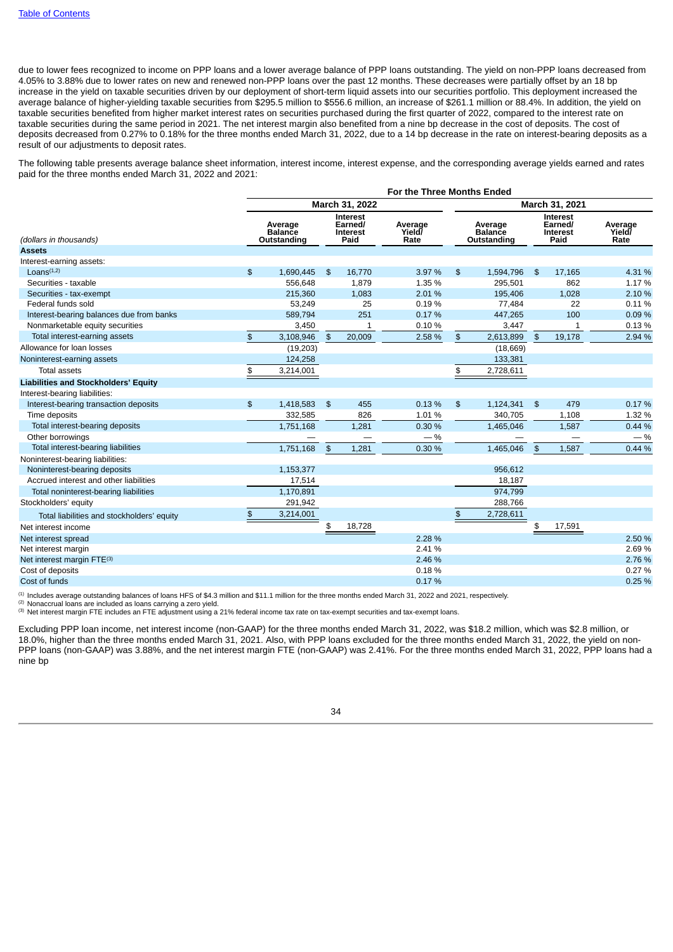due to lower fees recognized to income on PPP loans and a lower average balance of PPP loans outstanding. The yield on non-PPP loans decreased from 4.05% to 3.88% due to lower rates on new and renewed non-PPP loans over the past 12 months. These decreases were partially offset by an 18 bp increase in the yield on taxable securities driven by our deployment of short-term liquid assets into our securities portfolio. This deployment increased the average balance of higher-yielding taxable securities from \$295.5 million to \$556.6 million, an increase of \$261.1 million or 88.4%. In addition, the yield on taxable securities benefited from higher market interest rates on securities purchased during the first quarter of 2022, compared to the interest rate on taxable securities during the same period in 2021. The net interest margin also benefited from a nine bp decrease in the cost of deposits. The cost of deposits decreased from 0.27% to 0.18% for the three months ended March 31, 2022, due to a 14 bp decrease in the rate on interest-bearing deposits as a result of our adjustments to deposit rates.

The following table presents average balance sheet information, interest income, interest expense, and the corresponding average yields earned and rates paid for the three months ended March 31, 2022 and 2021:

|                                             | For the Three Months Ended |                                          |                |                                         |                           |                |                                          |                |                                                |                           |  |  |
|---------------------------------------------|----------------------------|------------------------------------------|----------------|-----------------------------------------|---------------------------|----------------|------------------------------------------|----------------|------------------------------------------------|---------------------------|--|--|
|                                             |                            |                                          |                | March 31, 2022                          |                           |                | March 31, 2021                           |                |                                                |                           |  |  |
| (dollars in thousands)                      |                            | Average<br><b>Balance</b><br>Outstanding |                | Interest<br>Earned/<br>Interest<br>Paid | Average<br>Yieldl<br>Rate |                | Average<br><b>Balance</b><br>Outstanding |                | <b>Interest</b><br>Earned/<br>Interest<br>Paid | Average<br>Yield/<br>Rate |  |  |
| <b>Assets</b>                               |                            |                                          |                |                                         |                           |                |                                          |                |                                                |                           |  |  |
| Interest-earning assets:                    |                            |                                          |                |                                         |                           |                |                                          |                |                                                |                           |  |  |
| Loans $(1,2)$                               | \$                         | 1,690,445                                | \$             | 16,770                                  | 3.97 %                    | $\mathfrak{S}$ | 1,594,796                                | $\mathfrak{S}$ | 17,165                                         | 4.31 %                    |  |  |
| Securities - taxable                        |                            | 556,648                                  |                | 1,879                                   | 1.35 %                    |                | 295,501                                  |                | 862                                            | 1.17%                     |  |  |
| Securities - tax-exempt                     |                            | 215,360                                  |                | 1,083                                   | 2.01 %                    |                | 195,406                                  |                | 1,028                                          | 2.10 %                    |  |  |
| Federal funds sold                          |                            | 53,249                                   |                | 25                                      | 0.19%                     |                | 77,484                                   |                | 22                                             | 0.11%                     |  |  |
| Interest-bearing balances due from banks    |                            | 589,794                                  |                | 251                                     | 0.17%                     |                | 447,265                                  |                | 100                                            | 0.09%                     |  |  |
| Nonmarketable equity securities             |                            | 3,450                                    |                | $\mathbf{1}$                            | 0.10%                     |                | 3,447                                    |                | $\mathbf{1}$                                   | 0.13%                     |  |  |
| Total interest-earning assets               | \$                         | 3,108,946                                | $\mathfrak{S}$ | 20,009                                  | 2.58 %                    | $\mathfrak{S}$ | 2,613,899                                | \$             | 19,178                                         | 2.94 %                    |  |  |
| Allowance for loan losses                   |                            | (19, 203)                                |                |                                         |                           |                | (18, 669)                                |                |                                                |                           |  |  |
| Noninterest-earning assets                  |                            | 124,258                                  |                |                                         |                           |                | 133,381                                  |                |                                                |                           |  |  |
| <b>Total assets</b>                         | \$                         | 3,214,001                                |                |                                         |                           | \$             | 2,728,611                                |                |                                                |                           |  |  |
| <b>Liabilities and Stockholders' Equity</b> |                            |                                          |                |                                         |                           |                |                                          |                |                                                |                           |  |  |
| Interest-bearing liabilities:               |                            |                                          |                |                                         |                           |                |                                          |                |                                                |                           |  |  |
| Interest-bearing transaction deposits       | $\mathfrak{S}$             | 1,418,583                                | $\frac{3}{2}$  | 455                                     | 0.13%                     | $\mathfrak{S}$ | 1,124,341                                | $\mathfrak{S}$ | 479                                            | 0.17%                     |  |  |
| Time deposits                               |                            | 332,585                                  |                | 826                                     | 1.01%                     |                | 340,705                                  |                | 1,108                                          | 1.32 %                    |  |  |
| Total interest-bearing deposits             |                            | 1,751,168                                |                | 1.281                                   | 0.30 %                    |                | 1,465,046                                |                | 1,587                                          | 0.44%                     |  |  |
| Other borrowings                            |                            |                                          |                |                                         | $-$ %                     |                |                                          |                |                                                | $-$ %                     |  |  |
| Total interest-bearing liabilities          |                            | 1,751,168                                | $\frac{1}{2}$  | 1,281                                   | 0.30 %                    |                | 1,465,046                                | \$             | 1,587                                          | 0.44%                     |  |  |
| Noninterest-bearing liabilities:            |                            |                                          |                |                                         |                           |                |                                          |                |                                                |                           |  |  |
| Noninterest-bearing deposits                |                            | 1,153,377                                |                |                                         |                           |                | 956,612                                  |                |                                                |                           |  |  |
| Accrued interest and other liabilities      |                            | 17,514                                   |                |                                         |                           |                | 18,187                                   |                |                                                |                           |  |  |
| Total noninterest-bearing liabilities       |                            | 1,170,891                                |                |                                         |                           |                | 974,799                                  |                |                                                |                           |  |  |
| Stockholders' equity                        |                            | 291,942                                  |                |                                         |                           |                | 288,766                                  |                |                                                |                           |  |  |
| Total liabilities and stockholders' equity  | \$                         | 3,214,001                                |                |                                         |                           | \$             | 2,728,611                                |                |                                                |                           |  |  |
| Net interest income                         |                            |                                          | \$             | 18,728                                  |                           |                |                                          | \$             | 17,591                                         |                           |  |  |
| Net interest spread                         |                            |                                          |                |                                         | 2.28 %                    |                |                                          |                |                                                | 2.50 %                    |  |  |
| Net interest margin                         |                            |                                          |                |                                         | 2.41 %                    |                |                                          |                |                                                | 2.69%                     |  |  |
| Net interest margin FTE(3)                  |                            |                                          |                |                                         | 2.46 %                    |                |                                          |                |                                                | 2.76 %                    |  |  |
| Cost of deposits                            |                            |                                          |                |                                         | 0.18%                     |                |                                          |                |                                                | 0.27%                     |  |  |
| Cost of funds                               |                            |                                          |                |                                         | 0.17%                     |                |                                          |                |                                                | 0.25%                     |  |  |

 $^{(1)}$  Includes average outstanding balances of loans HFS of \$4.3 million and \$11.1 million for the three months ended March 31, 2022 and 2021, respectively.

<sup>(2)</sup> Nonaccrual loans are included as loans carrying a zero yield.

 $\text{\tiny (3)}$  Net interest margin FTE includes an FTE adjustment using a 21% federal income tax rate on tax-exempt securities and tax-exempt loans.

Excluding PPP loan income, net interest income (non-GAAP) for the three months ended March 31, 2022, was \$18.2 million, which was \$2.8 million, or 18.0%, higher than the three months ended March 31, 2021. Also, with PPP loans excluded for the three months ended March 31, 2022, the yield on non-PPP loans (non-GAAP) was 3.88%, and the net interest margin FTE (non-GAAP) was 2.41%. For the three months ended March 31, 2022, PPP loans had a nine bp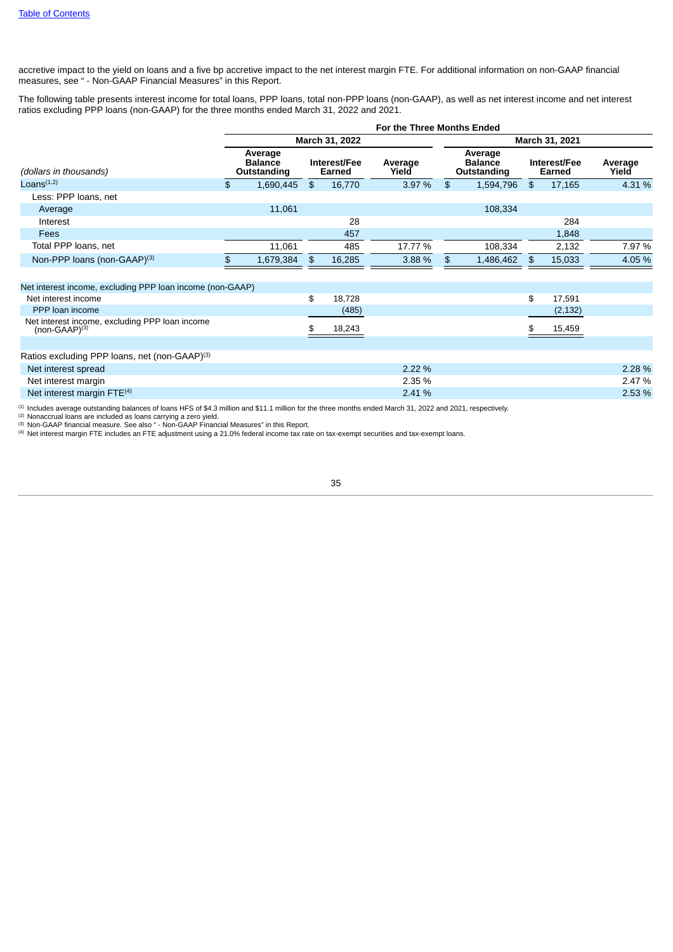accretive impact to the yield on loans and a five bp accretive impact to the net interest margin FTE. For additional information on non-GAAP financial measures, see " - Non-GAAP Financial Measures" in this Report.

The following table presents interest income for total loans, PPP loans, total non-PPP loans (non-GAAP), as well as net interest income and net interest ratios excluding PPP loans (non-GAAP) for the three months ended March 31, 2022 and 2021.

|                                                                                                                                                              | For the Three Months Ended |                                          |    |                        |                  |                |                                          |     |                               |                  |  |  |
|--------------------------------------------------------------------------------------------------------------------------------------------------------------|----------------------------|------------------------------------------|----|------------------------|------------------|----------------|------------------------------------------|-----|-------------------------------|------------------|--|--|
|                                                                                                                                                              |                            |                                          |    | March 31, 2022         |                  | March 31, 2021 |                                          |     |                               |                  |  |  |
| (dollars in thousands)                                                                                                                                       |                            | Average<br><b>Balance</b><br>Outstanding |    | Interest/Fee<br>Earned | Average<br>Yield |                | Average<br><b>Balance</b><br>Outstanding |     | Interest/Fee<br><b>Earned</b> | Average<br>Yield |  |  |
| Loans $(1,2)$                                                                                                                                                | \$                         | 1,690,445                                | \$ | 16,770                 | 3.97 %           | \$             | 1,594,796                                | \$  | 17,165                        | 4.31 %           |  |  |
| Less: PPP loans, net                                                                                                                                         |                            |                                          |    |                        |                  |                |                                          |     |                               |                  |  |  |
| Average                                                                                                                                                      |                            | 11,061                                   |    |                        |                  |                | 108,334                                  |     |                               |                  |  |  |
| Interest                                                                                                                                                     |                            |                                          |    | 28                     |                  |                |                                          |     | 284                           |                  |  |  |
| Fees                                                                                                                                                         |                            |                                          |    | 457                    |                  |                |                                          |     | 1,848                         |                  |  |  |
| Total PPP loans, net                                                                                                                                         |                            | 11,061                                   |    | 485                    | 17.77 %          |                | 108,334                                  |     | 2,132                         | 7.97 %           |  |  |
| Non-PPP loans (non-GAAP) $(3)$                                                                                                                               |                            | 1,679,384                                | \$ | 16,285                 | 3.88 %           | \$             | 1,486,462                                | \$  | 15,033                        | 4.05 %           |  |  |
| Net interest income, excluding PPP loan income (non-GAAP)                                                                                                    |                            |                                          |    |                        |                  |                |                                          |     |                               |                  |  |  |
| Net interest income                                                                                                                                          |                            |                                          | \$ | 18,728                 |                  |                |                                          | \$  | 17,591                        |                  |  |  |
| PPP loan income                                                                                                                                              |                            |                                          |    | (485)                  |                  |                |                                          |     | (2, 132)                      |                  |  |  |
| Net interest income, excluding PPP loan income<br>$(non-GAAP)^{(3)}$                                                                                         |                            |                                          | \$ | 18,243                 |                  |                |                                          | \$. | 15,459                        |                  |  |  |
|                                                                                                                                                              |                            |                                          |    |                        |                  |                |                                          |     |                               |                  |  |  |
| Ratios excluding PPP loans, net (non-GAAP) <sup>(3)</sup>                                                                                                    |                            |                                          |    |                        |                  |                |                                          |     |                               |                  |  |  |
| Net interest spread                                                                                                                                          |                            |                                          |    |                        | 2.22 %           |                |                                          |     |                               | 2.28 %           |  |  |
| Net interest margin                                                                                                                                          |                            |                                          |    |                        | 2.35%            |                |                                          |     |                               | 2.47 %           |  |  |
| Net interest margin FTE <sup>(4)</sup>                                                                                                                       |                            |                                          |    |                        | 2.41 %           |                |                                          |     |                               | 2.53 %           |  |  |
| (1) Includes average outstanding balances of loans HFS of \$4.3 million and \$11.1 million for the three months ended March 31, 2022 and 2021, respectively. |                            |                                          |    |                        |                  |                |                                          |     |                               |                  |  |  |

(1) (2) (3) (4)

Includes average outstanding balances of loans HFS of \$4.3 million and \$11.1 million for the three months ended March 31, 2022 and 2021, respectively.<br>Nonaccrual loans are included as loans carrying a zero yield.<br>Non-GAAP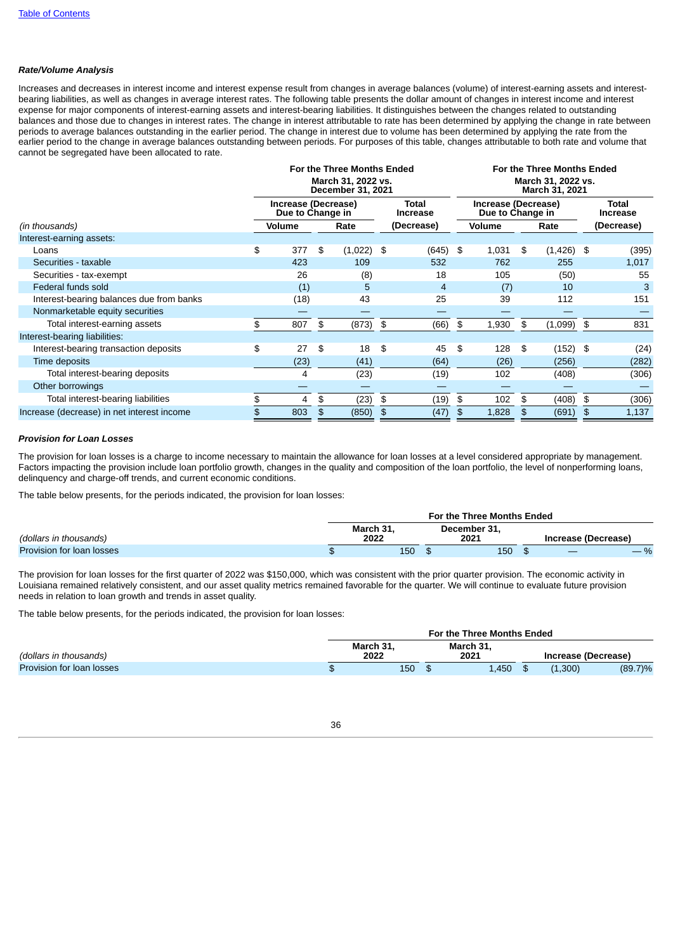# *Rate/Volume Analysis*

Increases and decreases in interest income and interest expense result from changes in average balances (volume) of interest-earning assets and interestbearing liabilities, as well as changes in average interest rates. The following table presents the dollar amount of changes in interest income and interest expense for major components of interest-earning assets and interest-bearing liabilities. It distinguishes between the changes related to outstanding balances and those due to changes in interest rates. The change in interest attributable to rate has been determined by applying the change in rate between periods to average balances outstanding in the earlier period. The change in interest due to volume has been determined by applying the rate from the earlier period to the change in average balances outstanding between periods. For purposes of this table, changes attributable to both rate and volume that cannot be segregated have been allocated to rate.

|                                            |    | For the Three Months Ended              |                                         | For the Three Months Ended |                                      |    |                                         |    |          |    |                          |
|--------------------------------------------|----|-----------------------------------------|-----------------------------------------|----------------------------|--------------------------------------|----|-----------------------------------------|----|----------|----|--------------------------|
|                                            |    |                                         | March 31, 2022 vs.<br>December 31, 2021 |                            | March 31, 2022 vs.<br>March 31, 2021 |    |                                         |    |          |    |                          |
|                                            |    | Increase (Decrease)<br>Due to Change in |                                         |                            | Total<br><b>Increase</b>             |    | Increase (Decrease)<br>Due to Change in |    |          |    | Total<br><b>Increase</b> |
| (in thousands)                             |    | Volume                                  | Rate                                    |                            | (Decrease)                           |    | <b>Volume</b>                           |    | Rate     |    | (Decrease)               |
| Interest-earning assets:                   |    |                                         |                                         |                            |                                      |    |                                         |    |          |    |                          |
| Loans                                      | \$ | 377                                     | \$<br>(1,022)                           | \$                         | (645)                                | \$ | 1,031                                   | \$ | (1, 426) | \$ | (395)                    |
| Securities - taxable                       |    | 423                                     | 109                                     |                            | 532                                  |    | 762                                     |    | 255      |    | 1,017                    |
| Securities - tax-exempt                    |    | 26                                      | (8)                                     |                            | 18                                   |    | 105                                     |    | (50)     |    | 55                       |
| Federal funds sold                         |    | (1)                                     | 5                                       |                            | 4                                    |    | (7)                                     |    | 10       |    | 3                        |
| Interest-bearing balances due from banks   |    | (18)                                    | 43                                      |                            | 25                                   |    | 39                                      |    | 112      |    | 151                      |
| Nonmarketable equity securities            |    |                                         |                                         |                            |                                      |    |                                         |    |          |    |                          |
| Total interest-earning assets              | \$ | 807                                     | \$<br>(873)                             | \$                         | (66)                                 | \$ | 1,930                                   | \$ | (1,099)  | \$ | 831                      |
| Interest-bearing liabilities:              |    |                                         |                                         |                            |                                      |    |                                         |    |          |    |                          |
| Interest-bearing transaction deposits      | \$ | 27                                      | \$<br>18                                | \$                         | 45                                   | \$ | 128                                     | \$ | (152)    | \$ | (24)                     |
| Time deposits                              |    | (23)                                    | (41)                                    |                            | (64)                                 |    | (26)                                    |    | (256)    |    | (282)                    |
| Total interest-bearing deposits            |    | 4                                       | (23)                                    |                            | (19)                                 |    | 102                                     |    | (408)    |    | (306)                    |
| Other borrowings                           |    |                                         |                                         |                            |                                      |    |                                         |    |          |    |                          |
| Total interest-bearing liabilities         | \$ | 4                                       | \$<br>(23)                              | \$                         | (19)                                 | \$ | 102                                     | \$ | (408)    | \$ | (306)                    |
| Increase (decrease) in net interest income |    | 803                                     | \$<br>(850)                             | \$                         | (47)                                 | \$ | 1,828                                   | \$ | (691)    | \$ | 1,137                    |
|                                            |    |                                         |                                         |                            |                                      |    |                                         |    |          |    |                          |

# *Provision for Loan Losses*

The provision for loan losses is a charge to income necessary to maintain the allowance for loan losses at a level considered appropriate by management. Factors impacting the provision include loan portfolio growth, changes in the quality and composition of the loan portfolio, the level of nonperforming loans, delinquency and charge-off trends, and current economic conditions.

The table below presents, for the periods indicated, the provision for loan losses:

|                           | For the Three Months Ended |     |                             |     |  |                     |       |  |  |  |
|---------------------------|----------------------------|-----|-----------------------------|-----|--|---------------------|-------|--|--|--|
| (dollars in thousands)    | March 31.<br>2022          |     | <b>December 31.</b><br>2021 |     |  | Increase (Decrease) |       |  |  |  |
| Provision for loan losses |                            | 150 |                             | 150 |  |                     | $-$ % |  |  |  |

The provision for loan losses for the first quarter of 2022 was \$150,000, which was consistent with the prior quarter provision. The economic activity in Louisiana remained relatively consistent, and our asset quality metrics remained favorable for the quarter. We will continue to evaluate future provision needs in relation to loan growth and trends in asset quality.

The table below presents, for the periods indicated, the provision for loan losses:

|                                  | For the Three Months Ended |           |  |           |  |                     |            |  |  |  |
|----------------------------------|----------------------------|-----------|--|-----------|--|---------------------|------------|--|--|--|
|                                  |                            | March 31. |  | March 31, |  |                     |            |  |  |  |
| (dollars in thousands)           |                            | 2022      |  | 2021      |  | Increase (Decrease) |            |  |  |  |
| <b>Provision for loan losses</b> |                            | 150       |  | 1.450     |  | (1, 300)            | $(89.7)\%$ |  |  |  |

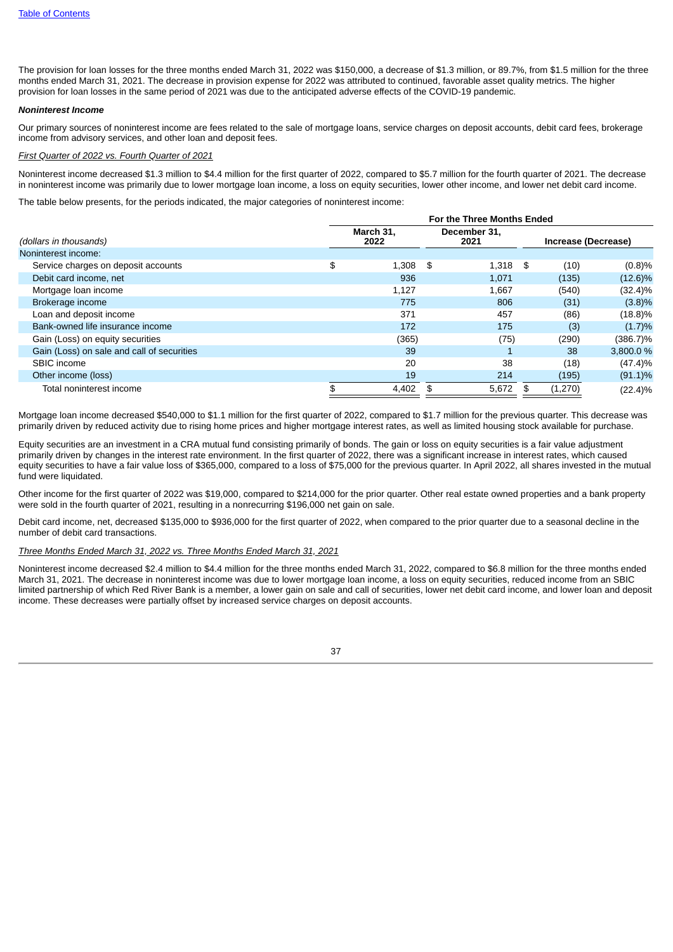The provision for loan losses for the three months ended March 31, 2022 was \$150,000, a decrease of \$1.3 million, or 89.7%, from \$1.5 million for the three months ended March 31, 2021. The decrease in provision expense for 2022 was attributed to continued, favorable asset quality metrics. The higher provision for loan losses in the same period of 2021 was due to the anticipated adverse effects of the COVID-19 pandemic.

#### *Noninterest Income*

Our primary sources of noninterest income are fees related to the sale of mortgage loans, service charges on deposit accounts, debit card fees, brokerage income from advisory services, and other loan and deposit fees.

# *First Quarter of 2022 vs. Fourth Quarter of 2021*

Noninterest income decreased \$1.3 million to \$4.4 million for the first quarter of 2022, compared to \$5.7 million for the fourth quarter of 2021. The decrease in noninterest income was primarily due to lower mortgage loan income, a loss on equity securities, lower other income, and lower net debit card income.

The table below presents, for the periods indicated, the major categories of noninterest income:

|                                            | For the Three Months Ended |                   |    |                      |    |                     |            |  |  |  |
|--------------------------------------------|----------------------------|-------------------|----|----------------------|----|---------------------|------------|--|--|--|
| (dollars in thousands)                     |                            | March 31,<br>2022 |    | December 31,<br>2021 |    | Increase (Decrease) |            |  |  |  |
| Noninterest income:                        |                            |                   |    |                      |    |                     |            |  |  |  |
| Service charges on deposit accounts        | \$                         | 1.308             | \$ | 1,318                | \$ | (10)                | (0.8)%     |  |  |  |
| Debit card income, net                     |                            | 936               |    | 1,071                |    | (135)               | $(12.6)\%$ |  |  |  |
| Mortgage loan income                       |                            | 1.127             |    | 1,667                |    | (540)               | $(32.4)\%$ |  |  |  |
| Brokerage income                           |                            | 775               |    | 806                  |    | (31)                | (3.8)%     |  |  |  |
| Loan and deposit income                    |                            | 371               |    | 457                  |    | (86)                | $(18.8)\%$ |  |  |  |
| Bank-owned life insurance income           |                            | 172               |    | 175                  |    | (3)                 | (1.7)%     |  |  |  |
| Gain (Loss) on equity securities           |                            | (365)             |    | (75)                 |    | (290)               | (386.7)%   |  |  |  |
| Gain (Loss) on sale and call of securities |                            | 39                |    |                      |    | 38                  | 3,800.0 %  |  |  |  |
| SBIC income                                |                            | 20                |    | 38                   |    | (18)                | (47.4)%    |  |  |  |
| Other income (loss)                        |                            | 19                |    | 214                  |    | (195)               | $(91.1)\%$ |  |  |  |
| Total noninterest income                   |                            | 4,402             |    | 5,672                |    | (1,270)             | $(22.4)\%$ |  |  |  |

Mortgage loan income decreased \$540,000 to \$1.1 million for the first quarter of 2022, compared to \$1.7 million for the previous quarter. This decrease was primarily driven by reduced activity due to rising home prices and higher mortgage interest rates, as well as limited housing stock available for purchase.

Equity securities are an investment in a CRA mutual fund consisting primarily of bonds. The gain or loss on equity securities is a fair value adjustment primarily driven by changes in the interest rate environment. In the first quarter of 2022, there was a significant increase in interest rates, which caused equity securities to have a fair value loss of \$365,000, compared to a loss of \$75,000 for the previous quarter. In April 2022, all shares invested in the mutual fund were liquidated.

Other income for the first quarter of 2022 was \$19,000, compared to \$214,000 for the prior quarter. Other real estate owned properties and a bank property were sold in the fourth quarter of 2021, resulting in a nonrecurring \$196,000 net gain on sale.

Debit card income, net, decreased \$135,000 to \$936,000 for the first quarter of 2022, when compared to the prior quarter due to a seasonal decline in the number of debit card transactions.

#### *Three Months Ended March 31, 2022 vs. Three Months Ended March 31, 2021*

Noninterest income decreased \$2.4 million to \$4.4 million for the three months ended March 31, 2022, compared to \$6.8 million for the three months ended March 31, 2021. The decrease in noninterest income was due to lower mortgage loan income, a loss on equity securities, reduced income from an SBIC limited partnership of which Red River Bank is a member, a lower gain on sale and call of securities, lower net debit card income, and lower loan and deposit income. These decreases were partially offset by increased service charges on deposit accounts.

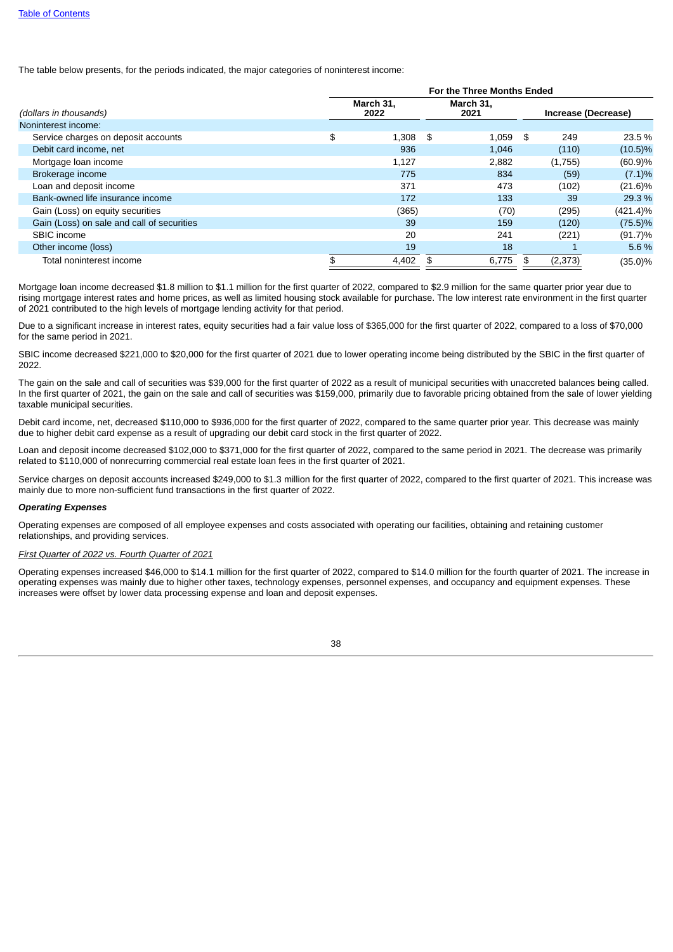The table below presents, for the periods indicated, the major categories of noninterest income:

|                                            | For the Three Months Ended |                   |                   |       |    |                     |             |  |  |
|--------------------------------------------|----------------------------|-------------------|-------------------|-------|----|---------------------|-------------|--|--|
| (dollars in thousands)                     |                            | March 31,<br>2022 | March 31.<br>2021 |       |    | Increase (Decrease) |             |  |  |
| Noninterest income:                        |                            |                   |                   |       |    |                     |             |  |  |
| Service charges on deposit accounts        | \$                         | 1,308             | \$                | 1,059 | \$ | 249                 | 23.5 %      |  |  |
| Debit card income, net                     |                            | 936               |                   | 1,046 |    | (110)               | $(10.5)\%$  |  |  |
| Mortgage loan income                       |                            | 1,127             |                   | 2,882 |    | (1,755)             | $(60.9)\%$  |  |  |
| Brokerage income                           |                            | 775               |                   | 834   |    | (59)                | $(7.1)\%$   |  |  |
| Loan and deposit income                    |                            | 371               |                   | 473   |    | (102)               | $(21.6)\%$  |  |  |
| Bank-owned life insurance income           |                            | 172               |                   | 133   |    | 39                  | 29.3 %      |  |  |
| Gain (Loss) on equity securities           |                            | (365)             |                   | (70)  |    | (295)               | $(421.4)\%$ |  |  |
| Gain (Loss) on sale and call of securities |                            | 39                |                   | 159   |    | (120)               | $(75.5)\%$  |  |  |
| SBIC income                                |                            | 20                |                   | 241   |    | (221)               | $(91.7)\%$  |  |  |
| Other income (loss)                        |                            | 19                |                   | 18    |    |                     | 5.6 %       |  |  |
| Total noninterest income                   |                            | 4,402             |                   | 6.775 |    | (2,373)             | $(35.0)\%$  |  |  |

Mortgage loan income decreased \$1.8 million to \$1.1 million for the first quarter of 2022, compared to \$2.9 million for the same quarter prior year due to rising mortgage interest rates and home prices, as well as limited housing stock available for purchase. The low interest rate environment in the first quarter of 2021 contributed to the high levels of mortgage lending activity for that period.

Due to a significant increase in interest rates, equity securities had a fair value loss of \$365,000 for the first quarter of 2022, compared to a loss of \$70,000 for the same period in 2021.

SBIC income decreased \$221,000 to \$20,000 for the first quarter of 2021 due to lower operating income being distributed by the SBIC in the first quarter of 2022.

The gain on the sale and call of securities was \$39,000 for the first quarter of 2022 as a result of municipal securities with unaccreted balances being called. In the first quarter of 2021, the gain on the sale and call of securities was \$159,000, primarily due to favorable pricing obtained from the sale of lower yielding taxable municipal securities.

Debit card income, net, decreased \$110,000 to \$936,000 for the first quarter of 2022, compared to the same quarter prior year. This decrease was mainly due to higher debit card expense as a result of upgrading our debit card stock in the first quarter of 2022.

Loan and deposit income decreased \$102,000 to \$371,000 for the first quarter of 2022, compared to the same period in 2021. The decrease was primarily related to \$110,000 of nonrecurring commercial real estate loan fees in the first quarter of 2021.

Service charges on deposit accounts increased \$249,000 to \$1.3 million for the first quarter of 2022, compared to the first quarter of 2021. This increase was mainly due to more non-sufficient fund transactions in the first quarter of 2022.

#### *Operating Expenses*

Operating expenses are composed of all employee expenses and costs associated with operating our facilities, obtaining and retaining customer relationships, and providing services.

#### *First Quarter of 2022 vs. Fourth Quarter of 2021*

Operating expenses increased \$46,000 to \$14.1 million for the first quarter of 2022, compared to \$14.0 million for the fourth quarter of 2021. The increase in operating expenses was mainly due to higher other taxes, technology expenses, personnel expenses, and occupancy and equipment expenses. These increases were offset by lower data processing expense and loan and deposit expenses.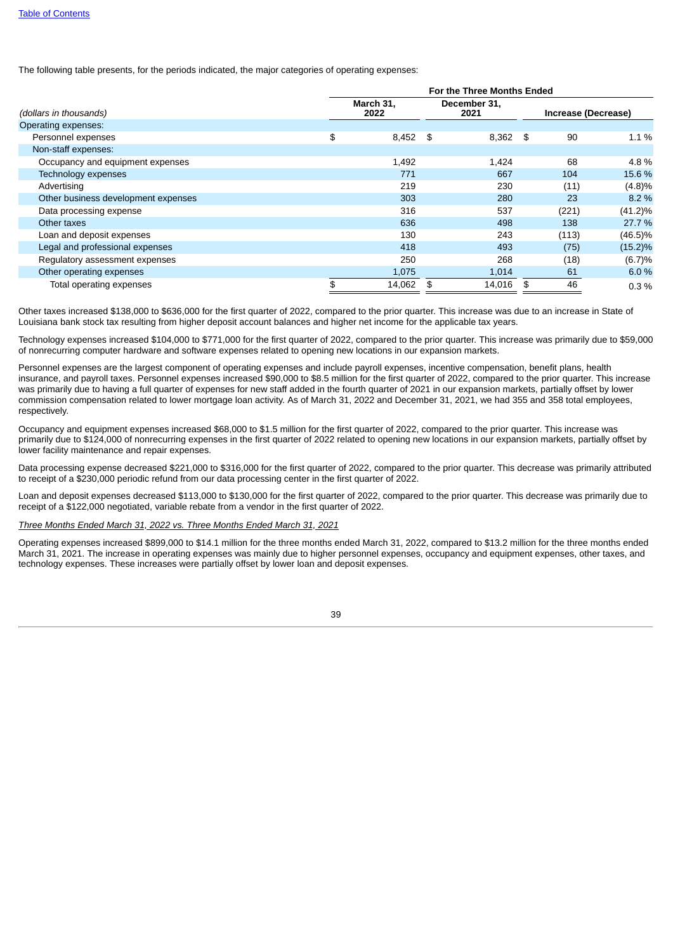The following table presents, for the periods indicated, the major categories of operating expenses:

|                                     | For the Three Months Ended |    |                      |    |                     |            |  |  |  |  |  |
|-------------------------------------|----------------------------|----|----------------------|----|---------------------|------------|--|--|--|--|--|
| (dollars in thousands)              | <b>March 31,</b><br>2022   |    | December 31,<br>2021 |    | Increase (Decrease) |            |  |  |  |  |  |
| Operating expenses:                 |                            |    |                      |    |                     |            |  |  |  |  |  |
| Personnel expenses                  | \$<br>8,452                | \$ | 8,362                | \$ | 90                  | 1.1%       |  |  |  |  |  |
| Non-staff expenses:                 |                            |    |                      |    |                     |            |  |  |  |  |  |
| Occupancy and equipment expenses    | 1,492                      |    | 1,424                |    | 68                  | 4.8%       |  |  |  |  |  |
| Technology expenses                 | 771                        |    | 667                  |    | 104                 | 15.6 %     |  |  |  |  |  |
| Advertising                         | 219                        |    | 230                  |    | (11)                | (4.8)%     |  |  |  |  |  |
| Other business development expenses | 303                        |    | 280                  |    | 23                  | 8.2 %      |  |  |  |  |  |
| Data processing expense             | 316                        |    | 537                  |    | (221)               | $(41.2)\%$ |  |  |  |  |  |
| Other taxes                         | 636                        |    | 498                  |    | 138                 | 27.7 %     |  |  |  |  |  |
| Loan and deposit expenses           | 130                        |    | 243                  |    | (113)               | $(46.5)\%$ |  |  |  |  |  |
| Legal and professional expenses     | 418                        |    | 493                  |    | (75)                | $(15.2)\%$ |  |  |  |  |  |
| Regulatory assessment expenses      | 250                        |    | 268                  |    | (18)                | (6.7)%     |  |  |  |  |  |
| Other operating expenses            | 1,075                      |    | 1,014                |    | 61                  | 6.0%       |  |  |  |  |  |
| Total operating expenses            | \$<br>14,062               | \$ | 14,016               | \$ | 46                  | 0.3%       |  |  |  |  |  |

Other taxes increased \$138,000 to \$636,000 for the first quarter of 2022, compared to the prior quarter. This increase was due to an increase in State of Louisiana bank stock tax resulting from higher deposit account balances and higher net income for the applicable tax years.

Technology expenses increased \$104,000 to \$771,000 for the first quarter of 2022, compared to the prior quarter. This increase was primarily due to \$59,000 of nonrecurring computer hardware and software expenses related to opening new locations in our expansion markets.

Personnel expenses are the largest component of operating expenses and include payroll expenses, incentive compensation, benefit plans, health insurance, and payroll taxes. Personnel expenses increased \$90,000 to \$8.5 million for the first quarter of 2022, compared to the prior quarter. This increase was primarily due to having a full quarter of expenses for new staff added in the fourth quarter of 2021 in our expansion markets, partially offset by lower commission compensation related to lower mortgage loan activity. As of March 31, 2022 and December 31, 2021, we had 355 and 358 total employees, respectively.

Occupancy and equipment expenses increased \$68,000 to \$1.5 million for the first quarter of 2022, compared to the prior quarter. This increase was primarily due to \$124,000 of nonrecurring expenses in the first quarter of 2022 related to opening new locations in our expansion markets, partially offset by lower facility maintenance and repair expenses.

Data processing expense decreased \$221,000 to \$316,000 for the first quarter of 2022, compared to the prior quarter. This decrease was primarily attributed to receipt of a \$230,000 periodic refund from our data processing center in the first quarter of 2022.

Loan and deposit expenses decreased \$113,000 to \$130,000 for the first quarter of 2022, compared to the prior quarter. This decrease was primarily due to receipt of a \$122,000 negotiated, variable rebate from a vendor in the first quarter of 2022.

*Three Months Ended March 31, 2022 vs. Three Months Ended March 31, 2021*

Operating expenses increased \$899,000 to \$14.1 million for the three months ended March 31, 2022, compared to \$13.2 million for the three months ended March 31, 2021. The increase in operating expenses was mainly due to higher personnel expenses, occupancy and equipment expenses, other taxes, and technology expenses. These increases were partially offset by lower loan and deposit expenses.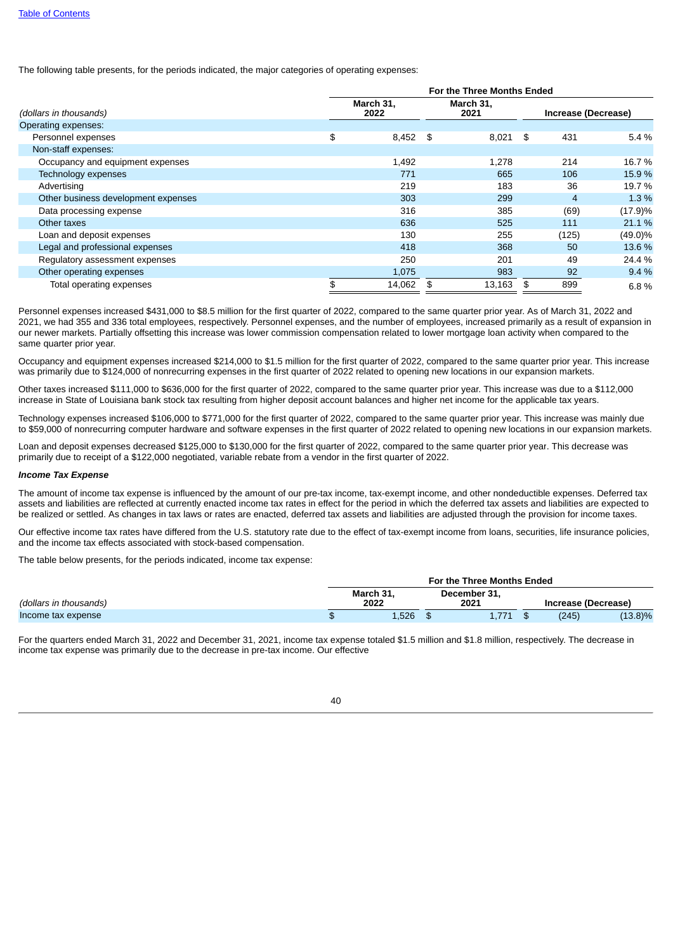The following table presents, for the periods indicated, the major categories of operating expenses:

|                                     | For the Three Months Ended |                   |    |                   |    |                     |            |  |  |  |  |
|-------------------------------------|----------------------------|-------------------|----|-------------------|----|---------------------|------------|--|--|--|--|
| (dollars in thousands)              |                            | March 31.<br>2022 |    | March 31.<br>2021 |    | Increase (Decrease) |            |  |  |  |  |
| Operating expenses:                 |                            |                   |    |                   |    |                     |            |  |  |  |  |
| Personnel expenses                  | \$                         | 8,452             | \$ | 8,021             | \$ | 431                 | 5.4 %      |  |  |  |  |
| Non-staff expenses:                 |                            |                   |    |                   |    |                     |            |  |  |  |  |
| Occupancy and equipment expenses    |                            | 1,492             |    | 1,278             |    | 214                 | 16.7 %     |  |  |  |  |
| Technology expenses                 |                            | 771               |    | 665               |    | 106                 | 15.9 %     |  |  |  |  |
| Advertising                         |                            | 219               |    | 183               |    | 36                  | 19.7 %     |  |  |  |  |
| Other business development expenses |                            | 303               |    | 299               |    | $\overline{4}$      | 1.3 %      |  |  |  |  |
| Data processing expense             |                            | 316               |    | 385               |    | (69)                | (17.9)%    |  |  |  |  |
| Other taxes                         |                            | 636               |    | 525               |    | 111                 | 21.1%      |  |  |  |  |
| Loan and deposit expenses           |                            | 130               |    | 255               |    | (125)               | $(49.0)\%$ |  |  |  |  |
| Legal and professional expenses     |                            | 418               |    | 368               |    | 50                  | 13.6 %     |  |  |  |  |
| Regulatory assessment expenses      |                            | 250               |    | 201               |    | 49                  | 24.4 %     |  |  |  |  |
| Other operating expenses            |                            | 1,075             |    | 983               |    | 92                  | $9.4\%$    |  |  |  |  |
| Total operating expenses            | \$                         | 14,062            | \$ | 13,163            | \$ | 899                 | 6.8%       |  |  |  |  |

Personnel expenses increased \$431,000 to \$8.5 million for the first quarter of 2022, compared to the same quarter prior year. As of March 31, 2022 and 2021, we had 355 and 336 total employees, respectively. Personnel expenses, and the number of employees, increased primarily as a result of expansion in our newer markets. Partially offsetting this increase was lower commission compensation related to lower mortgage loan activity when compared to the same quarter prior year.

Occupancy and equipment expenses increased \$214,000 to \$1.5 million for the first quarter of 2022, compared to the same quarter prior year. This increase was primarily due to \$124,000 of nonrecurring expenses in the first quarter of 2022 related to opening new locations in our expansion markets.

Other taxes increased \$111,000 to \$636,000 for the first quarter of 2022, compared to the same quarter prior year. This increase was due to a \$112,000 increase in State of Louisiana bank stock tax resulting from higher deposit account balances and higher net income for the applicable tax years.

Technology expenses increased \$106,000 to \$771,000 for the first quarter of 2022, compared to the same quarter prior year. This increase was mainly due to \$59,000 of nonrecurring computer hardware and software expenses in the first quarter of 2022 related to opening new locations in our expansion markets.

Loan and deposit expenses decreased \$125,000 to \$130,000 for the first quarter of 2022, compared to the same quarter prior year. This decrease was primarily due to receipt of a \$122,000 negotiated, variable rebate from a vendor in the first quarter of 2022.

#### *Income Tax Expense*

The amount of income tax expense is influenced by the amount of our pre-tax income, tax-exempt income, and other nondeductible expenses. Deferred tax assets and liabilities are reflected at currently enacted income tax rates in effect for the period in which the deferred tax assets and liabilities are expected to be realized or settled. As changes in tax laws or rates are enacted, deferred tax assets and liabilities are adjusted through the provision for income taxes.

Our effective income tax rates have differed from the U.S. statutory rate due to the effect of tax-exempt income from loans, securities, life insurance policies, and the income tax effects associated with stock-based compensation.

The table below presents, for the periods indicated, income tax expense:

|                        | For the Three Months Ended |  |                      |  |                     |            |  |  |  |  |
|------------------------|----------------------------|--|----------------------|--|---------------------|------------|--|--|--|--|
| (dollars in thousands) | March 31.<br>2022          |  | December 31.<br>2021 |  | Increase (Decrease) |            |  |  |  |  |
| Income tax expense     | 1,526                      |  | 771                  |  | (245)               | $(13.8)\%$ |  |  |  |  |

For the quarters ended March 31, 2022 and December 31, 2021, income tax expense totaled \$1.5 million and \$1.8 million, respectively. The decrease in income tax expense was primarily due to the decrease in pre-tax income. Our effective

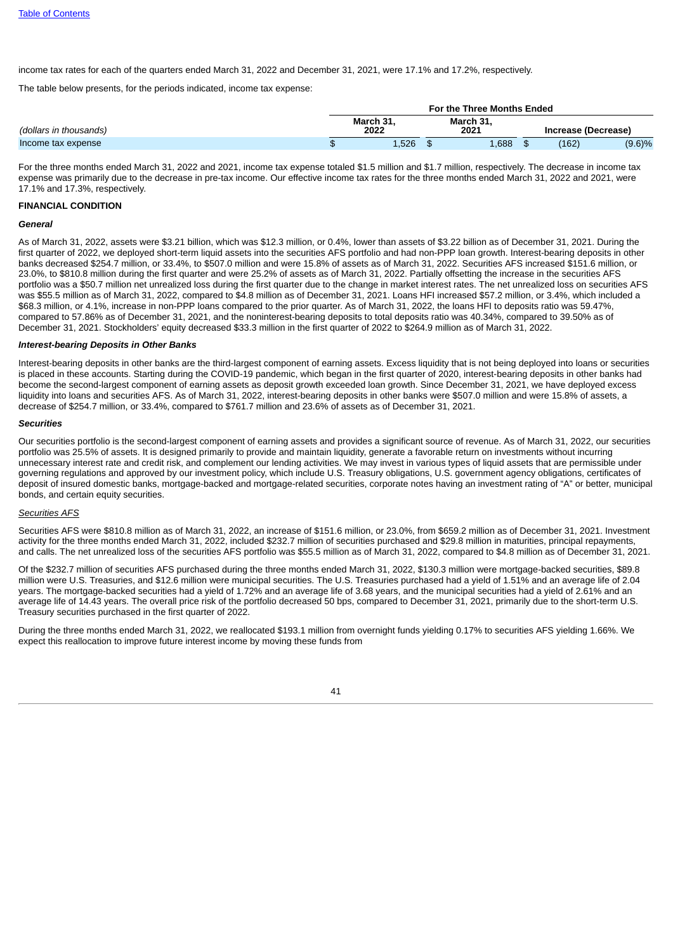income tax rates for each of the quarters ended March 31, 2022 and December 31, 2021, were 17.1% and 17.2%, respectively.

The table below presents, for the periods indicated, income tax expense:

|                        | For the Three Months Ended |                   |  |       |                     |       |        |  |  |  |  |  |
|------------------------|----------------------------|-------------------|--|-------|---------------------|-------|--------|--|--|--|--|--|
| (dollars in thousands) |                            | March 31.<br>2021 |  |       | Increase (Decrease) |       |        |  |  |  |  |  |
| Income tax expense     |                            | 1,526             |  | 1,688 |                     | (162) | (9.6)% |  |  |  |  |  |

For the three months ended March 31, 2022 and 2021, income tax expense totaled \$1.5 million and \$1.7 million, respectively. The decrease in income tax expense was primarily due to the decrease in pre-tax income. Our effective income tax rates for the three months ended March 31, 2022 and 2021, were 17.1% and 17.3%, respectively.

#### **FINANCIAL CONDITION**

#### *General*

As of March 31, 2022, assets were \$3.21 billion, which was \$12.3 million, or 0.4%, lower than assets of \$3.22 billion as of December 31, 2021. During the first quarter of 2022, we deployed short-term liquid assets into the securities AFS portfolio and had non-PPP loan growth. Interest-bearing deposits in other banks decreased \$254.7 million, or 33.4%, to \$507.0 million and were 15.8% of assets as of March 31, 2022. Securities AFS increased \$151.6 million, or 23.0%, to \$810.8 million during the first quarter and were 25.2% of assets as of March 31, 2022. Partially offsetting the increase in the securities AFS portfolio was a \$50.7 million net unrealized loss during the first quarter due to the change in market interest rates. The net unrealized loss on securities AFS was \$55.5 million as of March 31, 2022, compared to \$4.8 million as of December 31, 2021. Loans HFI increased \$57.2 million, or 3.4%, which included a \$68.3 million, or 4.1%, increase in non-PPP loans compared to the prior quarter. As of March 31, 2022, the loans HFI to deposits ratio was 59.47%, compared to 57.86% as of December 31, 2021, and the noninterest-bearing deposits to total deposits ratio was 40.34%, compared to 39.50% as of December 31, 2021. Stockholders' equity decreased \$33.3 million in the first quarter of 2022 to \$264.9 million as of March 31, 2022.

#### *Interest-bearing Deposits in Other Banks*

Interest-bearing deposits in other banks are the third-largest component of earning assets. Excess liquidity that is not being deployed into loans or securities is placed in these accounts. Starting during the COVID-19 pandemic, which began in the first quarter of 2020, interest-bearing deposits in other banks had become the second-largest component of earning assets as deposit growth exceeded loan growth. Since December 31, 2021, we have deployed excess liquidity into loans and securities AFS. As of March 31, 2022, interest-bearing deposits in other banks were \$507.0 million and were 15.8% of assets, a decrease of \$254.7 million, or 33.4%, compared to \$761.7 million and 23.6% of assets as of December 31, 2021.

#### *Securities*

Our securities portfolio is the second-largest component of earning assets and provides a significant source of revenue. As of March 31, 2022, our securities portfolio was 25.5% of assets. It is designed primarily to provide and maintain liquidity, generate a favorable return on investments without incurring unnecessary interest rate and credit risk, and complement our lending activities. We may invest in various types of liquid assets that are permissible under governing regulations and approved by our investment policy, which include U.S. Treasury obligations, U.S. government agency obligations, certificates of deposit of insured domestic banks, mortgage-backed and mortgage-related securities, corporate notes having an investment rating of "A" or better, municipal bonds, and certain equity securities.

#### *Securities AFS*

Securities AFS were \$810.8 million as of March 31, 2022, an increase of \$151.6 million, or 23.0%, from \$659.2 million as of December 31, 2021. Investment activity for the three months ended March 31, 2022, included \$232.7 million of securities purchased and \$29.8 million in maturities, principal repayments, and calls. The net unrealized loss of the securities AFS portfolio was \$55.5 million as of March 31, 2022, compared to \$4.8 million as of December 31, 2021.

Of the \$232.7 million of securities AFS purchased during the three months ended March 31, 2022, \$130.3 million were mortgage-backed securities, \$89.8 million were U.S. Treasuries, and \$12.6 million were municipal securities. The U.S. Treasuries purchased had a yield of 1.51% and an average life of 2.04 years. The mortgage-backed securities had a yield of 1.72% and an average life of 3.68 years, and the municipal securities had a yield of 2.61% and an average life of 14.43 years. The overall price risk of the portfolio decreased 50 bps, compared to December 31, 2021, primarily due to the short-term U.S. Treasury securities purchased in the first quarter of 2022.

During the three months ended March 31, 2022, we reallocated \$193.1 million from overnight funds yielding 0.17% to securities AFS yielding 1.66%. We expect this reallocation to improve future interest income by moving these funds from

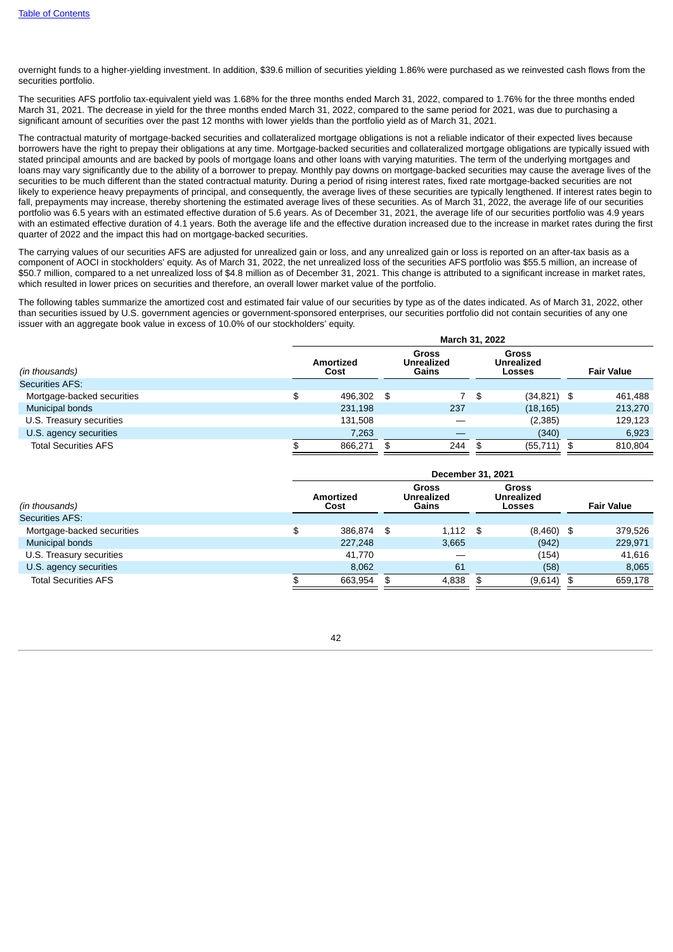overnight funds to a higher-yielding investment. In addition, \$39.6 million of securities yielding 1.86% were purchased as we reinvested cash flows from the securities portfolio.

The securities AFS portfolio tax-equivalent yield was 1.68% for the three months ended March 31, 2022, compared to 1.76% for the three months ended March 31, 2021. The decrease in yield for the three months ended March 31, 2022, compared to the same period for 2021, was due to purchasing a significant amount of securities over the past 12 months with lower yields than the portfolio yield as of March 31, 2021.

The contractual maturity of mortgage-backed securities and collateralized mortgage obligations is not a reliable indicator of their expected lives because borrowers have the right to prepay their obligations at any time. Mortgage-backed securities and collateralized mortgage obligations are typically issued with stated principal amounts and are backed by pools of mortgage loans and other loans with varying maturities. The term of the underlying mortgages and loans may vary significantly due to the ability of a borrower to prepay. Monthly pay downs on mortgage-backed securities may cause the average lives of the securities to be much different than the stated contractual maturity. During a period of rising interest rates, fixed rate mortgage-backed securities are not likely to experience heavy prepayments of principal, and consequently, the average lives of these securities are typically lengthened. If interest rates begin to fall, prepayments may increase, thereby shortening the estimated average lives of these securities. As of March 31, 2022, the average life of our securities portfolio was 6.5 years with an estimated effective duration of 5.6 years. As of December 31, 2021, the average life of our securities portfolio was 4.9 years with an estimated effective duration of 4.1 years. Both the average life and the effective duration increased due to the increase in market rates during the first quarter of 2022 and the impact this had on mortgage-backed securities.

The carrying values of our securities AFS are adjusted for unrealized gain or loss, and any unrealized gain or loss is reported on an after-tax basis as a component of AOCI in stockholders' equity. As of March 31, 2022, the net unrealized loss of the securities AFS portfolio was \$55.5 million, an increase of \$50.7 million, compared to a net unrealized loss of \$4.8 million as of December 31, 2021. This change is attributed to a significant increase in market rates, which resulted in lower prices on securities and therefore, an overall lower market value of the portfolio.

The following tables summarize the amortized cost and estimated fair value of our securities by type as of the dates indicated. As of March 31, 2022, other than securities issued by U.S. government agencies or government-sponsored enterprises, our securities portfolio did not contain securities of any one issuer with an aggregate book value in excess of 10.0% of our stockholders' equity.

|                             | March 31, 2022 |                   |      |     |                              |               |    |                   |  |  |  |
|-----------------------------|----------------|-------------------|------|-----|------------------------------|---------------|----|-------------------|--|--|--|
| (in thousands)              |                | Amortized<br>Cost |      |     | Gross<br>Unrealized<br>Gains |               |    | <b>Fair Value</b> |  |  |  |
| Securities AFS:             |                |                   |      |     |                              |               |    |                   |  |  |  |
| Mortgage-backed securities  | \$             | 496.302           | - \$ |     | \$                           | $(34,821)$ \$ |    | 461,488           |  |  |  |
| <b>Municipal bonds</b>      |                | 231,198           |      | 237 |                              | (18, 165)     |    | 213,270           |  |  |  |
| U.S. Treasury securities    |                | 131,508           |      |     |                              | (2,385)       |    | 129,123           |  |  |  |
| U.S. agency securities      |                | 7,263             |      |     |                              | (340)         |    | 6,923             |  |  |  |
| <b>Total Securities AFS</b> |                | 866.271           | \$   | 244 |                              | (55, 711)     | £. | 810,804           |  |  |  |

|                             | December 31, 2021 |                   |    |       |                                             |         |      |                   |  |  |  |
|-----------------------------|-------------------|-------------------|----|-------|---------------------------------------------|---------|------|-------------------|--|--|--|
| (in thousands)              |                   | Amortized<br>Cost |    |       | <b>Gross</b><br><b>Unrealized</b><br>Losses |         |      | <b>Fair Value</b> |  |  |  |
| Securities AFS:             |                   |                   |    |       |                                             |         |      |                   |  |  |  |
| Mortgage-backed securities  | \$                | 386.874           | \$ | 1,112 | - \$                                        | (8,460) | - \$ | 379,526           |  |  |  |
| <b>Municipal bonds</b>      |                   | 227,248           |    | 3,665 |                                             | (942)   |      | 229,971           |  |  |  |
| U.S. Treasury securities    |                   | 41.770            |    |       |                                             | (154)   |      | 41,616            |  |  |  |
| U.S. agency securities      |                   | 8.062             |    | 61    |                                             | (58)    |      | 8,065             |  |  |  |
| <b>Total Securities AFS</b> |                   | 663.954           | \$ | 4.838 | \$                                          | (9,614) | \$   | 659.178           |  |  |  |
|                             |                   |                   |    |       |                                             |         |      |                   |  |  |  |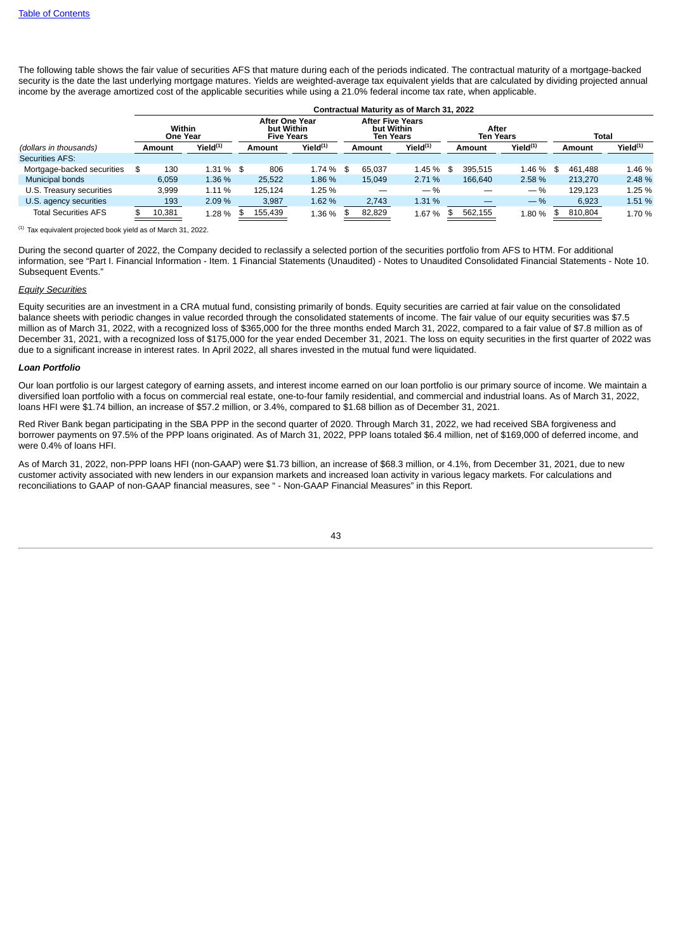The following table shows the fair value of securities AFS that mature during each of the periods indicated. The contractual maturity of a mortgage-backed security is the date the last underlying mortgage matures. Yields are weighted-average tax equivalent yields that are calculated by dividing projected annual income by the average amortized cost of the applicable securities while using a 21.0% federal income tax rate, when applicable.

|                             |           |                           |                                                          |  |                      |                                                           | Contractual Maturity as of March 31, 2022 |  |                           |     |                         |  |              |    |         |                      |        |
|-----------------------------|-----------|---------------------------|----------------------------------------------------------|--|----------------------|-----------------------------------------------------------|-------------------------------------------|--|---------------------------|-----|-------------------------|--|--------------|----|---------|----------------------|--------|
|                             |           | Within<br><b>One Year</b> | <b>After One Year</b><br>but Within<br><b>Five Years</b> |  |                      | <b>After Five Years</b><br>but Within<br><b>Ten Years</b> |                                           |  | After<br><b>Ten Years</b> |     |                         |  | <b>Total</b> |    |         |                      |        |
| (dollars in thousands)      | Amount    | Yield $(1)$               | Amount                                                   |  | Yield <sup>(1)</sup> |                                                           | Amount                                    |  | Yield <sup>(1)</sup>      |     | $Yield^{(1)}$<br>Amount |  | Amount       |    |         | Yield <sup>(1)</sup> |        |
| Securities AFS:             |           |                           |                                                          |  |                      |                                                           |                                           |  |                           |     |                         |  |              |    |         |                      |        |
| Mortgage-backed securities  | \$<br>130 | $1.31\%$ \$               | 806                                                      |  | $1.74\%$ \$          |                                                           | 65.037                                    |  | 1.45 %                    | \$. | 395.515                 |  | 1.46 %       | \$ | 461.488 |                      | 1.46 % |
| <b>Municipal bonds</b>      | 6,059     | 1.36 %                    | 25.522                                                   |  | 1.86 %               |                                                           | 15,049                                    |  | 2.71 %                    |     | 166,640                 |  | 2.58 %       |    | 213,270 |                      | 2.48 % |
| U.S. Treasury securities    | 3,999     | 1.11 %                    | 125.124                                                  |  | 1.25 %               |                                                           |                                           |  | $-$ %                     |     |                         |  | $-$ %        |    | 129.123 |                      | 1.25 % |
| U.S. agency securities      | 193       | 2.09 %                    | 3,987                                                    |  | 1.62 %               |                                                           | 2.743                                     |  | 1.31 %                    |     |                         |  | $-$ %        |    | 6,923   |                      | 1.51 % |
| <b>Total Securities AFS</b> | 10,381    | 1.28 %                    | 155,439                                                  |  | 1.36 %               |                                                           | 82,829                                    |  | 1.67 %                    |     | 562,155                 |  | 1.80 %       | \$ | 810,804 |                      | 1.70 % |

 $<sup>(1)</sup>$  Tax equivalent projected book yield as of March 31, 2022.</sup>

During the second quarter of 2022, the Company decided to reclassify a selected portion of the securities portfolio from AFS to HTM. For additional information, see "Part I. Financial Information - Item. 1 Financial Statements (Unaudited) - Notes to Unaudited Consolidated Financial Statements - Note 10. Subsequent Events."

# *Equity Securities*

Equity securities are an investment in a CRA mutual fund, consisting primarily of bonds. Equity securities are carried at fair value on the consolidated balance sheets with periodic changes in value recorded through the consolidated statements of income. The fair value of our equity securities was \$7.5 million as of March 31, 2022, with a recognized loss of \$365,000 for the three months ended March 31, 2022, compared to a fair value of \$7.8 million as of December 31, 2021, with a recognized loss of \$175,000 for the year ended December 31, 2021. The loss on equity securities in the first quarter of 2022 was due to a significant increase in interest rates. In April 2022, all shares invested in the mutual fund were liquidated.

#### *Loan Portfolio*

Our loan portfolio is our largest category of earning assets, and interest income earned on our loan portfolio is our primary source of income. We maintain a diversified loan portfolio with a focus on commercial real estate, one-to-four family residential, and commercial and industrial loans. As of March 31, 2022, loans HFI were \$1.74 billion, an increase of \$57.2 million, or 3.4%, compared to \$1.68 billion as of December 31, 2021.

Red River Bank began participating in the SBA PPP in the second quarter of 2020. Through March 31, 2022, we had received SBA forgiveness and borrower payments on 97.5% of the PPP loans originated. As of March 31, 2022, PPP loans totaled \$6.4 million, net of \$169,000 of deferred income, and were 0.4% of loans HFI.

As of March 31, 2022, non-PPP loans HFI (non-GAAP) were \$1.73 billion, an increase of \$68.3 million, or 4.1%, from December 31, 2021, due to new customer activity associated with new lenders in our expansion markets and increased loan activity in various legacy markets. For calculations and reconciliations to GAAP of non-GAAP financial measures, see " - Non-GAAP Financial Measures" in this Report.

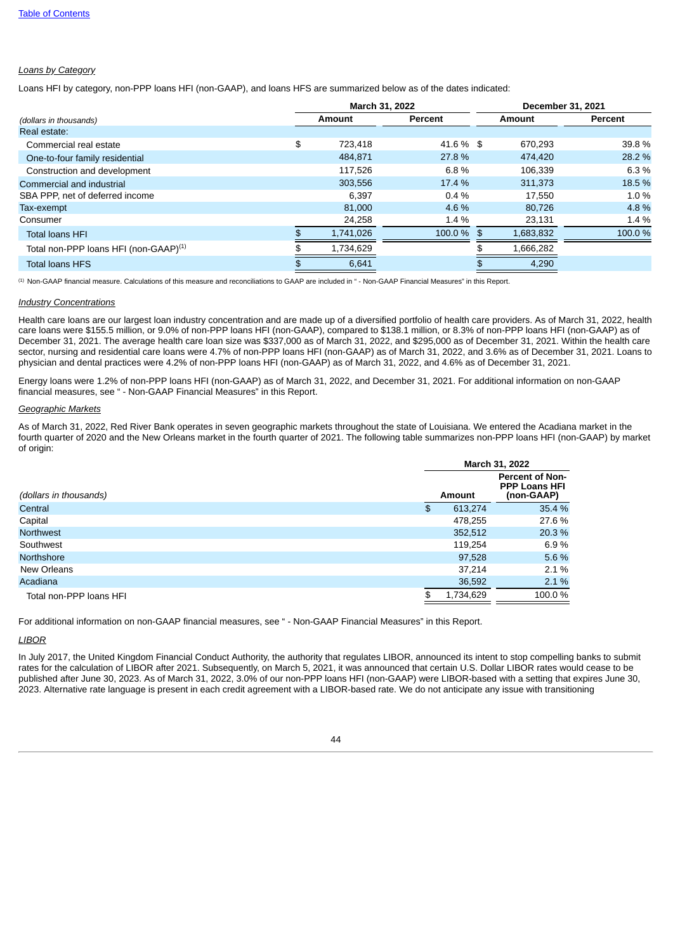# *Loans by Category*

Loans HFI by category, non-PPP loans HFI (non-GAAP), and loans HFS are summarized below as of the dates indicated:

|                                                   |    |           | March 31, 2022 |        | December 31, 2021 |         |  |  |
|---------------------------------------------------|----|-----------|----------------|--------|-------------------|---------|--|--|
| (dollars in thousands)                            |    | Amount    | Percent        | Amount |                   | Percent |  |  |
| Real estate:                                      |    |           |                |        |                   |         |  |  |
| Commercial real estate                            | \$ | 723,418   | 41.6 % \$      |        | 670.293           | 39.8%   |  |  |
| One-to-four family residential                    |    | 484.871   | 27.8 %         |        | 474,420           | 28.2 %  |  |  |
| Construction and development                      |    | 117,526   | 6.8%           |        | 106.339           | 6.3%    |  |  |
| Commercial and industrial                         |    | 303,556   | 17.4 %         |        | 311,373           | 18.5 %  |  |  |
| SBA PPP, net of deferred income                   |    | 6.397     | 0.4%           |        | 17.550            | $1.0\%$ |  |  |
| Tax-exempt                                        |    | 81,000    | 4.6 %          |        | 80.726            | 4.8%    |  |  |
| Consumer                                          |    | 24,258    | $1.4\%$        |        | 23,131            | 1.4 %   |  |  |
| <b>Total loans HFI</b>                            |    | 1,741,026 | 100.0 % \$     |        | 1,683,832         | 100.0%  |  |  |
| Total non-PPP loans HFI (non-GAAP) <sup>(1)</sup> |    | 1,734,629 |                |        | 1,666,282         |         |  |  |
| <b>Total loans HFS</b>                            |    | 6,641     |                |        | 4,290             |         |  |  |

 $^{(1)}$  Non-GAAP financial measure. Calculations of this measure and reconciliations to GAAP are included in " - Non-GAAP Financial Measures" in this Report.

#### *Industry Concentrations*

Health care loans are our largest loan industry concentration and are made up of a diversified portfolio of health care providers. As of March 31, 2022, health care loans were \$155.5 million, or 9.0% of non-PPP loans HFI (non-GAAP), compared to \$138.1 million, or 8.3% of non-PPP loans HFI (non-GAAP) as of December 31, 2021. The average health care loan size was \$337,000 as of March 31, 2022, and \$295,000 as of December 31, 2021. Within the health care sector, nursing and residential care loans were 4.7% of non-PPP loans HFI (non-GAAP) as of March 31, 2022, and 3.6% as of December 31, 2021. Loans to physician and dental practices were 4.2% of non-PPP loans HFI (non-GAAP) as of March 31, 2022, and 4.6% as of December 31, 2021.

Energy loans were 1.2% of non-PPP loans HFI (non-GAAP) as of March 31, 2022, and December 31, 2021. For additional information on non-GAAP financial measures, see " - Non-GAAP Financial Measures" in this Report.

#### *Geographic Markets*

As of March 31, 2022, Red River Bank operates in seven geographic markets throughout the state of Louisiana. We entered the Acadiana market in the fourth quarter of 2020 and the New Orleans market in the fourth quarter of 2021. The following table summarizes non-PPP loans HFI (non-GAAP) by market of origin:

|    |           | March 31, 2022                                               |
|----|-----------|--------------------------------------------------------------|
|    | Amount    | <b>Percent of Non-</b><br><b>PPP Loans HFI</b><br>(non-GAAP) |
| \$ | 613,274   | 35.4 %                                                       |
|    | 478.255   | 27.6 %                                                       |
|    | 352,512   | 20.3 %                                                       |
|    | 119.254   | 6.9%                                                         |
|    | 97,528    | 5.6 %                                                        |
|    | 37.214    | $2.1\%$                                                      |
|    | 36,592    | $2.1\%$                                                      |
| .ፍ | 1,734,629 | 100.0%                                                       |
|    |           |                                                              |

For additional information on non-GAAP financial measures, see " - Non-GAAP Financial Measures" in this Report.

### *LIBOR*

In July 2017, the United Kingdom Financial Conduct Authority, the authority that regulates LIBOR, announced its intent to stop compelling banks to submit rates for the calculation of LIBOR after 2021. Subsequently, on March 5, 2021, it was announced that certain U.S. Dollar LIBOR rates would cease to be published after June 30, 2023. As of March 31, 2022, 3.0% of our non-PPP loans HFI (non-GAAP) were LIBOR-based with a setting that expires June 30, 2023. Alternative rate language is present in each credit agreement with a LIBOR-based rate. We do not anticipate any issue with transitioning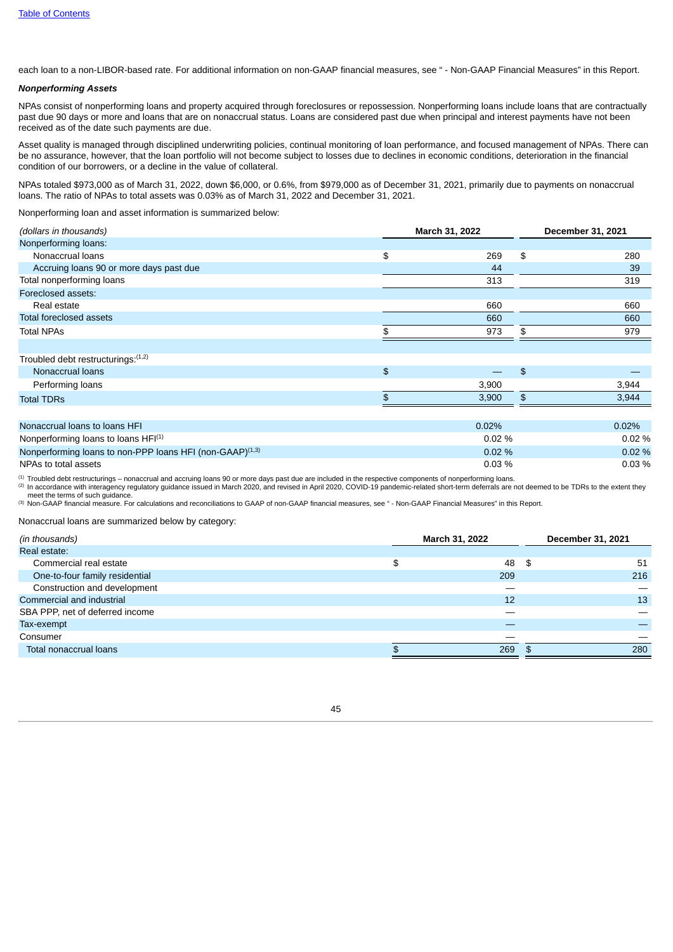each loan to a non-LIBOR-based rate. For additional information on non-GAAP financial measures, see " - Non-GAAP Financial Measures" in this Report.

#### *Nonperforming Assets*

NPAs consist of nonperforming loans and property acquired through foreclosures or repossession. Nonperforming loans include loans that are contractually past due 90 days or more and loans that are on nonaccrual status. Loans are considered past due when principal and interest payments have not been received as of the date such payments are due.

Asset quality is managed through disciplined underwriting policies, continual monitoring of loan performance, and focused management of NPAs. There can be no assurance, however, that the loan portfolio will not become subject to losses due to declines in economic conditions, deterioration in the financial condition of our borrowers, or a decline in the value of collateral.

NPAs totaled \$973,000 as of March 31, 2022, down \$6,000, or 0.6%, from \$979,000 as of December 31, 2021, primarily due to payments on nonaccrual loans. The ratio of NPAs to total assets was 0.03% as of March 31, 2022 and December 31, 2021.

Nonperforming loan and asset information is summarized below:

| (dollars in thousands)                                               | March 31, 2022 | December 31, 2021 |
|----------------------------------------------------------------------|----------------|-------------------|
| Nonperforming loans:                                                 |                |                   |
| Nonaccrual loans                                                     | \$<br>269      | \$<br>280         |
| Accruing loans 90 or more days past due                              | 44             | 39                |
| Total nonperforming loans                                            | 313            | 319               |
| Foreclosed assets:                                                   |                |                   |
| Real estate                                                          | 660            | 660               |
| Total foreclosed assets                                              | 660            | 660               |
| <b>Total NPAs</b>                                                    | \$<br>973      | \$<br>979         |
|                                                                      |                |                   |
| Troubled debt restructurings: $(1,2)$                                |                |                   |
| Nonaccrual loans                                                     | \$             | \$                |
| Performing loans                                                     | 3,900          | 3,944             |
| <b>Total TDRs</b>                                                    | 3,900          | \$<br>3,944       |
|                                                                      |                |                   |
| Nonaccrual loans to loans HFI                                        | 0.02%          | 0.02%             |
| Nonperforming loans to loans $HF(1)$                                 | 0.02%          | 0.02%             |
| Nonperforming loans to non-PPP loans HFI (non-GAAP) <sup>(1,3)</sup> | 0.02%          | 0.02%             |
| NPAs to total assets                                                 | 0.03%          | 0.03%             |

<sup>(1)</sup> Troubled debt restructurings – nonaccrual and accruing loans 90 or more days past due are included in the respective components of nonperforming loans.<br><sup>(2)</sup> In accordance with interagency regulatory guidance issued

meet the terms of such guidance. <sup>(3)</sup> Non-GAAP financial measure. For calculations and reconciliations to GAAP of non-GAAP financial measures, see " - Non-GAAP Financial Measures" in this Report.

Nonaccrual loans are summarized below by category:

| (in thousands)                  | March 31, 2022 | December 31, 2021 |
|---------------------------------|----------------|-------------------|
| Real estate:                    |                |                   |
| Commercial real estate          | 48<br>\$       | \$<br>51          |
| One-to-four family residential  | 209            | 216               |
| Construction and development    |                |                   |
| Commercial and industrial       | 12             | 13                |
| SBA PPP, net of deferred income |                |                   |
| Tax-exempt                      |                |                   |
| Consumer                        |                |                   |
| Total nonaccrual loans          | 269            | 280               |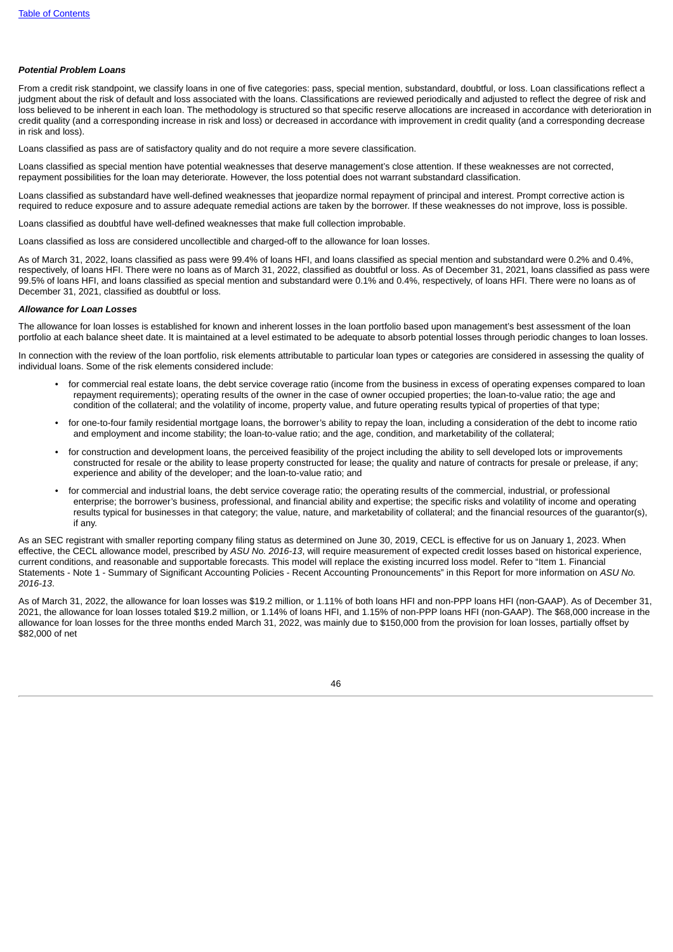#### *Potential Problem Loans*

From a credit risk standpoint, we classify loans in one of five categories: pass, special mention, substandard, doubtful, or loss. Loan classifications reflect a judgment about the risk of default and loss associated with the loans. Classifications are reviewed periodically and adjusted to reflect the degree of risk and loss believed to be inherent in each loan. The methodology is structured so that specific reserve allocations are increased in accordance with deterioration in credit quality (and a corresponding increase in risk and loss) or decreased in accordance with improvement in credit quality (and a corresponding decrease in risk and loss).

Loans classified as pass are of satisfactory quality and do not require a more severe classification.

Loans classified as special mention have potential weaknesses that deserve management's close attention. If these weaknesses are not corrected, repayment possibilities for the loan may deteriorate. However, the loss potential does not warrant substandard classification.

Loans classified as substandard have well-defined weaknesses that jeopardize normal repayment of principal and interest. Prompt corrective action is required to reduce exposure and to assure adequate remedial actions are taken by the borrower. If these weaknesses do not improve, loss is possible.

Loans classified as doubtful have well-defined weaknesses that make full collection improbable.

Loans classified as loss are considered uncollectible and charged-off to the allowance for loan losses.

As of March 31, 2022, loans classified as pass were 99.4% of loans HFI, and loans classified as special mention and substandard were 0.2% and 0.4%, respectively, of loans HFI. There were no loans as of March 31, 2022, classified as doubtful or loss. As of December 31, 2021, loans classified as pass were 99.5% of loans HFI, and loans classified as special mention and substandard were 0.1% and 0.4%, respectively, of loans HFI. There were no loans as of December 31, 2021, classified as doubtful or loss.

#### *Allowance for Loan Losses*

The allowance for loan losses is established for known and inherent losses in the loan portfolio based upon management's best assessment of the loan portfolio at each balance sheet date. It is maintained at a level estimated to be adequate to absorb potential losses through periodic changes to loan losses.

In connection with the review of the loan portfolio, risk elements attributable to particular loan types or categories are considered in assessing the quality of individual loans. Some of the risk elements considered include:

- for commercial real estate loans, the debt service coverage ratio (income from the business in excess of operating expenses compared to loan repayment requirements); operating results of the owner in the case of owner occupied properties; the loan-to-value ratio; the age and condition of the collateral; and the volatility of income, property value, and future operating results typical of properties of that type;
- for one-to-four family residential mortgage loans, the borrower's ability to repay the loan, including a consideration of the debt to income ratio and employment and income stability; the loan-to-value ratio; and the age, condition, and marketability of the collateral;
- for construction and development loans, the perceived feasibility of the project including the ability to sell developed lots or improvements constructed for resale or the ability to lease property constructed for lease; the quality and nature of contracts for presale or prelease, if any; experience and ability of the developer; and the loan-to-value ratio; and
- for commercial and industrial loans, the debt service coverage ratio; the operating results of the commercial, industrial, or professional enterprise; the borrower's business, professional, and financial ability and expertise; the specific risks and volatility of income and operating results typical for businesses in that category; the value, nature, and marketability of collateral; and the financial resources of the guarantor(s), if any.

As an SEC registrant with smaller reporting company filing status as determined on June 30, 2019, CECL is effective for us on January 1, 2023. When effective, the CECL allowance model, prescribed by *ASU No. 2016-13*, will require measurement of expected credit losses based on historical experience, current conditions, and reasonable and supportable forecasts. This model will replace the existing incurred loss model. Refer to "Item 1. Financial Statements - Note 1 - Summary of Significant Accounting Policies - Recent Accounting Pronouncements" in this Report for more information on *ASU No. 2016-13*.

As of March 31, 2022, the allowance for loan losses was \$19.2 million, or 1.11% of both loans HFI and non-PPP loans HFI (non-GAAP). As of December 31, 2021, the allowance for loan losses totaled \$19.2 million, or 1.14% of loans HFI, and 1.15% of non-PPP loans HFI (non-GAAP). The \$68,000 increase in the allowance for loan losses for the three months ended March 31, 2022, was mainly due to \$150,000 from the provision for loan losses, partially offset by \$82,000 of net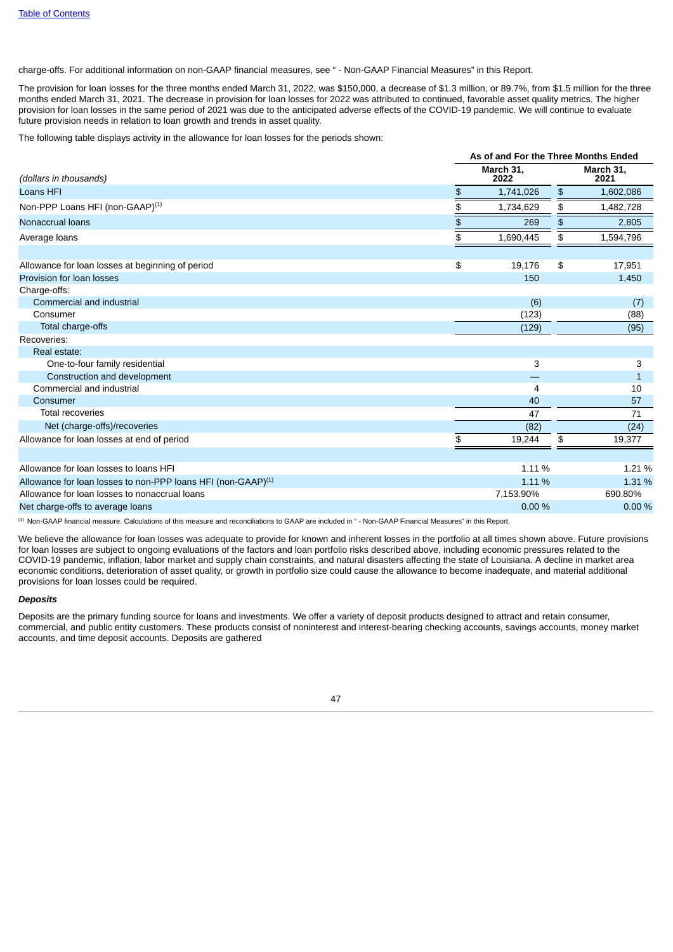charge-offs. For additional information on non-GAAP financial measures, see " - Non-GAAP Financial Measures" in this Report.

The provision for loan losses for the three months ended March 31, 2022, was \$150,000, a decrease of \$1.3 million, or 89.7%, from \$1.5 million for the three months ended March 31, 2021. The decrease in provision for loan losses for 2022 was attributed to continued, favorable asset quality metrics. The higher provision for loan losses in the same period of 2021 was due to the anticipated adverse effects of the COVID-19 pandemic. We will continue to evaluate future provision needs in relation to loan growth and trends in asset quality.

The following table displays activity in the allowance for loan losses for the periods shown:

|                                                                                                                                                                                                                                                                                                                         | As of and For the Three Months Ended |    |                   |  |  |  |  |  |
|-------------------------------------------------------------------------------------------------------------------------------------------------------------------------------------------------------------------------------------------------------------------------------------------------------------------------|--------------------------------------|----|-------------------|--|--|--|--|--|
| (dollars in thousands)<br>Provision for loan losses<br>Charge-offs:<br>Commercial and industrial<br>Consumer<br>Total charge-offs<br>Real estate:<br>One-to-four family residential<br>Construction and development<br>Commercial and industrial<br>Consumer<br><b>Total recoveries</b><br>Net (charge-offs)/recoveries | March 31.<br>2022                    |    | March 31,<br>2021 |  |  |  |  |  |
| Loans HFI                                                                                                                                                                                                                                                                                                               | \$<br>1,741,026                      | \$ | 1,602,086         |  |  |  |  |  |
| Non-PPP Loans HFI (non-GAAP) <sup>(1)</sup>                                                                                                                                                                                                                                                                             | \$<br>1,734,629                      | \$ | 1,482,728         |  |  |  |  |  |
| Nonaccrual loans                                                                                                                                                                                                                                                                                                        | \$<br>269                            | \$ | 2,805             |  |  |  |  |  |
| Average loans                                                                                                                                                                                                                                                                                                           | \$<br>1,690,445                      | \$ | 1,594,796         |  |  |  |  |  |
| Allowance for loan losses at beginning of period                                                                                                                                                                                                                                                                        | \$<br>19,176                         | \$ | 17,951            |  |  |  |  |  |
|                                                                                                                                                                                                                                                                                                                         | 150                                  |    | 1,450             |  |  |  |  |  |
|                                                                                                                                                                                                                                                                                                                         | (6)                                  |    | (7)               |  |  |  |  |  |
|                                                                                                                                                                                                                                                                                                                         | (123)                                |    | (88)              |  |  |  |  |  |
|                                                                                                                                                                                                                                                                                                                         | (129)                                |    | (95)              |  |  |  |  |  |
| Recoveries:                                                                                                                                                                                                                                                                                                             |                                      |    |                   |  |  |  |  |  |
|                                                                                                                                                                                                                                                                                                                         |                                      |    |                   |  |  |  |  |  |
|                                                                                                                                                                                                                                                                                                                         | 3                                    |    | 3                 |  |  |  |  |  |
|                                                                                                                                                                                                                                                                                                                         |                                      |    | $\mathbf{1}$      |  |  |  |  |  |
|                                                                                                                                                                                                                                                                                                                         | 4                                    |    | 10                |  |  |  |  |  |
|                                                                                                                                                                                                                                                                                                                         | 40                                   |    | 57                |  |  |  |  |  |
|                                                                                                                                                                                                                                                                                                                         | 47                                   |    | 71                |  |  |  |  |  |
|                                                                                                                                                                                                                                                                                                                         | (82)                                 |    | (24)              |  |  |  |  |  |
| Allowance for loan losses at end of period                                                                                                                                                                                                                                                                              | \$<br>19,244                         | \$ | 19,377            |  |  |  |  |  |
| Allowance for loan losses to loans HFI                                                                                                                                                                                                                                                                                  | 1.11 %                               |    | 1.21 %            |  |  |  |  |  |
| Allowance for loan losses to non-PPP loans HFI (non-GAAP) <sup>(1)</sup>                                                                                                                                                                                                                                                | 1.11 %                               |    | 1.31 %            |  |  |  |  |  |
| Allowance for loan losses to nonaccrual loans                                                                                                                                                                                                                                                                           | 7,153.90%                            |    | 690.80%           |  |  |  |  |  |
| Net charge-offs to average loans                                                                                                                                                                                                                                                                                        | 0.00%                                |    | 0.00%             |  |  |  |  |  |

 $^{(1)}$  Non-GAAP financial measure. Calculations of this measure and reconciliations to GAAP are included in " - Non-GAAP Financial Measures" in this Report.

We believe the allowance for loan losses was adequate to provide for known and inherent losses in the portfolio at all times shown above. Future provisions for loan losses are subject to ongoing evaluations of the factors and loan portfolio risks described above, including economic pressures related to the COVID-19 pandemic, inflation, labor market and supply chain constraints, and natural disasters affecting the state of Louisiana. A decline in market area economic conditions, deterioration of asset quality, or growth in portfolio size could cause the allowance to become inadequate, and material additional provisions for loan losses could be required.

#### *Deposits*

Deposits are the primary funding source for loans and investments. We offer a variety of deposit products designed to attract and retain consumer, commercial, and public entity customers. These products consist of noninterest and interest-bearing checking accounts, savings accounts, money market accounts, and time deposit accounts. Deposits are gathered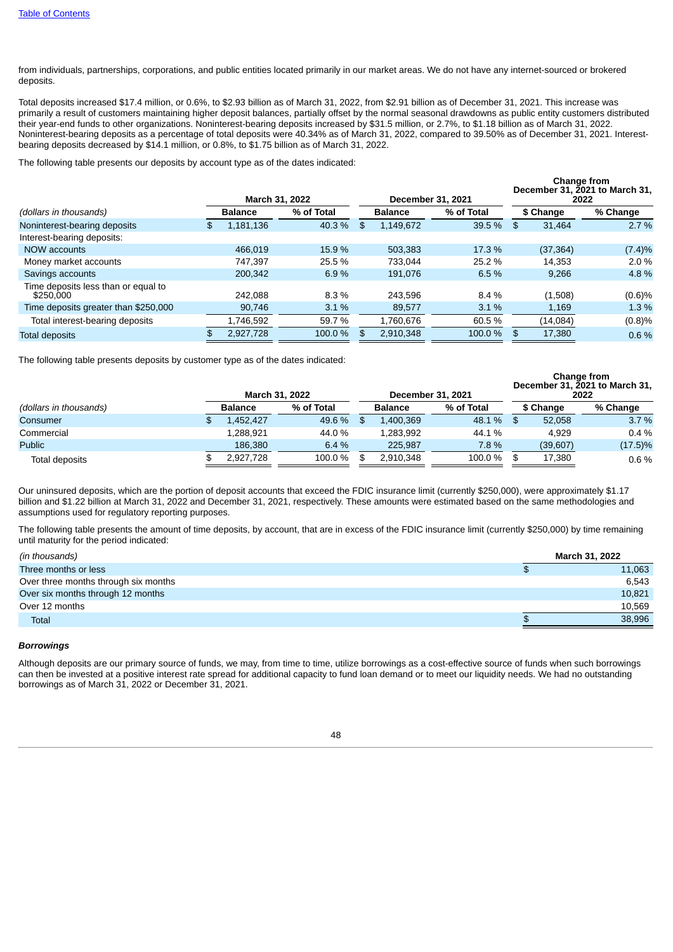from individuals, partnerships, corporations, and public entities located primarily in our market areas. We do not have any internet-sourced or brokered deposits.

Total deposits increased \$17.4 million, or 0.6%, to \$2.93 billion as of March 31, 2022, from \$2.91 billion as of December 31, 2021. This increase was primarily a result of customers maintaining higher deposit balances, partially offset by the normal seasonal drawdowns as public entity customers distributed their year-end funds to other organizations. Noninterest-bearing deposits increased by \$31.5 million, or 2.7%, to \$1.18 billion as of March 31, 2022. Noninterest-bearing deposits as a percentage of total deposits were 40.34% as of March 31, 2022, compared to 39.50% as of December 31, 2021. Interestbearing deposits decreased by \$14.1 million, or 0.8%, to \$1.75 billion as of March 31, 2022.

The following table presents our deposits by account type as of the dates indicated:

|                                                  |    |                | March 31, 2022 |                 | December 31, 2021 | Change from<br>December 31, 2021 to March 31.<br>2022 |           |          |  |
|--------------------------------------------------|----|----------------|----------------|-----------------|-------------------|-------------------------------------------------------|-----------|----------|--|
| (dollars in thousands)                           |    | <b>Balance</b> | % of Total     | <b>Balance</b>  | % of Total        | \$ Change                                             |           | % Change |  |
| Noninterest-bearing deposits                     | \$ | 1.181.136      | 40.3 %         | \$<br>1.149.672 | 39.5 %            | \$                                                    | 31.464    | 2.7%     |  |
| Interest-bearing deposits:                       |    |                |                |                 |                   |                                                       |           |          |  |
| NOW accounts                                     |    | 466.019        | 15.9 %         | 503.383         | 17.3 %            |                                                       | (37, 364) | (7.4)%   |  |
| Money market accounts                            |    | 747.397        | 25.5 %         | 733.044         | 25.2 %            |                                                       | 14.353    | 2.0%     |  |
| Savings accounts                                 |    | 200.342        | 6.9%           | 191.076         | 6.5%              |                                                       | 9,266     | 4.8%     |  |
| Time deposits less than or equal to<br>\$250,000 |    | 242.088        | 8.3%           | 243.596         | 8.4 %             |                                                       | (1,508)   | (0.6)%   |  |
| Time deposits greater than \$250,000             |    | 90.746         | 3.1%           | 89.577          | 3.1%              |                                                       | 1,169     | 1.3 %    |  |
| Total interest-bearing deposits                  |    | 1,746,592      | 59.7 %         | 1.760.676       | 60.5%             |                                                       | (14,084)  | (0.8)%   |  |
| Total deposits                                   | \$ | 2,927,728      | 100.0%         | 2.910.348       | 100.0%            | \$                                                    | 17.380    | 0.6%     |  |

The following table presents deposits by customer type as of the dates indicated:

|                        |    |                | <b>March 31, 2022</b> |                | December 31, 2021 | Change from<br>December 31, 2021 to March 31,<br>2022 |           |            |  |
|------------------------|----|----------------|-----------------------|----------------|-------------------|-------------------------------------------------------|-----------|------------|--|
| (dollars in thousands) |    | <b>Balance</b> | % of Total            | <b>Balance</b> | % of Total        |                                                       | \$ Change | % Change   |  |
| Consumer               | £. | 1.452.427      | 49.6 %                | 1,400,369      | 48.1 %            | \$                                                    | 52.058    | 3.7%       |  |
| Commercial             |    | 1,288,921      | 44.0 %                | 1.283.992      | 44.1 %            |                                                       | 4.929     | 0.4%       |  |
| <b>Public</b>          |    | 186.380        | 6.4%                  | 225.987        | 7.8%              |                                                       | (39,607)  | $(17.5)\%$ |  |
| Total deposits         |    | 2.927.728      | 100.0%                | 2.910.348      | 100.0%            |                                                       | 17,380    | $0.6\%$    |  |

Our uninsured deposits, which are the portion of deposit accounts that exceed the FDIC insurance limit (currently \$250,000), were approximately \$1.17 billion and \$1.22 billion at March 31, 2022 and December 31, 2021, respectively. These amounts were estimated based on the same methodologies and assumptions used for regulatory reporting purposes.

The following table presents the amount of time deposits, by account, that are in excess of the FDIC insurance limit (currently \$250,000) by time remaining until maturity for the period indicated:

| (in thousands)                       | <b>March 31, 2022</b> |        |
|--------------------------------------|-----------------------|--------|
| Three months or less                 | \$                    | 11,063 |
| Over three months through six months |                       | 6.543  |
| Over six months through 12 months    |                       | 10,821 |
| Over 12 months                       |                       | 10.569 |
| Total                                |                       | 38.996 |

#### *Borrowings*

Although deposits are our primary source of funds, we may, from time to time, utilize borrowings as a cost-effective source of funds when such borrowings can then be invested at a positive interest rate spread for additional capacity to fund loan demand or to meet our liquidity needs. We had no outstanding borrowings as of March 31, 2022 or December 31, 2021.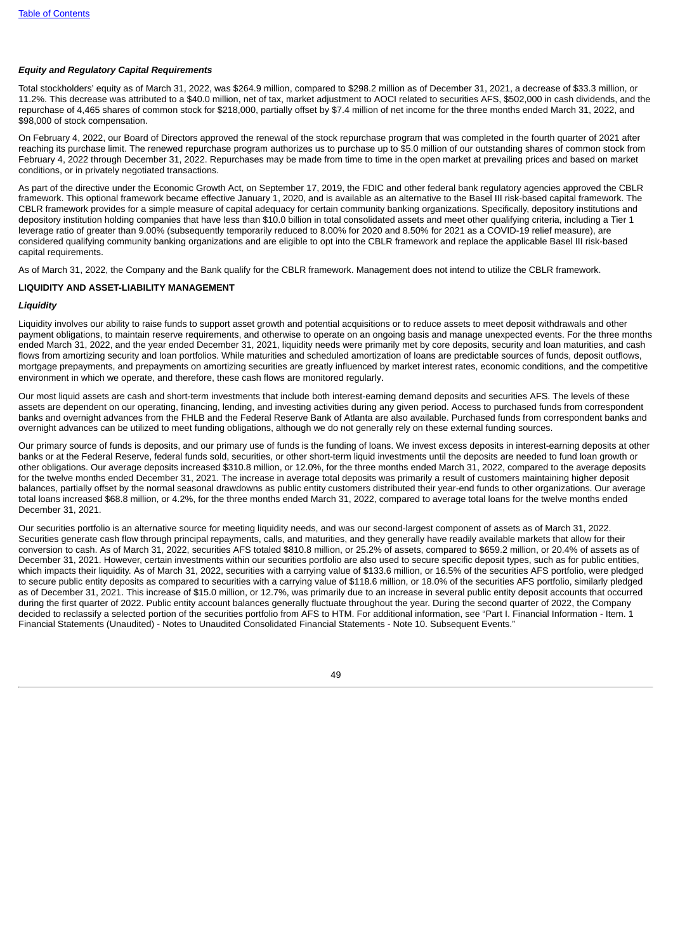# *Equity and Regulatory Capital Requirements*

Total stockholders' equity as of March 31, 2022, was \$264.9 million, compared to \$298.2 million as of December 31, 2021, a decrease of \$33.3 million, or 11.2%. This decrease was attributed to a \$40.0 million, net of tax, market adjustment to AOCI related to securities AFS, \$502,000 in cash dividends, and the repurchase of 4,465 shares of common stock for \$218,000, partially offset by \$7.4 million of net income for the three months ended March 31, 2022, and \$98,000 of stock compensation.

On February 4, 2022, our Board of Directors approved the renewal of the stock repurchase program that was completed in the fourth quarter of 2021 after reaching its purchase limit. The renewed repurchase program authorizes us to purchase up to \$5.0 million of our outstanding shares of common stock from February 4, 2022 through December 31, 2022. Repurchases may be made from time to time in the open market at prevailing prices and based on market conditions, or in privately negotiated transactions.

As part of the directive under the Economic Growth Act, on September 17, 2019, the FDIC and other federal bank regulatory agencies approved the CBLR framework. This optional framework became effective January 1, 2020, and is available as an alternative to the Basel III risk-based capital framework. The CBLR framework provides for a simple measure of capital adequacy for certain community banking organizations. Specifically, depository institutions and depository institution holding companies that have less than \$10.0 billion in total consolidated assets and meet other qualifying criteria, including a Tier 1 leverage ratio of greater than 9.00% (subsequently temporarily reduced to 8.00% for 2020 and 8.50% for 2021 as a COVID-19 relief measure), are considered qualifying community banking organizations and are eligible to opt into the CBLR framework and replace the applicable Basel III risk-based capital requirements.

As of March 31, 2022, the Company and the Bank qualify for the CBLR framework. Management does not intend to utilize the CBLR framework.

#### **LIQUIDITY AND ASSET-LIABILITY MANAGEMENT**

#### *Liquidity*

Liquidity involves our ability to raise funds to support asset growth and potential acquisitions or to reduce assets to meet deposit withdrawals and other payment obligations, to maintain reserve requirements, and otherwise to operate on an ongoing basis and manage unexpected events. For the three months ended March 31, 2022, and the year ended December 31, 2021, liquidity needs were primarily met by core deposits, security and loan maturities, and cash flows from amortizing security and loan portfolios. While maturities and scheduled amortization of loans are predictable sources of funds, deposit outflows, mortgage prepayments, and prepayments on amortizing securities are greatly influenced by market interest rates, economic conditions, and the competitive environment in which we operate, and therefore, these cash flows are monitored regularly.

Our most liquid assets are cash and short-term investments that include both interest-earning demand deposits and securities AFS. The levels of these assets are dependent on our operating, financing, lending, and investing activities during any given period. Access to purchased funds from correspondent banks and overnight advances from the FHLB and the Federal Reserve Bank of Atlanta are also available. Purchased funds from correspondent banks and overnight advances can be utilized to meet funding obligations, although we do not generally rely on these external funding sources.

Our primary source of funds is deposits, and our primary use of funds is the funding of loans. We invest excess deposits in interest-earning deposits at other banks or at the Federal Reserve, federal funds sold, securities, or other short-term liquid investments until the deposits are needed to fund loan growth or other obligations. Our average deposits increased \$310.8 million, or 12.0%, for the three months ended March 31, 2022, compared to the average deposits for the twelve months ended December 31, 2021. The increase in average total deposits was primarily a result of customers maintaining higher deposit balances, partially offset by the normal seasonal drawdowns as public entity customers distributed their year-end funds to other organizations. Our average total loans increased \$68.8 million, or 4.2%, for the three months ended March 31, 2022, compared to average total loans for the twelve months ended December 31, 2021.

Our securities portfolio is an alternative source for meeting liquidity needs, and was our second-largest component of assets as of March 31, 2022. Securities generate cash flow through principal repayments, calls, and maturities, and they generally have readily available markets that allow for their conversion to cash. As of March 31, 2022, securities AFS totaled \$810.8 million, or 25.2% of assets, compared to \$659.2 million, or 20.4% of assets as of December 31, 2021. However, certain investments within our securities portfolio are also used to secure specific deposit types, such as for public entities, which impacts their liquidity. As of March 31, 2022, securities with a carrying value of \$133.6 million, or 16.5% of the securities AFS portfolio, were pledged to secure public entity deposits as compared to securities with a carrying value of \$118.6 million, or 18.0% of the securities AFS portfolio, similarly pledged as of December 31, 2021. This increase of \$15.0 million, or 12.7%, was primarily due to an increase in several public entity deposit accounts that occurred during the first quarter of 2022. Public entity account balances generally fluctuate throughout the year. During the second quarter of 2022, the Company decided to reclassify a selected portion of the securities portfolio from AFS to HTM. For additional information, see "Part I. Financial Information - Item. 1 Financial Statements (Unaudited) - Notes to Unaudited Consolidated Financial Statements - Note 10. Subsequent Events."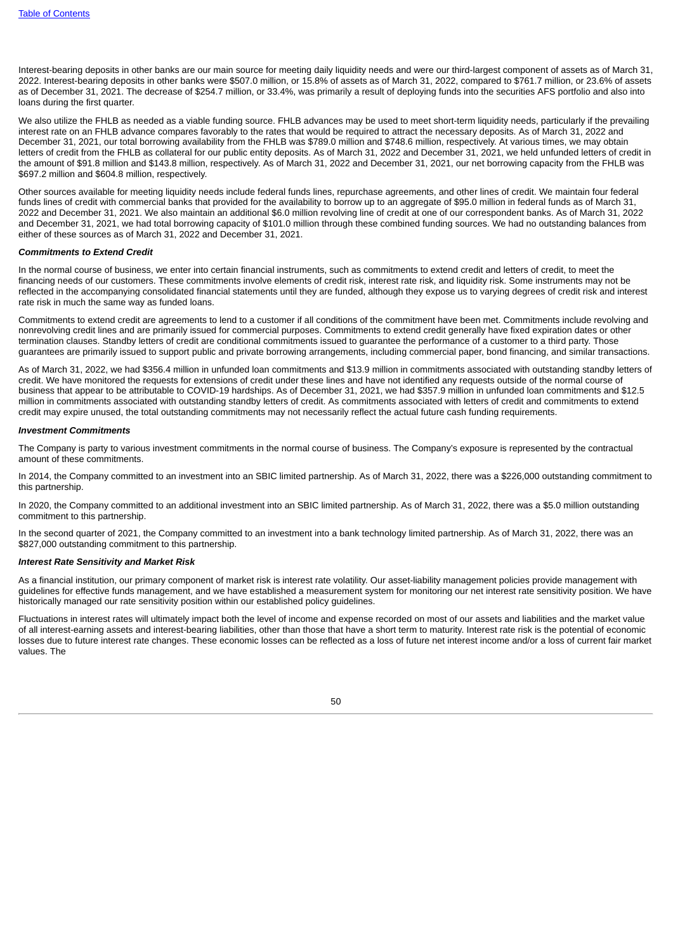Interest-bearing deposits in other banks are our main source for meeting daily liquidity needs and were our third-largest component of assets as of March 31, 2022. Interest-bearing deposits in other banks were \$507.0 million, or 15.8% of assets as of March 31, 2022, compared to \$761.7 million, or 23.6% of assets as of December 31, 2021. The decrease of \$254.7 million, or 33.4%, was primarily a result of deploying funds into the securities AFS portfolio and also into loans during the first quarter.

We also utilize the FHLB as needed as a viable funding source. FHLB advances may be used to meet short-term liquidity needs, particularly if the prevailing interest rate on an FHLB advance compares favorably to the rates that would be required to attract the necessary deposits. As of March 31, 2022 and December 31, 2021, our total borrowing availability from the FHLB was \$789.0 million and \$748.6 million, respectively. At various times, we may obtain letters of credit from the FHLB as collateral for our public entity deposits. As of March 31, 2022 and December 31, 2021, we held unfunded letters of credit in the amount of \$91.8 million and \$143.8 million, respectively. As of March 31, 2022 and December 31, 2021, our net borrowing capacity from the FHLB was \$697.2 million and \$604.8 million, respectively.

Other sources available for meeting liquidity needs include federal funds lines, repurchase agreements, and other lines of credit. We maintain four federal funds lines of credit with commercial banks that provided for the availability to borrow up to an aggregate of \$95.0 million in federal funds as of March 31, 2022 and December 31, 2021. We also maintain an additional \$6.0 million revolving line of credit at one of our correspondent banks. As of March 31, 2022 and December 31, 2021, we had total borrowing capacity of \$101.0 million through these combined funding sources. We had no outstanding balances from either of these sources as of March 31, 2022 and December 31, 2021.

#### *Commitments to Extend Credit*

In the normal course of business, we enter into certain financial instruments, such as commitments to extend credit and letters of credit, to meet the financing needs of our customers. These commitments involve elements of credit risk, interest rate risk, and liquidity risk. Some instruments may not be reflected in the accompanying consolidated financial statements until they are funded, although they expose us to varying degrees of credit risk and interest rate risk in much the same way as funded loans.

Commitments to extend credit are agreements to lend to a customer if all conditions of the commitment have been met. Commitments include revolving and nonrevolving credit lines and are primarily issued for commercial purposes. Commitments to extend credit generally have fixed expiration dates or other termination clauses. Standby letters of credit are conditional commitments issued to guarantee the performance of a customer to a third party. Those guarantees are primarily issued to support public and private borrowing arrangements, including commercial paper, bond financing, and similar transactions.

As of March 31, 2022, we had \$356.4 million in unfunded loan commitments and \$13.9 million in commitments associated with outstanding standby letters of credit. We have monitored the requests for extensions of credit under these lines and have not identified any requests outside of the normal course of business that appear to be attributable to COVID-19 hardships. As of December 31, 2021, we had \$357.9 million in unfunded loan commitments and \$12.5 million in commitments associated with outstanding standby letters of credit. As commitments associated with letters of credit and commitments to extend credit may expire unused, the total outstanding commitments may not necessarily reflect the actual future cash funding requirements.

#### *Investment Commitments*

The Company is party to various investment commitments in the normal course of business. The Company's exposure is represented by the contractual amount of these commitments.

In 2014, the Company committed to an investment into an SBIC limited partnership. As of March 31, 2022, there was a \$226,000 outstanding commitment to this partnership.

In 2020, the Company committed to an additional investment into an SBIC limited partnership. As of March 31, 2022, there was a \$5.0 million outstanding commitment to this partnership.

In the second quarter of 2021, the Company committed to an investment into a bank technology limited partnership. As of March 31, 2022, there was an \$827,000 outstanding commitment to this partnership.

#### *Interest Rate Sensitivity and Market Risk*

As a financial institution, our primary component of market risk is interest rate volatility. Our asset-liability management policies provide management with guidelines for effective funds management, and we have established a measurement system for monitoring our net interest rate sensitivity position. We have historically managed our rate sensitivity position within our established policy guidelines.

Fluctuations in interest rates will ultimately impact both the level of income and expense recorded on most of our assets and liabilities and the market value of all interest-earning assets and interest-bearing liabilities, other than those that have a short term to maturity. Interest rate risk is the potential of economic losses due to future interest rate changes. These economic losses can be reflected as a loss of future net interest income and/or a loss of current fair market values. The

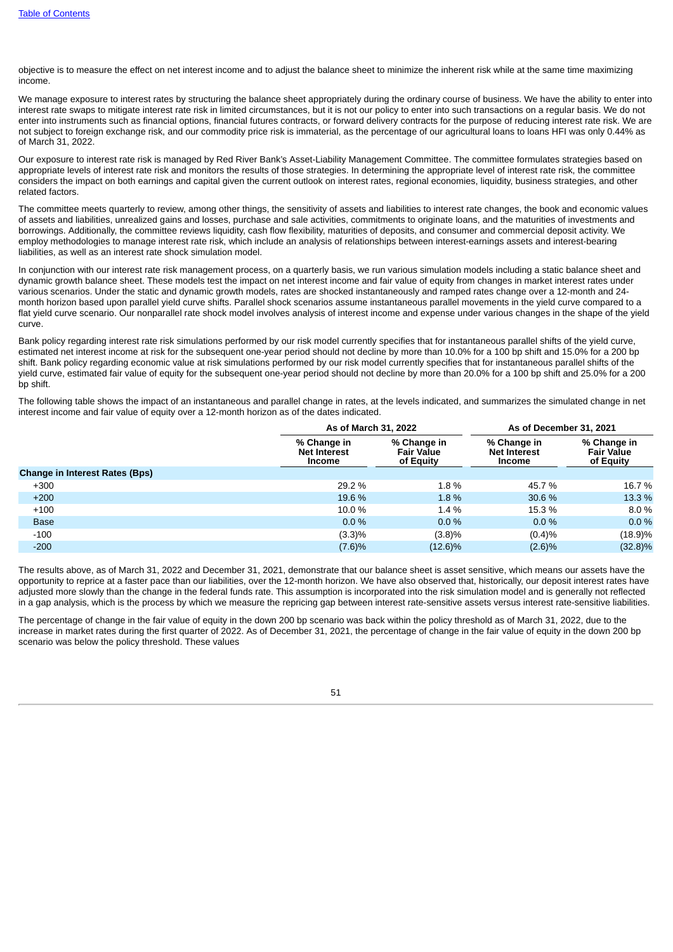objective is to measure the effect on net interest income and to adjust the balance sheet to minimize the inherent risk while at the same time maximizing income.

We manage exposure to interest rates by structuring the balance sheet appropriately during the ordinary course of business. We have the ability to enter into interest rate swaps to mitigate interest rate risk in limited circumstances, but it is not our policy to enter into such transactions on a regular basis. We do not enter into instruments such as financial options, financial futures contracts, or forward delivery contracts for the purpose of reducing interest rate risk. We are not subject to foreign exchange risk, and our commodity price risk is immaterial, as the percentage of our agricultural loans to loans HFI was only 0.44% as of March 31, 2022.

Our exposure to interest rate risk is managed by Red River Bank's Asset-Liability Management Committee. The committee formulates strategies based on appropriate levels of interest rate risk and monitors the results of those strategies. In determining the appropriate level of interest rate risk, the committee considers the impact on both earnings and capital given the current outlook on interest rates, regional economies, liquidity, business strategies, and other related factors.

The committee meets quarterly to review, among other things, the sensitivity of assets and liabilities to interest rate changes, the book and economic values of assets and liabilities, unrealized gains and losses, purchase and sale activities, commitments to originate loans, and the maturities of investments and borrowings. Additionally, the committee reviews liquidity, cash flow flexibility, maturities of deposits, and consumer and commercial deposit activity. We employ methodologies to manage interest rate risk, which include an analysis of relationships between interest-earnings assets and interest-bearing liabilities, as well as an interest rate shock simulation model.

In conjunction with our interest rate risk management process, on a quarterly basis, we run various simulation models including a static balance sheet and dynamic growth balance sheet. These models test the impact on net interest income and fair value of equity from changes in market interest rates under various scenarios. Under the static and dynamic growth models, rates are shocked instantaneously and ramped rates change over a 12-month and 24 month horizon based upon parallel yield curve shifts. Parallel shock scenarios assume instantaneous parallel movements in the yield curve compared to a flat yield curve scenario. Our nonparallel rate shock model involves analysis of interest income and expense under various changes in the shape of the yield curve.

Bank policy regarding interest rate risk simulations performed by our risk model currently specifies that for instantaneous parallel shifts of the yield curve, estimated net interest income at risk for the subsequent one-year period should not decline by more than 10.0% for a 100 bp shift and 15.0% for a 200 bp shift. Bank policy regarding economic value at risk simulations performed by our risk model currently specifies that for instantaneous parallel shifts of the yield curve, estimated fair value of equity for the subsequent one-year period should not decline by more than 20.0% for a 100 bp shift and 25.0% for a 200 bp shift.

The following table shows the impact of an instantaneous and parallel change in rates, at the levels indicated, and summarizes the simulated change in net interest income and fair value of equity over a 12-month horizon as of the dates indicated.

|                                       | As of March 31, 2022                         |                                               | As of December 31, 2021                             |                                               |  |
|---------------------------------------|----------------------------------------------|-----------------------------------------------|-----------------------------------------------------|-----------------------------------------------|--|
|                                       | % Change in<br><b>Net Interest</b><br>Income | % Change in<br><b>Fair Value</b><br>of Equity | % Change in<br><b>Net Interest</b><br><b>Income</b> | % Change in<br><b>Fair Value</b><br>of Equity |  |
| <b>Change in Interest Rates (Bps)</b> |                                              |                                               |                                                     |                                               |  |
| $+300$                                | 29.2 %                                       | 1.8%                                          | 45.7 %                                              | 16.7 %                                        |  |
| $+200$                                | 19.6 %                                       | 1.8%                                          | 30.6%                                               | 13.3 %                                        |  |
| $+100$                                | 10.0 %                                       | 1.4 %                                         | 15.3 %                                              | 8.0%                                          |  |
| <b>Base</b>                           | $0.0\%$                                      | 0.0%                                          | $0.0\%$                                             | 0.0%                                          |  |
| $-100$                                | (3.3)%                                       | (3.8)%                                        | (0.4)%                                              | $(18.9)\%$                                    |  |
| $-200$                                | (7.6)%                                       | $(12.6)\%$                                    | (2.6)%                                              | $(32.8)\%$                                    |  |

The results above, as of March 31, 2022 and December 31, 2021, demonstrate that our balance sheet is asset sensitive, which means our assets have the opportunity to reprice at a faster pace than our liabilities, over the 12-month horizon. We have also observed that, historically, our deposit interest rates have adjusted more slowly than the change in the federal funds rate. This assumption is incorporated into the risk simulation model and is generally not reflected in a gap analysis, which is the process by which we measure the repricing gap between interest rate-sensitive assets versus interest rate-sensitive liabilities.

The percentage of change in the fair value of equity in the down 200 bp scenario was back within the policy threshold as of March 31, 2022, due to the increase in market rates during the first quarter of 2022. As of December 31, 2021, the percentage of change in the fair value of equity in the down 200 bp scenario was below the policy threshold. These values

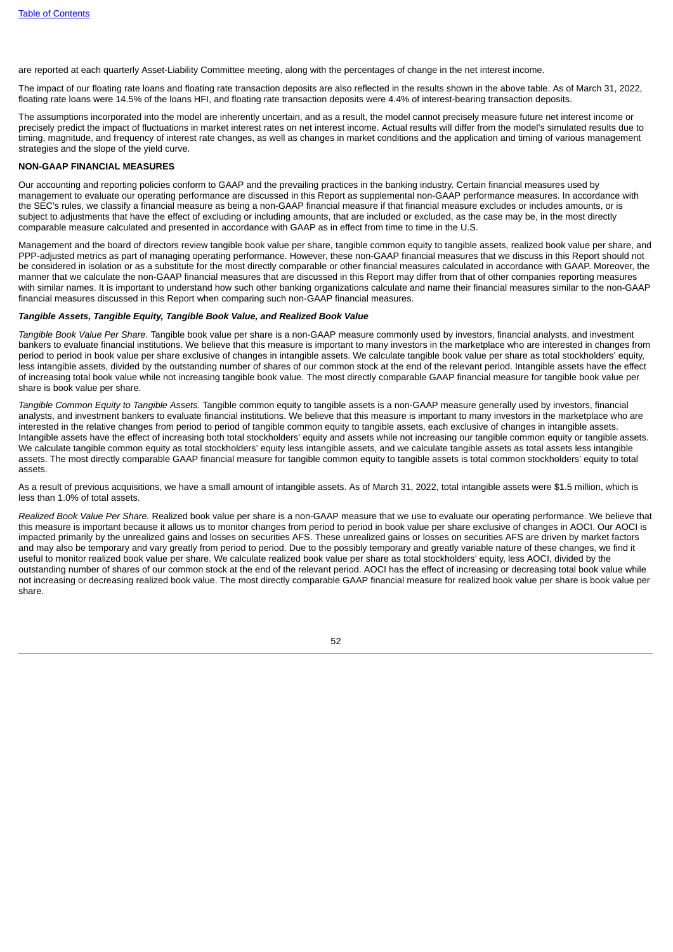are reported at each quarterly Asset-Liability Committee meeting, along with the percentages of change in the net interest income.

The impact of our floating rate loans and floating rate transaction deposits are also reflected in the results shown in the above table. As of March 31, 2022, floating rate loans were 14.5% of the loans HFI, and floating rate transaction deposits were 4.4% of interest-bearing transaction deposits.

The assumptions incorporated into the model are inherently uncertain, and as a result, the model cannot precisely measure future net interest income or precisely predict the impact of fluctuations in market interest rates on net interest income. Actual results will differ from the model's simulated results due to timing, magnitude, and frequency of interest rate changes, as well as changes in market conditions and the application and timing of various management strategies and the slope of the yield curve.

# **NON-GAAP FINANCIAL MEASURES**

Our accounting and reporting policies conform to GAAP and the prevailing practices in the banking industry. Certain financial measures used by management to evaluate our operating performance are discussed in this Report as supplemental non-GAAP performance measures. In accordance with the SEC's rules, we classify a financial measure as being a non-GAAP financial measure if that financial measure excludes or includes amounts, or is subject to adjustments that have the effect of excluding or including amounts, that are included or excluded, as the case may be, in the most directly comparable measure calculated and presented in accordance with GAAP as in effect from time to time in the U.S.

Management and the board of directors review tangible book value per share, tangible common equity to tangible assets, realized book value per share, and PPP-adjusted metrics as part of managing operating performance. However, these non-GAAP financial measures that we discuss in this Report should not be considered in isolation or as a substitute for the most directly comparable or other financial measures calculated in accordance with GAAP. Moreover, the manner that we calculate the non-GAAP financial measures that are discussed in this Report may differ from that of other companies reporting measures with similar names. It is important to understand how such other banking organizations calculate and name their financial measures similar to the non-GAAP financial measures discussed in this Report when comparing such non-GAAP financial measures.

#### *Tangible Assets, Tangible Equity, Tangible Book Value, and Realized Book Value*

*Tangible Book Value Per Share*. Tangible book value per share is a non-GAAP measure commonly used by investors, financial analysts, and investment bankers to evaluate financial institutions. We believe that this measure is important to many investors in the marketplace who are interested in changes from period to period in book value per share exclusive of changes in intangible assets. We calculate tangible book value per share as total stockholders' equity, less intangible assets, divided by the outstanding number of shares of our common stock at the end of the relevant period. Intangible assets have the effect of increasing total book value while not increasing tangible book value. The most directly comparable GAAP financial measure for tangible book value per share is book value per share.

*Tangible Common Equity to Tangible Assets*. Tangible common equity to tangible assets is a non-GAAP measure generally used by investors, financial analysts, and investment bankers to evaluate financial institutions. We believe that this measure is important to many investors in the marketplace who are interested in the relative changes from period to period of tangible common equity to tangible assets, each exclusive of changes in intangible assets. Intangible assets have the effect of increasing both total stockholders' equity and assets while not increasing our tangible common equity or tangible assets. We calculate tangible common equity as total stockholders' equity less intangible assets, and we calculate tangible assets as total assets less intangible assets. The most directly comparable GAAP financial measure for tangible common equity to tangible assets is total common stockholders' equity to total assets.

As a result of previous acquisitions, we have a small amount of intangible assets. As of March 31, 2022, total intangible assets were \$1.5 million, which is less than 1.0% of total assets.

*Realized Book Value Per Share.* Realized book value per share is a non-GAAP measure that we use to evaluate our operating performance. We believe that this measure is important because it allows us to monitor changes from period to period in book value per share exclusive of changes in AOCI. Our AOCI is impacted primarily by the unrealized gains and losses on securities AFS. These unrealized gains or losses on securities AFS are driven by market factors and may also be temporary and vary greatly from period to period. Due to the possibly temporary and greatly variable nature of these changes, we find it useful to monitor realized book value per share. We calculate realized book value per share as total stockholders' equity, less AOCI, divided by the outstanding number of shares of our common stock at the end of the relevant period. AOCI has the effect of increasing or decreasing total book value while not increasing or decreasing realized book value. The most directly comparable GAAP financial measure for realized book value per share is book value per share.

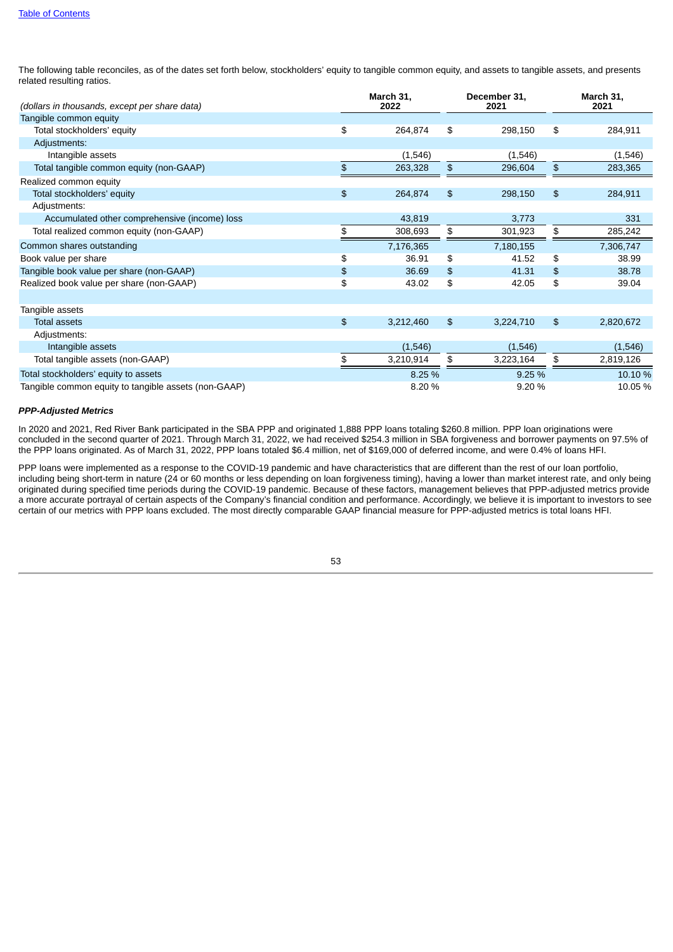The following table reconciles, as of the dates set forth below, stockholders' equity to tangible common equity, and assets to tangible assets, and presents related resulting ratios.

| (dollars in thousands, except per share data)        | March 31,<br>2022 |                | December 31,<br>2021 | March 31,<br>2021 |
|------------------------------------------------------|-------------------|----------------|----------------------|-------------------|
| Tangible common equity                               |                   |                |                      |                   |
| Total stockholders' equity                           | \$<br>264,874     | \$             | 298,150              | \$<br>284,911     |
| Adjustments:                                         |                   |                |                      |                   |
| Intangible assets                                    | (1,546)           |                | (1,546)              | (1,546)           |
| Total tangible common equity (non-GAAP)              | \$<br>263,328     | \$             | 296,604              | \$<br>283,365     |
| Realized common equity                               |                   |                |                      |                   |
| Total stockholders' equity                           | \$<br>264,874     | \$             | 298,150              | \$<br>284,911     |
| Adjustments:                                         |                   |                |                      |                   |
| Accumulated other comprehensive (income) loss        | 43,819            |                | 3,773                | 331               |
| Total realized common equity (non-GAAP)              | \$<br>308,693     | \$             | 301,923              | \$<br>285,242     |
| Common shares outstanding                            | 7,176,365         |                | 7,180,155            | 7,306,747         |
| Book value per share                                 | \$<br>36.91       | \$             | 41.52                | \$<br>38.99       |
| Tangible book value per share (non-GAAP)             | \$<br>36.69       | \$             | 41.31                | \$<br>38.78       |
| Realized book value per share (non-GAAP)             | \$<br>43.02       | \$             | 42.05                | \$<br>39.04       |
|                                                      |                   |                |                      |                   |
| Tangible assets                                      |                   |                |                      |                   |
| <b>Total assets</b>                                  | \$<br>3,212,460   | $\mathfrak{L}$ | 3,224,710            | \$<br>2,820,672   |
| Adjustments:                                         |                   |                |                      |                   |
| Intangible assets                                    | (1,546)           |                | (1,546)              | (1, 546)          |
| Total tangible assets (non-GAAP)                     | 3,210,914         | \$             | 3,223,164            | \$<br>2,819,126   |
| Total stockholders' equity to assets                 | 8.25 %            |                | 9.25 %               | 10.10 %           |
| Tangible common equity to tangible assets (non-GAAP) | 8.20%             |                | 9.20 %               | 10.05 %           |

#### *PPP-Adjusted Metrics*

In 2020 and 2021, Red River Bank participated in the SBA PPP and originated 1,888 PPP loans totaling \$260.8 million. PPP loan originations were concluded in the second quarter of 2021. Through March 31, 2022, we had received \$254.3 million in SBA forgiveness and borrower payments on 97.5% of the PPP loans originated. As of March 31, 2022, PPP loans totaled \$6.4 million, net of \$169,000 of deferred income, and were 0.4% of loans HFI.

PPP loans were implemented as a response to the COVID-19 pandemic and have characteristics that are different than the rest of our loan portfolio, including being short-term in nature (24 or 60 months or less depending on loan forgiveness timing), having a lower than market interest rate, and only being originated during specified time periods during the COVID-19 pandemic. Because of these factors, management believes that PPP-adjusted metrics provide a more accurate portrayal of certain aspects of the Company's financial condition and performance. Accordingly, we believe it is important to investors to see certain of our metrics with PPP loans excluded. The most directly comparable GAAP financial measure for PPP-adjusted metrics is total loans HFI.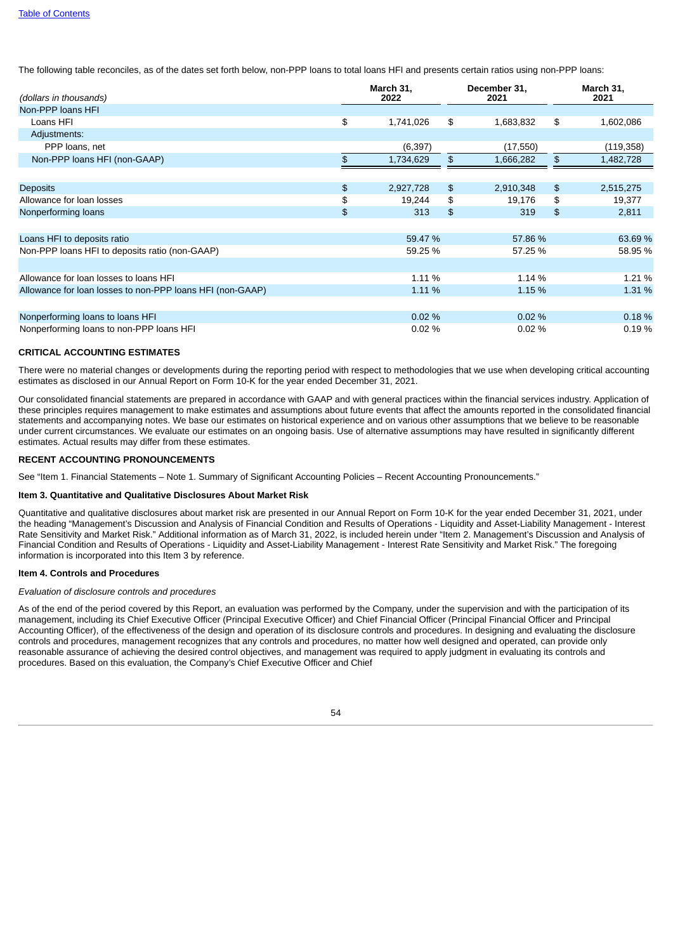The following table reconciles, as of the dates set forth below, non-PPP loans to total loans HFI and presents certain ratios using non-PPP loans:

| (dollars in thousands)                                    |               | March 31,<br>2022 |                | December 31,<br>2021 |    | March 31,<br>2021 |
|-----------------------------------------------------------|---------------|-------------------|----------------|----------------------|----|-------------------|
| Non-PPP loans HFI                                         |               |                   |                |                      |    |                   |
| Loans HFI                                                 | \$            | 1,741,026         | \$             | 1,683,832            | \$ | 1,602,086         |
| Adjustments:                                              |               |                   |                |                      |    |                   |
| PPP loans, net                                            |               | (6, 397)          |                | (17, 550)            |    | (119, 358)        |
| Non-PPP loans HFI (non-GAAP)                              | \$            | 1,734,629         | \$             | 1,666,282            | \$ | 1,482,728         |
|                                                           |               |                   |                |                      |    |                   |
| <b>Deposits</b>                                           | $\frac{2}{3}$ | 2,927,728         | \$             | 2,910,348            | \$ | 2,515,275         |
| Allowance for loan losses                                 | \$            | 19.244            | \$             | 19,176               | \$ | 19,377            |
| Nonperforming loans                                       | \$            | 313               | $\mathfrak{D}$ | 319                  | \$ | 2,811             |
|                                                           |               |                   |                |                      |    |                   |
| Loans HFI to deposits ratio                               |               | 59.47 %           |                | 57.86 %              |    | 63.69 %           |
| Non-PPP loans HFI to deposits ratio (non-GAAP)            | 59.25 %       |                   |                | 57.25 %              |    | 58.95 %           |
|                                                           |               |                   |                |                      |    |                   |
| Allowance for loan losses to loans HFI                    |               | 1.11 %            |                | 1.14 %               |    | 1.21 %            |
| Allowance for loan losses to non-PPP loans HFI (non-GAAP) | 1.11 %        |                   | 1.15 %         |                      |    | 1.31 %            |
|                                                           |               |                   |                |                      |    |                   |
| Nonperforming loans to loans HFI                          |               | 0.02%             |                | 0.02%                |    | 0.18%             |
| Nonperforming loans to non-PPP loans HFI                  |               | 0.02%             |                | 0.02%                |    | 0.19%             |

#### **CRITICAL ACCOUNTING ESTIMATES**

There were no material changes or developments during the reporting period with respect to methodologies that we use when developing critical accounting estimates as disclosed in our Annual Report on Form 10-K for the year ended December 31, 2021.

Our consolidated financial statements are prepared in accordance with GAAP and with general practices within the financial services industry. Application of these principles requires management to make estimates and assumptions about future events that affect the amounts reported in the consolidated financial statements and accompanying notes. We base our estimates on historical experience and on various other assumptions that we believe to be reasonable under current circumstances. We evaluate our estimates on an ongoing basis. Use of alternative assumptions may have resulted in significantly different estimates. Actual results may differ from these estimates.

#### **RECENT ACCOUNTING PRONOUNCEMENTS**

See "Item 1. Financial Statements – Note 1. Summary of Significant Accounting Policies – Recent Accounting Pronouncements."

#### <span id="page-53-0"></span>**Item 3. Quantitative and Qualitative Disclosures About Market Risk**

Quantitative and qualitative disclosures about market risk are presented in our Annual Report on Form 10-K for the year ended December 31, 2021, under the heading "Management's Discussion and Analysis of Financial Condition and Results of Operations - Liquidity and Asset-Liability Management - Interest Rate Sensitivity and Market Risk." Additional information as of March 31, 2022, is included herein under "Item 2. Management's Discussion and Analysis of Financial Condition and Results of Operations - Liquidity and Asset-Liability Management - Interest Rate Sensitivity and Market Risk." The foregoing information is incorporated into this Item 3 by reference.

#### <span id="page-53-1"></span>**Item 4. Controls and Procedures**

*Evaluation of disclosure controls and procedures*

As of the end of the period covered by this Report, an evaluation was performed by the Company, under the supervision and with the participation of its management, including its Chief Executive Officer (Principal Executive Officer) and Chief Financial Officer (Principal Financial Officer and Principal Accounting Officer), of the effectiveness of the design and operation of its disclosure controls and procedures. In designing and evaluating the disclosure controls and procedures, management recognizes that any controls and procedures, no matter how well designed and operated, can provide only reasonable assurance of achieving the desired control objectives, and management was required to apply judgment in evaluating its controls and procedures. Based on this evaluation, the Company's Chief Executive Officer and Chief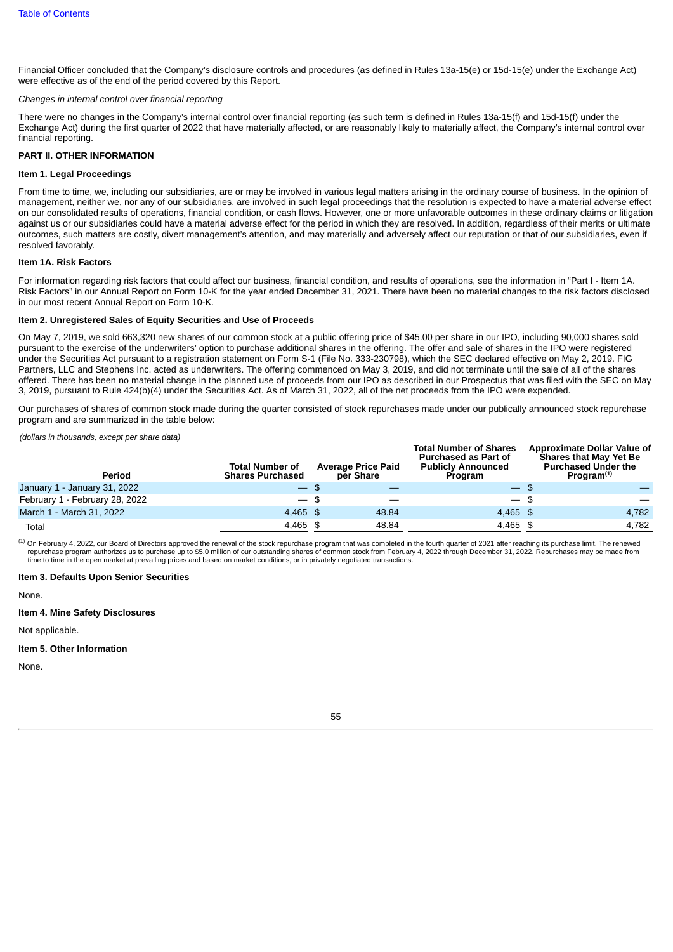Financial Officer concluded that the Company's disclosure controls and procedures (as defined in Rules 13a-15(e) or 15d-15(e) under the Exchange Act) were effective as of the end of the period covered by this Report.

#### *Changes in internal control over financial reporting*

There were no changes in the Company's internal control over financial reporting (as such term is defined in Rules 13a-15(f) and 15d-15(f) under the Exchange Act) during the first quarter of 2022 that have materially affected, or are reasonably likely to materially affect, the Company's internal control over financial reporting.

#### **PART II. OTHER INFORMATION**

#### <span id="page-54-0"></span>**Item 1. Legal Proceedings**

From time to time, we, including our subsidiaries, are or may be involved in various legal matters arising in the ordinary course of business. In the opinion of management, neither we, nor any of our subsidiaries, are involved in such legal proceedings that the resolution is expected to have a material adverse effect on our consolidated results of operations, financial condition, or cash flows. However, one or more unfavorable outcomes in these ordinary claims or litigation against us or our subsidiaries could have a material adverse effect for the period in which they are resolved. In addition, regardless of their merits or ultimate outcomes, such matters are costly, divert management's attention, and may materially and adversely affect our reputation or that of our subsidiaries, even if resolved favorably.

#### <span id="page-54-1"></span>**Item 1A. Risk Factors**

For information regarding risk factors that could affect our business, financial condition, and results of operations, see the information in "Part I - Item 1A. Risk Factors" in our Annual Report on Form 10-K for the year ended December 31, 2021. There have been no material changes to the risk factors disclosed in our most recent Annual Report on Form 10-K.

#### <span id="page-54-2"></span>**Item 2. Unregistered Sales of Equity Securities and Use of Proceeds**

On May 7, 2019, we sold 663,320 new shares of our common stock at a public offering price of \$45.00 per share in our IPO, including 90,000 shares sold pursuant to the exercise of the underwriters' option to purchase additional shares in the offering. The offer and sale of shares in the IPO were registered under the Securities Act pursuant to a registration statement on Form S-1 (File No. 333-230798), which the SEC declared effective on May 2, 2019. FIG Partners, LLC and Stephens Inc. acted as underwriters. The offering commenced on May 3, 2019, and did not terminate until the sale of all of the shares offered. There has been no material change in the planned use of proceeds from our IPO as described in our Prospectus that was filed with the SEC on May 3, 2019, pursuant to Rule 424(b)(4) under the Securities Act. As of March 31, 2022, all of the net proceeds from the IPO were expended.

Our purchases of shares of common stock made during the quarter consisted of stock repurchases made under our publically announced stock repurchase program and are summarized in the table below:

*(dollars in thousands, except per share data)*

| Period                         | <b>Total Number of</b><br><b>Shares Purchased</b> | <b>Average Price Paid</b><br>per Share | <b>Total Number of Shares</b><br><b>Purchased as Part of</b><br><b>Publicly Announced</b><br>Program | Approximate Dollar Value of<br><b>Shares that May Yet Be</b><br><b>Purchased Under the</b><br>Program <sup>(1)</sup> |
|--------------------------------|---------------------------------------------------|----------------------------------------|------------------------------------------------------------------------------------------------------|----------------------------------------------------------------------------------------------------------------------|
| January 1 - January 31, 2022   | $-$ \$                                            |                                        | $-$ \$                                                                                               |                                                                                                                      |
| February 1 - February 28, 2022 | $-$ \$                                            |                                        | $-$ \$                                                                                               |                                                                                                                      |
| March 1 - March 31, 2022       | $4.465$ \$                                        | 48.84                                  | 4,465 \$                                                                                             | 4.782                                                                                                                |
| Total                          | 4,465 \$                                          | 48.84                                  | 4,465 \$                                                                                             | 4.782                                                                                                                |

 $^{\text{\tiny{(1)}}}$  On February 4, 2022, our Board of Directors approved the renewal of the stock repurchase program that was completed in the fourth quarter of 2021 after reaching its purchase limit. The renewed repurchase program authorizes us to purchase up to \$5.0 million of our outstanding shares of common stock from February 4, 2022 through December 31, 2022. Repurchases may be made from time to time in the open market at prevailing prices and based on market conditions, or in privately negotiated transactions.

#### <span id="page-54-3"></span>**Item 3. Defaults Upon Senior Securities**

None.

# <span id="page-54-4"></span>**Item 4. Mine Safety Disclosures**

Not applicable.

# <span id="page-54-5"></span>**Item 5. Other Information**

<span id="page-54-6"></span>None.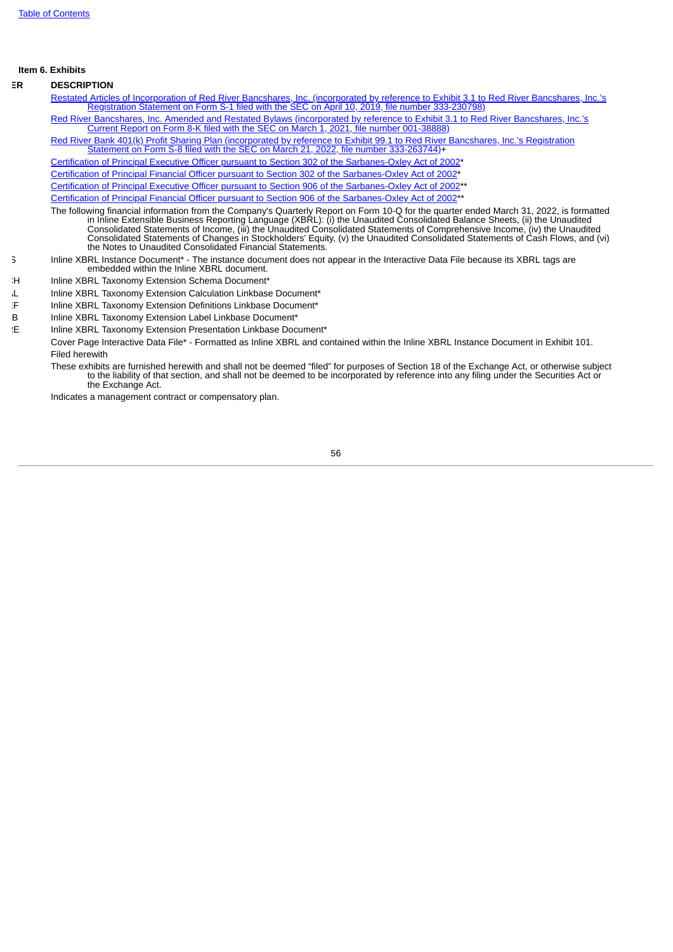#### **Item 6. Exhibits**

#### **ER DESCRIPTION**

- [Restated Articles of Incorporation of Red River Bancshares, Inc. \(incorporated by reference to Exhibit 3.1 to Red River Bancshares, Inc.'s](http://www.sec.gov/Archives/edgar/data/1071236/000156459019011263/rrbi-ex31_51.htm) Registration Statement on Form S-1 filed with the SEC on April 10, 2019, file number 333-230798)
	- [Red River Bancshares, Inc. Amended and Restated Bylaws \(incorporated by reference to Exhibit 3.1 to Red River Bancshares, Inc.'s](https://www.sec.gov/Archives/edgar/data/1071236/000107123621000022/amendedbylaws.htm) Current Report on Form 8-K filed with the SEC on March 1, 2021, file number 001-38888)

[Red River Bank 401\(k\) Profit Sharing Plan \(incorporated by reference to Exhibit 99.1 to Red River Bancshares, Inc.'s Registration](https://www.sec.gov/Archives/edgar/data/1071236/000107123622000026/a401kplan_workiva.htm) Statement on Form S-8 filed with the SEC on March 21, 2022, file number 333-263744)+

[Certification of Principal Executive Officer pursuant to Section 302 of the Sarbanes-Oxley Act of 2002](#page-57-0)\*

[Certification of Principal Financial Officer pursuant to Section 302 of the Sarbanes-Oxley Act of 2002\\*](#page-58-0)

[Certification of Principal Executive Officer pursuant to Section 906 of the Sarbanes-Oxley Act of 2002](#page-59-0)\*\*

[Certification of Principal Financial Officer pursuant to Section 906 of the Sarbanes-Oxley Act of 2002\\*](#page-60-0)\*

- The following financial information from the Company's Quarterly Report on Form 10-Q for the quarter ended March 31, 2022, is formatted in Inline Extensible Business Reporting Language (XBRL): (i) the Unaudited Consolidated Balance Sheets, (ii) the Unaudited Consolidated Statements of Income, (iii) the Unaudited Consolidated Statements of Comprehensive Income, (iv) the Unaudited Consolidated Statements of Changes in Stockholders' Equity, (v) the Unaudited Consolidated Statements of Cash Flows, and (vi) the Notes to Unaudited Consolidated Financial Statements.
- S Inline XBRL Instance Document\* The instance document does not appear in the Interactive Data File because its XBRL tags are embedded within the Inline XBRL document.
- H Inline XBRL Taxonomy Extension Schema Document\*
- AL Inline XBRL Taxonomy Extension Calculation Linkbase Document\*
- EF Inline XBRL Taxonomy Extension Definitions Linkbase Document\*
- B Inline XBRL Taxonomy Extension Label Linkbase Document\*
- **E** Inline XBRL Taxonomy Extension Presentation Linkbase Document\*
	- Cover Page Interactive Data File\* Formatted as Inline XBRL and contained within the Inline XBRL Instance Document in Exhibit 101. Filed herewith
		- These exhibits are furnished herewith and shall not be deemed "filed" for purposes of Section 18 of the Exchange Act, or otherwise subject to the liability of that section, and shall not be deemed to be incorporated by reference into any filing under the Securities Act or the Exchange Act.

<span id="page-55-0"></span>Indicates a management contract or compensatory plan.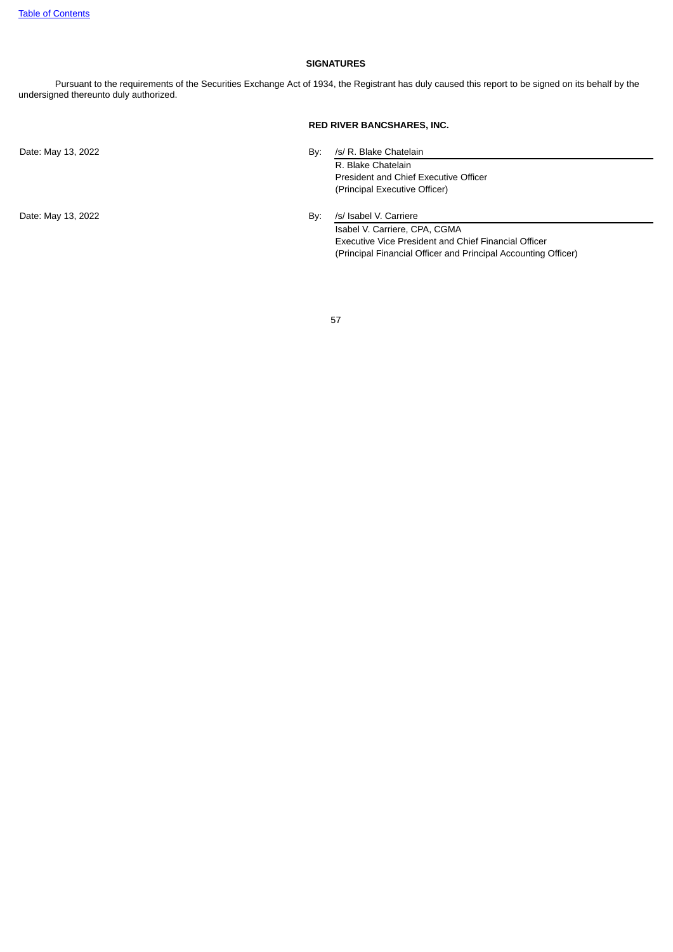# **SIGNATURES**

Pursuant to the requirements of the Securities Exchange Act of 1934, the Registrant has duly caused this report to be signed on its behalf by the undersigned thereunto duly authorized.

# **RED RIVER BANCSHARES, INC.**

| Date: May 13, 2022 | Bv: | /s/ R. Blake Chatelain                                                 |  |
|--------------------|-----|------------------------------------------------------------------------|--|
|                    |     | R. Blake Chatelain                                                     |  |
|                    |     | President and Chief Executive Officer<br>(Principal Executive Officer) |  |
|                    |     |                                                                        |  |
| Date: May 13, 2022 | Bv: | /s/ Isabel V. Carriere                                                 |  |

Isabel V. Carriere, CPA, CGMA Executive Vice President and Chief Financial Officer (Principal Financial Officer and Principal Accounting Officer)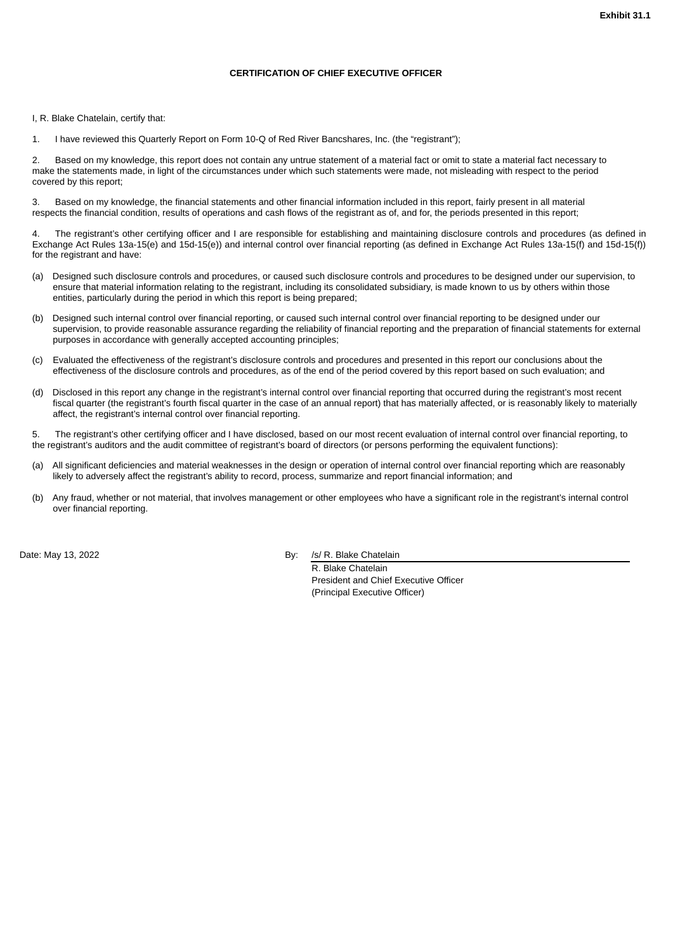# **CERTIFICATION OF CHIEF EXECUTIVE OFFICER**

<span id="page-57-0"></span>I, R. Blake Chatelain, certify that:

1. I have reviewed this Quarterly Report on Form 10-Q of Red River Bancshares, Inc. (the "registrant");

2. Based on my knowledge, this report does not contain any untrue statement of a material fact or omit to state a material fact necessary to make the statements made, in light of the circumstances under which such statements were made, not misleading with respect to the period covered by this report;

Based on my knowledge, the financial statements and other financial information included in this report, fairly present in all material respects the financial condition, results of operations and cash flows of the registrant as of, and for, the periods presented in this report;

4. The registrant's other certifying officer and I are responsible for establishing and maintaining disclosure controls and procedures (as defined in Exchange Act Rules 13a-15(e) and 15d-15(e)) and internal control over financial reporting (as defined in Exchange Act Rules 13a-15(f) and 15d-15(f)) for the registrant and have:

- (a) Designed such disclosure controls and procedures, or caused such disclosure controls and procedures to be designed under our supervision, to ensure that material information relating to the registrant, including its consolidated subsidiary, is made known to us by others within those entities, particularly during the period in which this report is being prepared;
- (b) Designed such internal control over financial reporting, or caused such internal control over financial reporting to be designed under our supervision, to provide reasonable assurance regarding the reliability of financial reporting and the preparation of financial statements for external purposes in accordance with generally accepted accounting principles;
- (c) Evaluated the effectiveness of the registrant's disclosure controls and procedures and presented in this report our conclusions about the effectiveness of the disclosure controls and procedures, as of the end of the period covered by this report based on such evaluation; and
- (d) Disclosed in this report any change in the registrant's internal control over financial reporting that occurred during the registrant's most recent fiscal quarter (the registrant's fourth fiscal quarter in the case of an annual report) that has materially affected, or is reasonably likely to materially affect, the registrant's internal control over financial reporting.

5. The registrant's other certifying officer and I have disclosed, based on our most recent evaluation of internal control over financial reporting, to the registrant's auditors and the audit committee of registrant's board of directors (or persons performing the equivalent functions):

- (a) All significant deficiencies and material weaknesses in the design or operation of internal control over financial reporting which are reasonably likely to adversely affect the registrant's ability to record, process, summarize and report financial information; and
- (b) Any fraud, whether or not material, that involves management or other employees who have a significant role in the registrant's internal control over financial reporting.

Date: May 13, 2022 **By:** /s/ R. Blake Chatelain

R. Blake Chatelain President and Chief Executive Officer (Principal Executive Officer)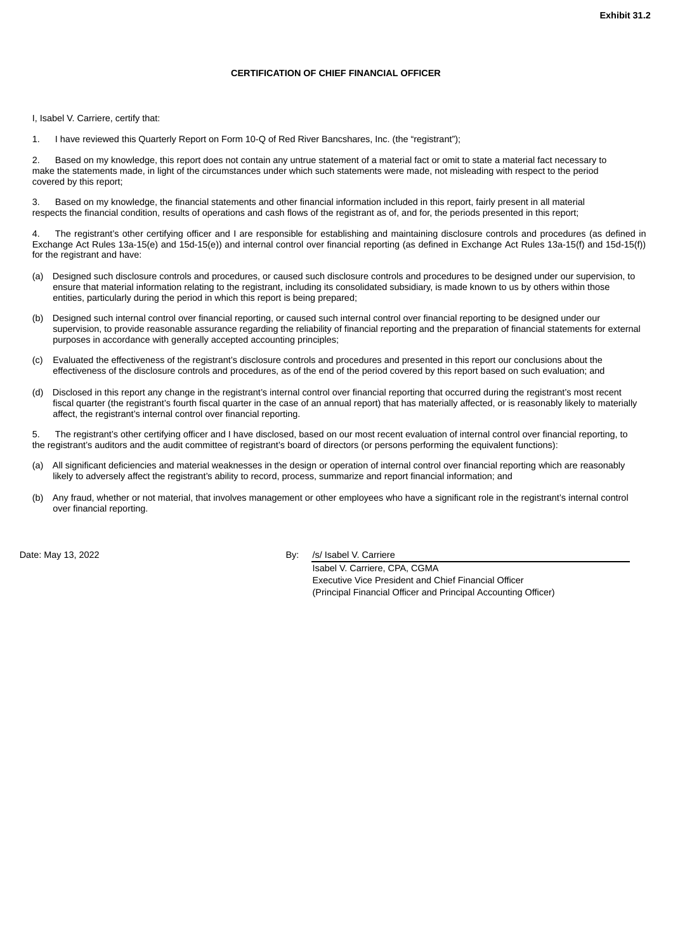# **CERTIFICATION OF CHIEF FINANCIAL OFFICER**

<span id="page-58-0"></span>I, Isabel V. Carriere, certify that:

1. I have reviewed this Quarterly Report on Form 10-Q of Red River Bancshares, Inc. (the "registrant");

2. Based on my knowledge, this report does not contain any untrue statement of a material fact or omit to state a material fact necessary to make the statements made, in light of the circumstances under which such statements were made, not misleading with respect to the period covered by this report;

Based on my knowledge, the financial statements and other financial information included in this report, fairly present in all material respects the financial condition, results of operations and cash flows of the registrant as of, and for, the periods presented in this report;

4. The registrant's other certifying officer and I are responsible for establishing and maintaining disclosure controls and procedures (as defined in Exchange Act Rules 13a-15(e) and 15d-15(e)) and internal control over financial reporting (as defined in Exchange Act Rules 13a-15(f) and 15d-15(f)) for the registrant and have:

- (a) Designed such disclosure controls and procedures, or caused such disclosure controls and procedures to be designed under our supervision, to ensure that material information relating to the registrant, including its consolidated subsidiary, is made known to us by others within those entities, particularly during the period in which this report is being prepared;
- (b) Designed such internal control over financial reporting, or caused such internal control over financial reporting to be designed under our supervision, to provide reasonable assurance regarding the reliability of financial reporting and the preparation of financial statements for external purposes in accordance with generally accepted accounting principles;
- (c) Evaluated the effectiveness of the registrant's disclosure controls and procedures and presented in this report our conclusions about the effectiveness of the disclosure controls and procedures, as of the end of the period covered by this report based on such evaluation; and
- (d) Disclosed in this report any change in the registrant's internal control over financial reporting that occurred during the registrant's most recent fiscal quarter (the registrant's fourth fiscal quarter in the case of an annual report) that has materially affected, or is reasonably likely to materially affect, the registrant's internal control over financial reporting.

5. The registrant's other certifying officer and I have disclosed, based on our most recent evaluation of internal control over financial reporting, to the registrant's auditors and the audit committee of registrant's board of directors (or persons performing the equivalent functions):

- (a) All significant deficiencies and material weaknesses in the design or operation of internal control over financial reporting which are reasonably likely to adversely affect the registrant's ability to record, process, summarize and report financial information; and
- (b) Any fraud, whether or not material, that involves management or other employees who have a significant role in the registrant's internal control over financial reporting.

Date: May 13, 2022 **By:** By: *Islabel V. Carriere* 

Isabel V. Carriere, CPA, CGMA Executive Vice President and Chief Financial Officer (Principal Financial Officer and Principal Accounting Officer)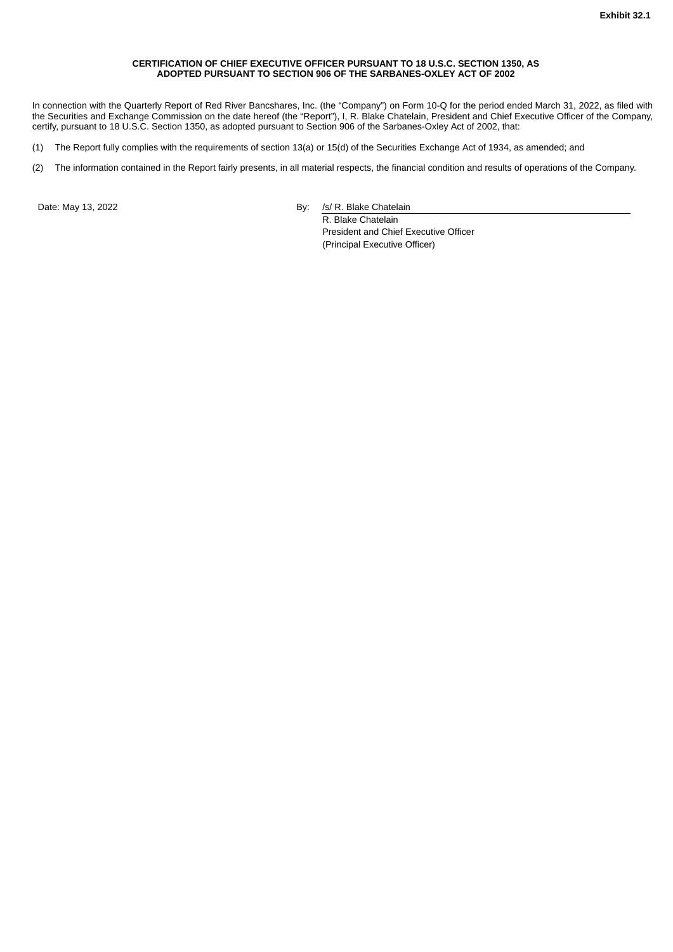#### **CERTIFICATION OF CHIEF EXECUTIVE OFFICER PURSUANT TO 18 U.S.C. SECTION 1350, AS ADOPTED PURSUANT TO SECTION 906 OF THE SARBANES-OXLEY ACT OF 2002**

<span id="page-59-0"></span>In connection with the Quarterly Report of Red River Bancshares, Inc. (the "Company") on Form 10-Q for the period ended March 31, 2022, as filed with the Securities and Exchange Commission on the date hereof (the "Report"), I, R. Blake Chatelain, President and Chief Executive Officer of the Company, certify, pursuant to 18 U.S.C. Section 1350, as adopted pursuant to Section 906 of the Sarbanes-Oxley Act of 2002, that:

(1) The Report fully complies with the requirements of section 13(a) or 15(d) of the Securities Exchange Act of 1934, as amended; and

(2) The information contained in the Report fairly presents, in all material respects, the financial condition and results of operations of the Company.

Date: May 13, 2022 **By:** /s/ R. Blake Chatelain

R. Blake Chatelain President and Chief Executive Officer (Principal Executive Officer)